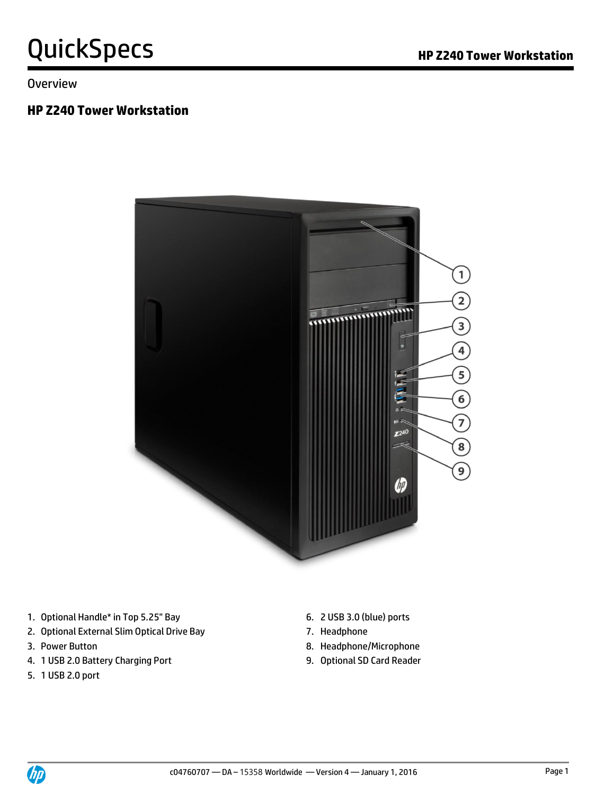**Overview** 

#### **HP Z240 Tower Workstation**



- 1. Optional Handle\* in Top 5.25" Bay 6. 2 USB 3.0 (blue) ports
- 2. Optional External Slim Optical Drive Bay 7. Headphone
- 
- 4. 1 USB 2.0 Battery Charging Port 9. Optional SD Card Reader
- 5. 1 USB 2.0 port
- 
- 
- 3. Power Button **8. Headphone/Microphone** 
	-

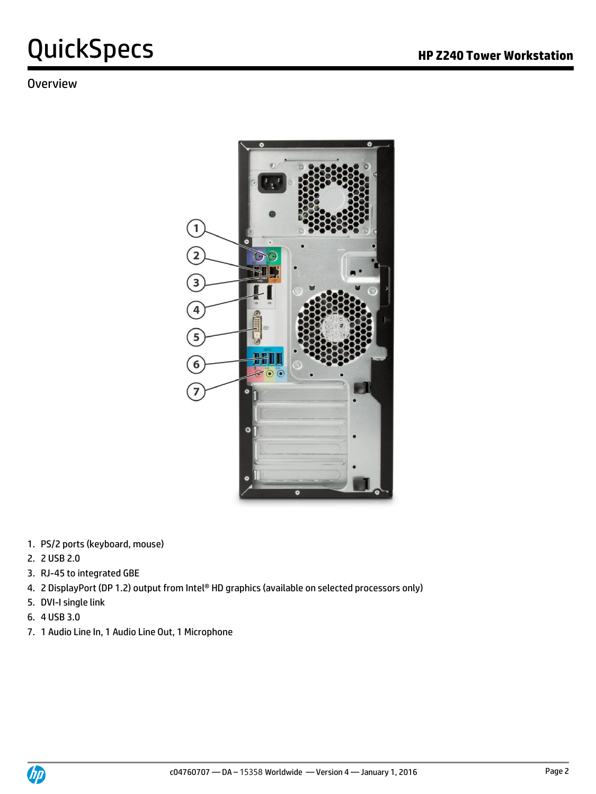# QuickSpecs **Manual Section HP Z240 Tower Workstation**

### Overview



- 1. PS/2 ports (keyboard, mouse)
- 2. 2 USB 2.0
- 3. RJ-45 to integrated GBE
- 4. 2 DisplayPort (DP 1.2) output from Intel® HD graphics (available on selected processors only)
- 5. DVI-I single link
- 6. 4 USB 3.0
- 7. 1 Audio Line In, 1 Audio Line Out, 1 Microphone

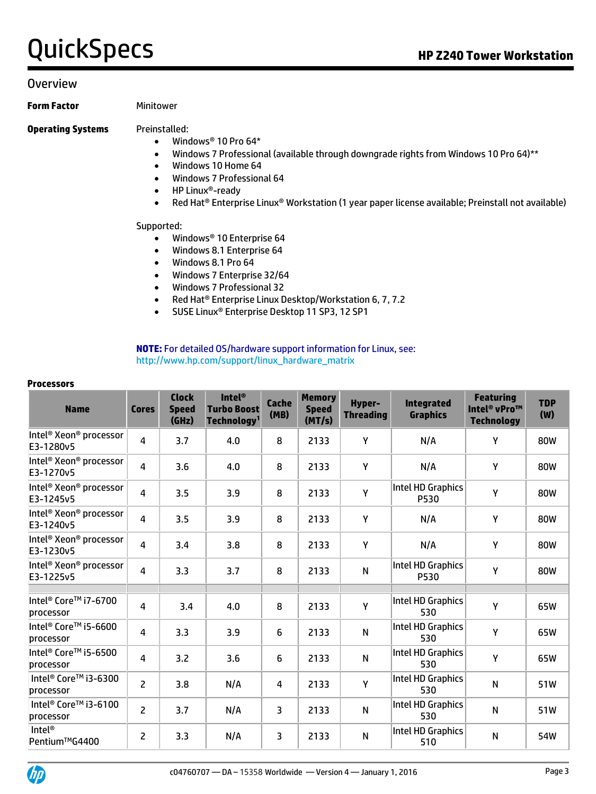#### **Overview**

**Form Factor** Minitower

#### **Operating Systems** Preinstalled:

- Windows® 10 Pro 64\*
- Windows 7 Professional (available through downgrade rights from Windows 10 Pro 64)\*\*
- Windows 10 Home 64
- Windows 7 Professional 64
- HP Linux®-ready
- Red Hat® Enterprise Linux® Workstation (1 year paper license available; Preinstall not available)

#### Supported:

- Windows® 10 Enterprise 64
- Windows 8.1 Enterprise 64
- Windows 8.1 Pro 64
- Windows 7 Enterprise 32/64
- Windows 7 Professional 32
- Red Hat<sup>®</sup> Enterprise Linux Desktop/Workstation 6, 7, 7.2
- SUSE Linux® Enterprise Desktop 11 SP3, 12 SP1

**NOTE:** For detailed OS/hardware support information for Linux, see: [http://www.hp.com/support/linux\\_hardware\\_matrix](http://www.hp.com/support/linux_hardware_matrix)

#### **Processors**

| <b>Name</b>                                                 | <b>Cores</b>   | <b>Clock</b><br><b>Speed</b><br>(GHz) | <b>Intel®</b><br><b>Turbo Boost</b><br>Technology <sup>1</sup> | <b>Cache</b><br>(MB) | <b>Memory</b><br><b>Speed</b><br>(MT/s) | <b>Hyper-</b><br><b>Threading</b> | <b>Integrated</b><br><b>Graphics</b> | <b>Featuring</b><br>Intel <sup>®</sup> vPro™<br><b>Technology</b> | <b>TDP</b><br>(W) |
|-------------------------------------------------------------|----------------|---------------------------------------|----------------------------------------------------------------|----------------------|-----------------------------------------|-----------------------------------|--------------------------------------|-------------------------------------------------------------------|-------------------|
| Intel <sup>®</sup> Xeon <sup>®</sup> processor<br>E3-1280v5 | $\overline{4}$ | 3.7                                   | 4.0                                                            | 8                    | 2133                                    | Y                                 | N/A                                  | Y                                                                 | 80W               |
| Intel <sup>®</sup> Xeon <sup>®</sup> processor<br>E3-1270v5 | $\overline{4}$ | 3.6                                   | 4.0                                                            | 8                    | 2133                                    | Y                                 | N/A                                  | Y                                                                 | 80W               |
| Intel <sup>®</sup> Xeon <sup>®</sup> processor<br>E3-1245v5 | $\overline{4}$ | 3.5                                   | 3.9                                                            | 8                    | 2133                                    | Y                                 | Intel HD Graphics<br>P530            | Y                                                                 | 80W               |
| Intel <sup>®</sup> Xeon® processor<br>E3-1240v5             | $\overline{4}$ | 3.5                                   | 3.9                                                            | 8                    | 2133                                    | Y                                 | N/A                                  | Y                                                                 | 80W               |
| Intel <sup>®</sup> Xeon® processor<br>E3-1230v5             | 4              | 3.4                                   | 3.8                                                            | 8                    | 2133                                    | Y                                 | N/A                                  | Y                                                                 | 80W               |
| Intel <sup>®</sup> Xeon® processor<br>E3-1225v5             | $\overline{4}$ | 3.3                                   | 3.7                                                            | 8                    | 2133                                    | $\mathsf{N}$                      | Intel HD Graphics<br>P530            | Y                                                                 | 80W               |
|                                                             |                |                                       |                                                                |                      |                                         |                                   |                                      |                                                                   |                   |
| Intel® Core™ i7-6700<br>processor                           | 4              | 3.4                                   | 4.0                                                            | 8                    | 2133                                    | $\mathsf{Y}$                      | Intel HD Graphics<br>530             | Y                                                                 | 65W               |
| Intel® Core™ i5-6600<br>processor                           | 4              | 3.3                                   | 3.9                                                            | 6                    | 2133                                    | $\mathsf{N}$                      | Intel HD Graphics<br>530             | Y                                                                 | 65W               |
| Intel® Core™ i5-6500<br>processor                           | 4              | 3.2                                   | 3.6                                                            | 6                    | 2133                                    | $\mathsf{N}$                      | Intel HD Graphics<br>530             | Y                                                                 | 65W               |
| Intel <sup>®</sup> Core™ i3-6300<br>processor               | $\overline{2}$ | 3.8                                   | N/A                                                            | $\overline{a}$       | 2133                                    | Y                                 | Intel HD Graphics<br>530             | $\mathsf{N}$                                                      | 51W               |
| Intel <sup>®</sup> Core™ i3-6100<br>processor               | $\overline{2}$ | 3.7                                   | N/A                                                            | 3                    | 2133                                    | $\mathsf{N}$                      | Intel HD Graphics<br>530             | N                                                                 | 51W               |
| Intel <sup>®</sup><br>Pentium™G4400                         | 2              | 3.3                                   | N/A                                                            | 3                    | 2133                                    | $\mathsf{N}$                      | Intel HD Graphics<br>510             | $\mathsf{N}$                                                      | 54W               |

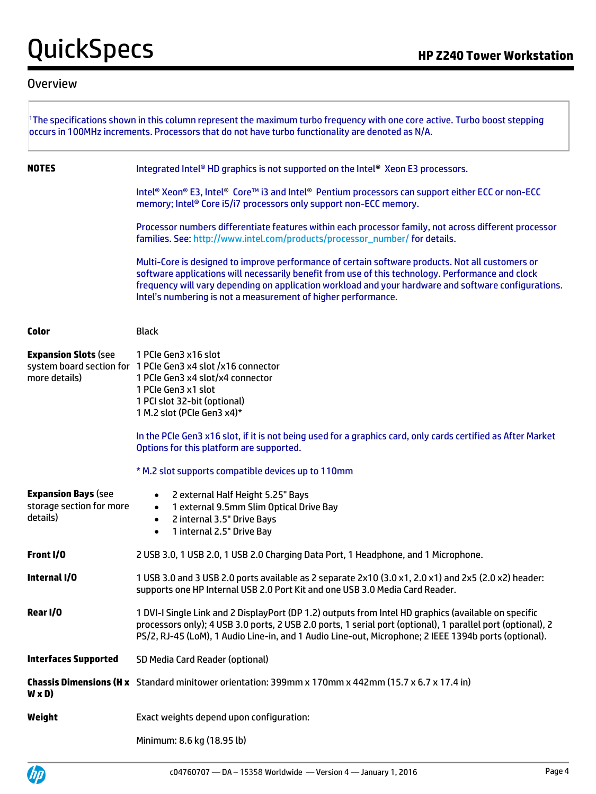#### **Overview**

|                                                                    | The specifications shown in this column represent the maximum turbo frequency with one core active. Turbo boost stepping<br>occurs in 100MHz increments. Processors that do not have turbo functionality are denoted as N/A.                                                                                                                                                   |
|--------------------------------------------------------------------|--------------------------------------------------------------------------------------------------------------------------------------------------------------------------------------------------------------------------------------------------------------------------------------------------------------------------------------------------------------------------------|
| <b>NOTES</b>                                                       | Integrated Intel® HD graphics is not supported on the Intel® Xeon E3 processors.                                                                                                                                                                                                                                                                                               |
|                                                                    | Intel® Xeon® E3, Intel® Core™ i3 and Intel® Pentium processors can support either ECC or non-ECC<br>memory; Intel® Core i5/i7 processors only support non-ECC memory.                                                                                                                                                                                                          |
|                                                                    | Processor numbers differentiate features within each processor family, not across different processor<br>families. See: http://www.intel.com/products/processor_number/ for details.                                                                                                                                                                                           |
|                                                                    | Multi-Core is designed to improve performance of certain software products. Not all customers or<br>software applications will necessarily benefit from use of this technology. Performance and clock<br>frequency will vary depending on application workload and your hardware and software configurations.<br>Intel's numbering is not a measurement of higher performance. |
| Color                                                              | <b>Black</b>                                                                                                                                                                                                                                                                                                                                                                   |
| <b>Expansion Slots (see</b><br>more details)                       | 1 PCIe Gen3 x16 slot<br>system board section for 1 PCIe Gen3 x4 slot /x16 connector<br>1 PCIe Gen3 x4 slot/x4 connector<br>1 PCIe Gen3 x1 slot<br>1 PCI slot 32-bit (optional)<br>1 M.2 slot (PCIe Gen3 x4)*                                                                                                                                                                   |
|                                                                    | In the PCIe Gen3 x16 slot, if it is not being used for a graphics card, only cards certified as After Market<br>Options for this platform are supported.                                                                                                                                                                                                                       |
|                                                                    | * M.2 slot supports compatible devices up to 110mm                                                                                                                                                                                                                                                                                                                             |
| <b>Expansion Bays (see</b><br>storage section for more<br>details) | 2 external Half Height 5.25" Bays<br>$\bullet$<br>1 external 9.5mm Slim Optical Drive Bay<br>$\bullet$<br>2 internal 3.5" Drive Bays<br>$\bullet$<br>1 internal 2.5" Drive Bay<br>$\bullet$                                                                                                                                                                                    |
| Front I/O                                                          | 2 USB 3.0, 1 USB 2.0, 1 USB 2.0 Charging Data Port, 1 Headphone, and 1 Microphone.                                                                                                                                                                                                                                                                                             |
| Internal I/O                                                       | 1 USB 3.0 and 3 USB 2.0 ports available as 2 separate 2x10 (3.0 x1, 2.0 x1) and 2x5 (2.0 x2) header:<br>supports one HP Internal USB 2.0 Port Kit and one USB 3.0 Media Card Reader.                                                                                                                                                                                           |
| Rear I/O                                                           | 1 DVI-I Single Link and 2 DisplayPort (DP 1.2) outputs from Intel HD graphics (available on specific<br>processors only); 4 USB 3.0 ports, 2 USB 2.0 ports, 1 serial port (optional), 1 parallel port (optional), 2<br>PS/2, RJ-45 (LoM), 1 Audio Line-in, and 1 Audio Line-out, Microphone; 2 IEEE 1394b ports (optional).                                                    |
| <b>Interfaces Supported</b>                                        | SD Media Card Reader (optional)                                                                                                                                                                                                                                                                                                                                                |
| W x D)                                                             | <b>Chassis Dimensions (H x</b> Standard minitower orientation: 399mm x 170mm x 442mm (15.7 x 6.7 x 17.4 in)                                                                                                                                                                                                                                                                    |
| Weight                                                             | Exact weights depend upon configuration:                                                                                                                                                                                                                                                                                                                                       |
|                                                                    | Minimum: 8.6 kg (18.95 lb)                                                                                                                                                                                                                                                                                                                                                     |

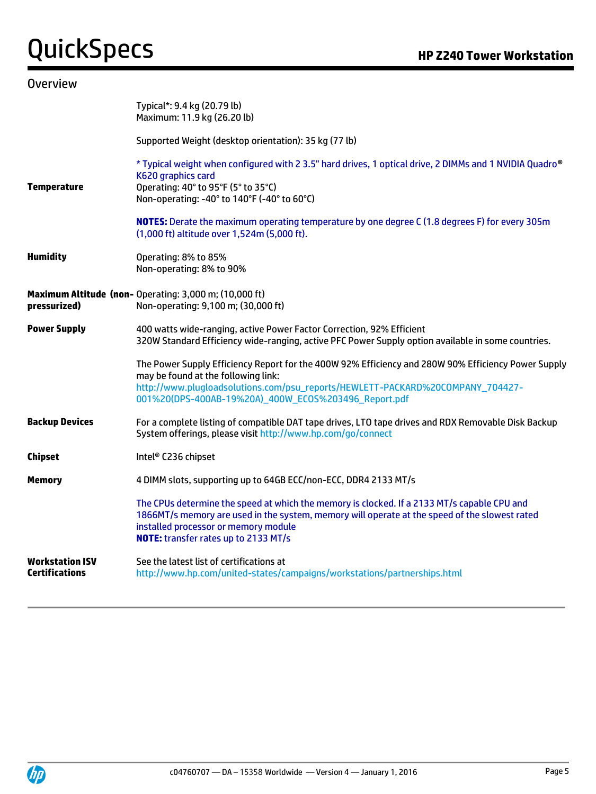| <b>Overview</b>                   |                                                                                                                                                                                                                                                                                      |
|-----------------------------------|--------------------------------------------------------------------------------------------------------------------------------------------------------------------------------------------------------------------------------------------------------------------------------------|
|                                   | Typical*: 9.4 kg (20.79 lb)<br>Maximum: 11.9 kg (26.20 lb)                                                                                                                                                                                                                           |
|                                   | Supported Weight (desktop orientation): 35 kg (77 lb)                                                                                                                                                                                                                                |
| <b>Temperature</b>                | * Typical weight when configured with 2 3.5" hard drives, 1 optical drive, 2 DIMMs and 1 NVIDIA Quadro®<br>K620 graphics card<br>Operating: 40° to 95°F (5° to 35°C)<br>Non-operating: -40° to 140°F (-40° to 60°C)                                                                  |
|                                   | NOTES: Derate the maximum operating temperature by one degree C (1.8 degrees F) for every 305m<br>(1,000 ft) altitude over 1,524m (5,000 ft).                                                                                                                                        |
| <b>Humidity</b>                   | Operating: 8% to 85%<br>Non-operating: 8% to 90%                                                                                                                                                                                                                                     |
| pressurized)                      | Maximum Altitude (non- Operating: 3,000 m; (10,000 ft)<br>Non-operating: 9,100 m; (30,000 ft)                                                                                                                                                                                        |
| <b>Power Supply</b>               | 400 watts wide-ranging, active Power Factor Correction, 92% Efficient<br>320W Standard Efficiency wide-ranging, active PFC Power Supply option available in some countries.                                                                                                          |
|                                   | The Power Supply Efficiency Report for the 400W 92% Efficiency and 280W 90% Efficiency Power Supply<br>may be found at the following link:<br>http://www.plugloadsolutions.com/psu_reports/HEWLETT-PACKARD%20COMPANY_704427-<br>001%20(DPS-400AB-19%20A)_400W_EC0S%203496_Report.pdf |
| <b>Backup Devices</b>             | For a complete listing of compatible DAT tape drives, LTO tape drives and RDX Removable Disk Backup<br>System offerings, please visit http://www.hp.com/go/connect                                                                                                                   |
| Chipset                           | Intel® C236 chipset                                                                                                                                                                                                                                                                  |
| Memory                            | 4 DIMM slots, supporting up to 64GB ECC/non-ECC, DDR4 2133 MT/s                                                                                                                                                                                                                      |
|                                   | The CPUs determine the speed at which the memory is clocked. If a 2133 MT/s capable CPU and<br>1866MT/s memory are used in the system, memory will operate at the speed of the slowest rated<br>installed processor or memory module<br>NOTE: transfer rates up to 2133 MT/s         |
| Workstation ISV<br>Certifications | See the latest list of certifications at<br>http://www.hp.com/united-states/campaigns/workstations/partnerships.html                                                                                                                                                                 |

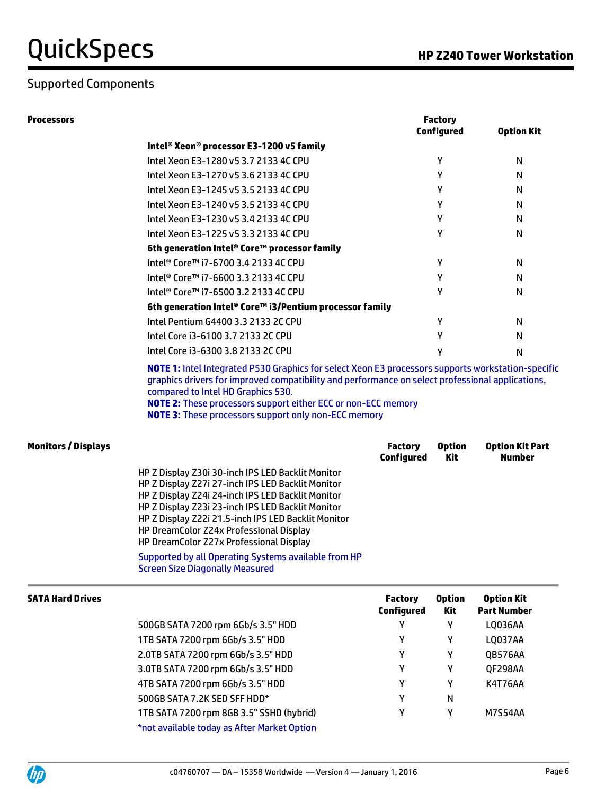### Supported Components

| <b>Processors</b>          |                                                                                                                                                                                                                                                                                                                                                                                                                                                                 |                                     | <b>Factory</b><br><b>Configured</b> | <b>Option Kit</b>                       |
|----------------------------|-----------------------------------------------------------------------------------------------------------------------------------------------------------------------------------------------------------------------------------------------------------------------------------------------------------------------------------------------------------------------------------------------------------------------------------------------------------------|-------------------------------------|-------------------------------------|-----------------------------------------|
|                            | Intel® Xeon® processor E3-1200 v5 family                                                                                                                                                                                                                                                                                                                                                                                                                        |                                     |                                     |                                         |
|                            | Intel Xeon E3-1280 v5 3.7 2133 4C CPU                                                                                                                                                                                                                                                                                                                                                                                                                           |                                     | Υ                                   | N                                       |
|                            | Intel Xeon E3-1270 v5 3.6 2133 4C CPU                                                                                                                                                                                                                                                                                                                                                                                                                           |                                     | Υ                                   | N                                       |
|                            | Intel Xeon E3-1245 v5 3.5 2133 4C CPU                                                                                                                                                                                                                                                                                                                                                                                                                           |                                     | Υ                                   | N                                       |
|                            | Intel Xeon E3-1240 v5 3.5 2133 4C CPU                                                                                                                                                                                                                                                                                                                                                                                                                           |                                     | Υ                                   | N                                       |
|                            | Intel Xeon E3-1230 v5 3.4 2133 4C CPU                                                                                                                                                                                                                                                                                                                                                                                                                           |                                     | Υ                                   | N                                       |
|                            | Intel Xeon E3-1225 v5 3.3 2133 4C CPU                                                                                                                                                                                                                                                                                                                                                                                                                           |                                     | Υ                                   | N                                       |
|                            | 6th generation Intel® Core™ processor family                                                                                                                                                                                                                                                                                                                                                                                                                    |                                     |                                     |                                         |
|                            | Intel <sup>®</sup> Core™ i7-6700 3.4 2133 4C CPU                                                                                                                                                                                                                                                                                                                                                                                                                |                                     | Υ                                   | N                                       |
|                            | Intel <sup>®</sup> Core™ i7-6600 3.3 2133 4C CPU                                                                                                                                                                                                                                                                                                                                                                                                                |                                     | Υ                                   | N                                       |
|                            | Intel <sup>®</sup> Core™ i7-6500 3.2 2133 4C CPU                                                                                                                                                                                                                                                                                                                                                                                                                |                                     | Υ                                   | N                                       |
|                            | 6th generation Intel® Core™ i3/Pentium processor family                                                                                                                                                                                                                                                                                                                                                                                                         |                                     |                                     |                                         |
|                            | Intel Pentium G4400 3.3 2133 2C CPU                                                                                                                                                                                                                                                                                                                                                                                                                             |                                     | Υ                                   | N                                       |
|                            | Intel Core i3-6100 3.7 2133 2C CPU                                                                                                                                                                                                                                                                                                                                                                                                                              |                                     | Υ                                   | N                                       |
|                            | Intel Core i3-6300 3.8 2133 2C CPU                                                                                                                                                                                                                                                                                                                                                                                                                              |                                     | Υ                                   | N                                       |
|                            | compared to Intel HD Graphics 530.<br><b>NOTE 2:</b> These processors support either ECC or non-ECC memory<br><b>NOTE 3:</b> These processors support only non-ECC memory                                                                                                                                                                                                                                                                                       |                                     |                                     |                                         |
| <b>Monitors / Displays</b> |                                                                                                                                                                                                                                                                                                                                                                                                                                                                 | <b>Factory</b><br><b>Configured</b> | <b>Option</b><br>Kit                | <b>Option Kit Part</b><br>Number        |
|                            | HP Z Display Z30i 30-inch IPS LED Backlit Monitor<br>HP Z Display Z27i 27-inch IPS LED Backlit Monitor<br>HP Z Display Z24i 24-inch IPS LED Backlit Monitor<br>HP Z Display Z23i 23-inch IPS LED Backlit Monitor<br>HP Z Display Z22i 21.5-inch IPS LED Backlit Monitor<br>HP DreamColor Z24x Professional Display<br>HP DreamColor Z27x Professional Display<br>Supported by all Operating Systems available from HP<br><b>Screen Size Diagonally Measured</b> |                                     |                                     |                                         |
| <b>SATA Hard Drives</b>    |                                                                                                                                                                                                                                                                                                                                                                                                                                                                 | <b>Factory</b><br><b>Configured</b> | <b>Option</b><br>Kit                | <b>Option Kit</b><br><b>Part Number</b> |
|                            | 500GB SATA 7200 rpm 6Gb/s 3.5" HDD                                                                                                                                                                                                                                                                                                                                                                                                                              | Υ                                   | Υ                                   | LQ036AA                                 |
|                            | 1TB SATA 7200 rpm 6Gb/s 3.5" HDD                                                                                                                                                                                                                                                                                                                                                                                                                                | Υ                                   | Υ                                   | LQ037AA                                 |
|                            | 2.0TB SATA 7200 rpm 6Gb/s 3.5" HDD                                                                                                                                                                                                                                                                                                                                                                                                                              | Y                                   | Y                                   | QB576AA                                 |
|                            | 3.0TB SATA 7200 rpm 6Gb/s 3.5" HDD                                                                                                                                                                                                                                                                                                                                                                                                                              | Υ                                   | Y                                   | QF298AA                                 |
|                            | 4TB SATA 7200 rpm 6Gb/s 3.5" HDD                                                                                                                                                                                                                                                                                                                                                                                                                                | Y                                   | Y                                   | <b>K4T76AA</b>                          |
|                            | 500GB SATA 7.2K SED SFF HDD*                                                                                                                                                                                                                                                                                                                                                                                                                                    | Y                                   | N                                   |                                         |
|                            | 1TB SATA 7200 rpm 8GB 3.5" SSHD (hybrid)                                                                                                                                                                                                                                                                                                                                                                                                                        | Y                                   | Υ                                   | <b>M7S54AA</b>                          |
|                            | *not available today as After Market Option                                                                                                                                                                                                                                                                                                                                                                                                                     |                                     |                                     |                                         |

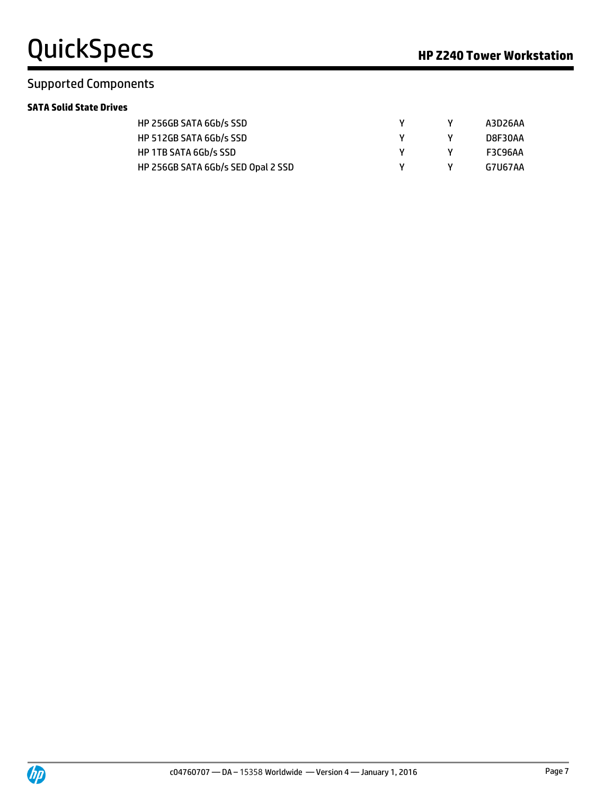### Supported Components

#### **SATA Solid State Drives**

| HP 256GB SATA 6Gb/s SSD            |  | A3D26AA        |
|------------------------------------|--|----------------|
| HP 512GB SATA 6Gb/s SSD            |  | D8F30AA        |
| HP 1TB SATA 6Gb/s SSD              |  | <b>F3C96AA</b> |
| HP 256GB SATA 6Gb/s SED Opal 2 SSD |  | G7U67AA        |

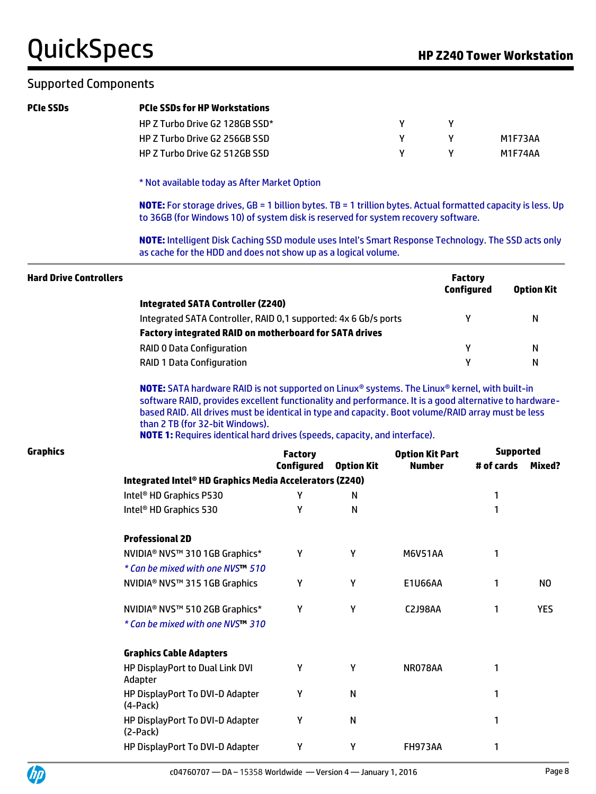# QuickSpecs **Manual Section HP Z240 Tower Workstation**

### Supported Components

| <b>PCIe SSDs</b>              | <b>PCIe SSDs for HP Workstations</b>                                                                                                                                                                                                                                                                                                |                   |                   |                        |                                     |                   |
|-------------------------------|-------------------------------------------------------------------------------------------------------------------------------------------------------------------------------------------------------------------------------------------------------------------------------------------------------------------------------------|-------------------|-------------------|------------------------|-------------------------------------|-------------------|
|                               | HP Z Turbo Drive G2 128GB SSD*                                                                                                                                                                                                                                                                                                      |                   |                   | Y<br>Υ                 |                                     |                   |
|                               | HP Z Turbo Drive G2 256GB SSD                                                                                                                                                                                                                                                                                                       |                   |                   | Y<br>Υ                 |                                     | M1F73AA           |
|                               | HP Z Turbo Drive G2 512GB SSD                                                                                                                                                                                                                                                                                                       |                   |                   | Y<br>Y                 |                                     | M1F74AA           |
|                               | * Not available today as After Market Option                                                                                                                                                                                                                                                                                        |                   |                   |                        |                                     |                   |
|                               | NOTE: For storage drives, GB = 1 billion bytes. TB = 1 trillion bytes. Actual formatted capacity is less. Up<br>to 36GB (for Windows 10) of system disk is reserved for system recovery software.                                                                                                                                   |                   |                   |                        |                                     |                   |
|                               | NOTE: Intelligent Disk Caching SSD module uses Intel's Smart Response Technology. The SSD acts only<br>as cache for the HDD and does not show up as a logical volume.                                                                                                                                                               |                   |                   |                        |                                     |                   |
| <b>Hard Drive Controllers</b> |                                                                                                                                                                                                                                                                                                                                     |                   |                   |                        | <b>Factory</b><br><b>Configured</b> | <b>Option Kit</b> |
|                               | <b>Integrated SATA Controller (Z240)</b>                                                                                                                                                                                                                                                                                            |                   |                   |                        |                                     |                   |
|                               | Integrated SATA Controller, RAID 0,1 supported: 4x 6 Gb/s ports                                                                                                                                                                                                                                                                     |                   |                   |                        | Y                                   | N                 |
|                               | Factory integrated RAID on motherboard for SATA drives                                                                                                                                                                                                                                                                              |                   |                   |                        |                                     |                   |
|                               | <b>RAID 0 Data Configuration</b>                                                                                                                                                                                                                                                                                                    |                   |                   |                        | Υ                                   | N                 |
|                               | <b>RAID 1 Data Configuration</b>                                                                                                                                                                                                                                                                                                    |                   |                   |                        | Υ                                   | N                 |
|                               | software RAID, provides excellent functionality and performance. It is a good alternative to hardware-<br>based RAID. All drives must be identical in type and capacity. Boot volume/RAID array must be less<br>than 2 TB (for 32-bit Windows).<br><b>NOTE 1:</b> Requires identical hard drives (speeds, capacity, and interface). |                   |                   |                        |                                     |                   |
| <b>Graphics</b>               |                                                                                                                                                                                                                                                                                                                                     | <b>Factory</b>    |                   | <b>Option Kit Part</b> |                                     | <b>Supported</b>  |
|                               |                                                                                                                                                                                                                                                                                                                                     | <b>Configured</b> | <b>Option Kit</b> | <b>Number</b>          | # of cards                          | Mixed?            |
|                               | Integrated Intel® HD Graphics Media Accelerators (Z240)<br>Intel <sup>®</sup> HD Graphics P530                                                                                                                                                                                                                                      | Υ                 | N                 |                        | 1                                   |                   |
|                               | Intel <sup>®</sup> HD Graphics 530                                                                                                                                                                                                                                                                                                  | Υ                 | N                 |                        | 1                                   |                   |
|                               | <b>Professional 2D</b>                                                                                                                                                                                                                                                                                                              |                   |                   |                        |                                     |                   |
|                               | NVIDIA <sup>®</sup> NVS™ 310 1GB Graphics*                                                                                                                                                                                                                                                                                          | Υ                 | Υ                 | M6V51AA                | 1                                   |                   |
|                               | * Can be mixed with one NVS™ 510                                                                                                                                                                                                                                                                                                    |                   |                   |                        |                                     |                   |
|                               | NVIDIA <sup>®</sup> NVS™ 315 1GB Graphics                                                                                                                                                                                                                                                                                           | Υ                 | Υ                 | <b>E1U66AA</b>         | 1                                   | N <sub>O</sub>    |
|                               | NVIDIA® NVS™ 510 2GB Graphics*                                                                                                                                                                                                                                                                                                      | Υ                 | Υ                 | <b>C2J98AA</b>         | 1                                   | <b>YES</b>        |
|                               | * Can be mixed with one NVS <sup>TM</sup> 310                                                                                                                                                                                                                                                                                       |                   |                   |                        |                                     |                   |
|                               | <b>Graphics Cable Adapters</b>                                                                                                                                                                                                                                                                                                      |                   |                   |                        |                                     |                   |
|                               | HP DisplayPort to Dual Link DVI<br>Adapter                                                                                                                                                                                                                                                                                          | Y                 | Υ                 | NR078AA                | 1                                   |                   |
|                               | HP DisplayPort To DVI-D Adapter                                                                                                                                                                                                                                                                                                     | Y                 | N                 |                        |                                     |                   |

HP DisplayPort To DVI-D Adapter  $Y$  Y TH973AA 1

Y N 1



(4-Pack)

(2-Pack)

HP DisplayPort To DVI-D Adapter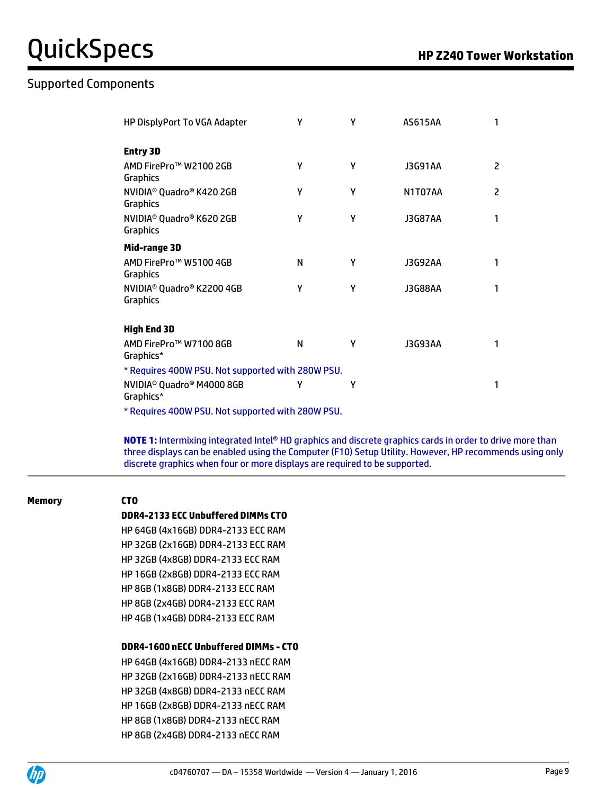### Supported Components

| HP DisplyPort To VGA Adapter                                        | γ | γ | AS615AA        | 1              |  |  |
|---------------------------------------------------------------------|---|---|----------------|----------------|--|--|
| <b>Entry 3D</b>                                                     |   |   |                |                |  |  |
| AMD FirePro™ W2100 2GB<br>Graphics                                  | γ | γ | <b>J3G91AA</b> | 2              |  |  |
| NVIDIA <sup>®</sup> Quadro <sup>®</sup> K420 2GB<br><b>Graphics</b> | Υ | γ | N1T07AA        | $\overline{2}$ |  |  |
| NVIDIA <sup>®</sup> Quadro® K620 2GB<br>Graphics                    | γ | γ | <b>J3G87AA</b> | 1              |  |  |
| Mid-range 3D                                                        |   |   |                |                |  |  |
| AMD FirePro™ W5100 4GB<br><b>Graphics</b>                           | N | γ | <b>J3G92AA</b> | 1              |  |  |
| NVIDIA <sup>®</sup> Quadro® K2200 4GB<br><b>Graphics</b>            | γ | γ | J3G88AA        | 1              |  |  |
| <b>High End 3D</b>                                                  |   |   |                |                |  |  |
| AMD FirePro™ W7100 8GB<br>Graphics*                                 | N | γ | J3G93AA        | 1              |  |  |
| * Requires 400W PSU. Not supported with 280W PSU.                   |   |   |                |                |  |  |
| NVIDIA <sup>®</sup> Quadro <sup>®</sup> M4000 8GB<br>Graphics*      | γ | γ |                | 1              |  |  |
| * Requires 400W PSU. Not supported with 280W PSU.                   |   |   |                |                |  |  |

**NOTE 1:** Intermixing integrated Intel® HD graphics and discrete graphics cards in order to drive more than three displays can be enabled using the Computer (F10) Setup Utility. However, HP recommends using only discrete graphics when four or more displays are required to be supported.

#### **Memory CTO**

#### **DDR4-2133 ECC Unbuffered DIMMs CTO**

HP 64GB (4x16GB) DDR4-2133 ECC RAM HP 32GB (2x16GB) DDR4-2133 ECC RAM HP 32GB (4x8GB) DDR4-2133 ECC RAM HP 16GB (2x8GB) DDR4-2133 ECC RAM HP 8GB (1x8GB) DDR4-2133 ECC RAM HP 8GB (2x4GB) DDR4-2133 ECC RAM HP 4GB (1x4GB) DDR4-2133 ECC RAM

#### **DDR4-1600 nECC Unbuffered DIMMs - CTO**

HP 64GB (4x16GB) DDR4-2133 nECC RAM HP 32GB (2x16GB) DDR4-2133 nECC RAM HP 32GB (4x8GB) DDR4-2133 nECC RAM HP 16GB (2x8GB) DDR4-2133 nECC RAM HP 8GB (1x8GB) DDR4-2133 nECC RAM HP 8GB (2x4GB) DDR4-2133 nECC RAM

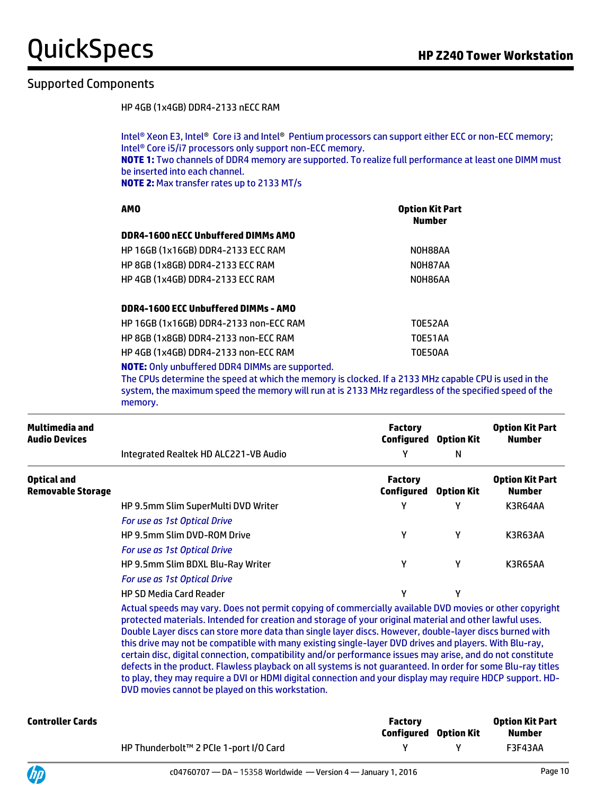# **QuickSpecs Manufacture Contract Contract Property** The Research of the **HP Z240 Tower Workstation**

### Supported Components

HP 4GB (1x4GB) DDR4-2133 nECC RAM

Intel® Xeon E3, Intel® Core i3 and Intel® Pentium processors can support either ECC or non-ECC memory; Intel® Core i5/i7 processors only support non-ECC memory. **NOTE 1:** Two channels of DDR4 memory are supported. To realize full performance at least one DIMM must be inserted into each channel. **NOTE 2:** Max transfer rates up to 2133 MT/s

| <b>AMO</b>                                | <b>Option Kit Part</b><br><b>Number</b> |
|-------------------------------------------|-----------------------------------------|
| DDR4-1600 nECC Unbuffered DIMMs AMO       |                                         |
| <b>HP 16GB (1x16GB) DDR4-2133 ECC RAM</b> | NOH88AA                                 |
| <b>HP 8GB (1x8GB) DDR4-2133 ECC RAM</b>   | NOH87AA                                 |
| <b>HP 4GB (1x4GB) DDR4-2133 ECC RAM</b>   | NOH86AA                                 |
| DDR4-1600 ECC Unbuffered DIMMs - AMO      |                                         |
| HP 16GB (1x16GB) DDR4-2133 non-ECC RAM    | <b>TOE52AA</b>                          |
| HP 8GB (1x8GB) DDR4-2133 non-ECC RAM      | <b>T0E51AA</b>                          |

HP 4GB (1x4GB) DDR4-2133 non-ECC RAM T0E50AA **NOTE:** Only unbuffered DDR4 DIMMs are supported.

The CPUs determine the speed at which the memory is clocked. If a 2133 MHz capable CPU is used in the

system, the maximum speed the memory will run at is 2133 MHz regardless of the specified speed of the memory.

| Multimedia and<br><b>Audio Devices</b>  |                                       | <b>Factory</b><br>Configured | <b>Option Kit</b> | <b>Option Kit Part</b><br><b>Number</b> |  |
|-----------------------------------------|---------------------------------------|------------------------------|-------------------|-----------------------------------------|--|
|                                         | Integrated Realtek HD ALC221-VB Audio | γ                            | N                 |                                         |  |
| Optical and<br><b>Removable Storage</b> |                                       | <b>Factory</b><br>Configured | <b>Option Kit</b> | <b>Option Kit Part</b><br><b>Number</b> |  |
|                                         | HP 9.5mm Slim SuperMulti DVD Writer   | γ                            | v                 | K3R64AA                                 |  |
|                                         | For use as 1st Optical Drive          |                              |                   |                                         |  |
|                                         | <b>HP 9.5mm Slim DVD-ROM Drive</b>    | γ                            | γ                 | K3R63AA                                 |  |
|                                         | For use as 1st Optical Drive          |                              |                   |                                         |  |
|                                         | HP 9.5mm Slim BDXL Blu-Ray Writer     | γ                            | γ                 | K3R65AA                                 |  |
|                                         | For use as 1st Optical Drive          |                              |                   |                                         |  |
|                                         | <b>HP SD Media Card Reader</b>        | γ                            | v                 |                                         |  |

Actual speeds may vary. Does not permit copying of commercially available DVD movies or other copyright protected materials. Intended for creation and storage of your original material and other lawful uses. Double Layer discs can store more data than single layer discs. However, double-layer discs burned with this drive may not be compatible with many existing single-layer DVD drives and players. With Blu-ray, certain disc, digital connection, compatibility and/or performance issues may arise, and do not constitute defects in the product. Flawless playback on all systems is not guaranteed. In order for some Blu-ray titles to play, they may require a DVI or HDMI digital connection and your display may require HDCP support. HD-DVD movies cannot be played on this workstation.

| Controller Cards |                                        | <b>Factory</b><br><b>Configured</b> Option Kit | <b>Option Kit Part</b><br>Number |
|------------------|----------------------------------------|------------------------------------------------|----------------------------------|
|                  | HP Thunderbolt™ 2 PCIe 1-port I/O Card |                                                | F3F43AA                          |

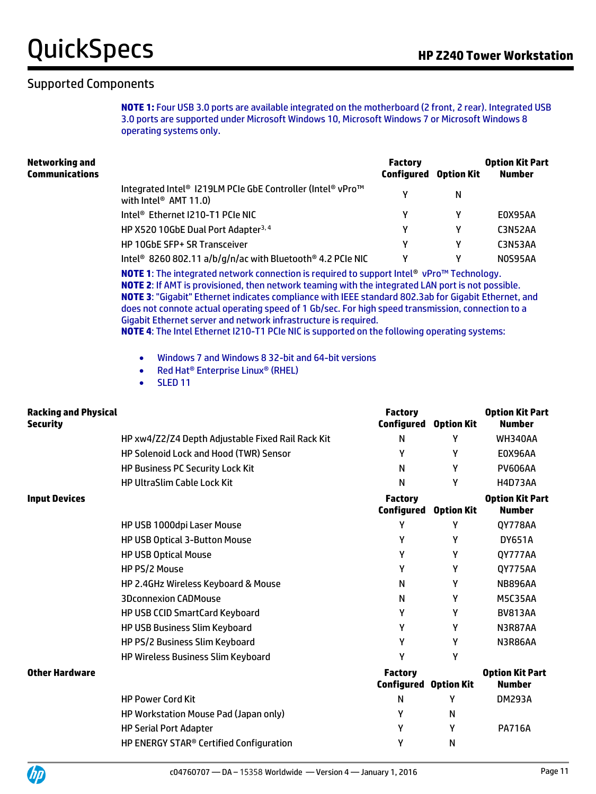#### Supported Components

**NOTE 1:** Four USB 3.0 ports are available integrated on the motherboard (2 front, 2 rear). Integrated USB 3.0 ports are supported under Microsoft Windows 10, Microsoft Windows 7 or Microsoft Windows 8 operating systems only.

| <b>Factory</b>                                                                          |   | <b>Option Kit Part</b><br>Number |
|-----------------------------------------------------------------------------------------|---|----------------------------------|
| Integrated Intel® I219LM PCIe GbE Controller (Intel® vPro™<br>v                         | N |                                  |
|                                                                                         |   | E0X95AA                          |
| γ                                                                                       | γ | C3N52AA                          |
| γ                                                                                       | v | C3N53AA                          |
| Intel <sup>®</sup> 8260 802.11 a/b/g/n/ac with Bluetooth <sup>®</sup> 4.2 PCIe NIC<br>γ |   | <b>NOS95AA</b>                   |
|                                                                                         |   | <b>Configured Option Kit</b>     |

**NOTE 1**: The integrated network connection is required to support Intel® vPro™ Technology. **NOTE 2**: If AMT is provisioned, then network teaming with the integrated LAN port is not possible. **NOTE 3**: "Gigabit" Ethernet indicates compliance with IEEE standard 802.3ab for Gigabit Ethernet, and does not connote actual operating speed of 1 Gb/sec. For high speed transmission, connection to a Gigabit Ethernet server and network infrastructure is required.

**NOTE 4**: The Intel Ethernet I210-T1 PCIe NIC is supported on the following operating systems:

- Windows 7 and Windows 8 32-bit and 64-bit versions
- Red Hat<sup>®</sup> Enterprise Linux<sup>®</sup> (RHEL)
- SLED 11

| <b>Racking and Physical</b><br><b>Security</b> |                                                     | <b>Factory</b><br>Configured        | <b>Option Kit</b> | <b>Option Kit Part</b><br><b>Number</b> |
|------------------------------------------------|-----------------------------------------------------|-------------------------------------|-------------------|-----------------------------------------|
|                                                | HP xw4/Z2/Z4 Depth Adjustable Fixed Rail Rack Kit   | N                                   | γ                 | <b>WH340AA</b>                          |
|                                                | <b>HP Solenoid Lock and Hood (TWR) Sensor</b>       | γ                                   | γ                 | E0X96AA                                 |
|                                                | <b>HP Business PC Security Lock Kit</b>             | N                                   | Υ                 | <b>PV606AA</b>                          |
|                                                | <b>HP UltraSlim Cable Lock Kit</b>                  | N                                   | Υ                 | <b>H4D73AA</b>                          |
| <b>Input Devices</b>                           |                                                     | <b>Factory</b><br><b>Configured</b> | <b>Option Kit</b> | <b>Option Kit Part</b><br><b>Number</b> |
|                                                | HP USB 1000dpi Laser Mouse                          | γ                                   | Υ                 | QY778AA                                 |
|                                                | HP USB Optical 3-Button Mouse                       | γ                                   | γ                 | <b>DY651A</b>                           |
|                                                | <b>HP USB Optical Mouse</b>                         | Υ                                   | Υ                 | QY777AA                                 |
|                                                | HP PS/2 Mouse                                       | γ                                   | Υ                 | <b>QY775AA</b>                          |
|                                                | HP 2.4GHz Wireless Keyboard & Mouse                 | N                                   | Y                 | <b>NB896AA</b>                          |
|                                                | <b>3Dconnexion CADMouse</b>                         | N                                   | Υ                 | M5C35AA                                 |
|                                                | HP USB CCID SmartCard Keyboard                      | γ                                   | Υ                 | <b>BV813AA</b>                          |
|                                                | HP USB Business Slim Keyboard                       | γ                                   | Υ                 | N3R87AA                                 |
|                                                | HP PS/2 Business Slim Keyboard                      | Υ                                   | Υ                 | N3R86AA                                 |
|                                                | HP Wireless Business Slim Keyboard                  | γ                                   | Υ                 |                                         |
| <b>Other Hardware</b>                          |                                                     | <b>Factory</b><br>Configured        | <b>Option Kit</b> | <b>Option Kit Part</b><br><b>Number</b> |
|                                                | <b>HP Power Cord Kit</b>                            | N                                   | γ                 | <b>DM293A</b>                           |
|                                                | HP Workstation Mouse Pad (Japan only)               | γ                                   | N                 |                                         |
|                                                | <b>HP Serial Port Adapter</b>                       | γ                                   | Υ                 | <b>PA716A</b>                           |
|                                                | HP ENERGY STAR <sup>®</sup> Certified Configuration | γ                                   | N                 |                                         |

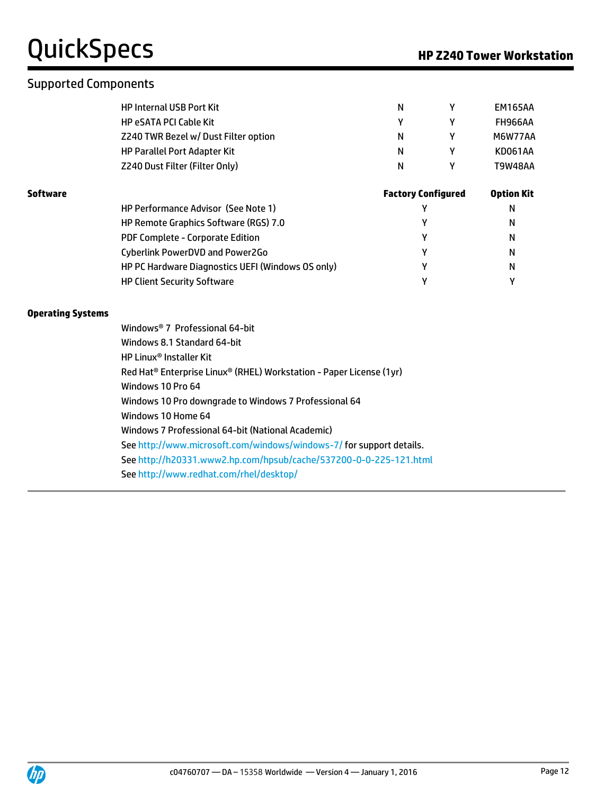### Supported Components

| N  | EM165AA |
|----|---------|
|    | FH966AA |
| N  | M6W77AA |
| N  | KD061AA |
| N. | T9W48AA |
|    |         |

| Software |                                                   | <b>Factory Configured</b> | <b>Option Kit</b> |
|----------|---------------------------------------------------|---------------------------|-------------------|
|          | HP Performance Advisor (See Note 1)               |                           | N                 |
|          | HP Remote Graphics Software (RGS) 7.0             |                           | N                 |
|          | PDF Complete - Corporate Edition                  |                           | N                 |
|          | Cyberlink PowerDVD and Power2Go                   | ν                         | N                 |
|          | HP PC Hardware Diagnostics UEFI (Windows OS only) |                           | N                 |
|          | <b>HP Client Security Software</b>                | ν                         |                   |

#### **Operating Systems**

| Windows® 7 Professional 64-bit                                                              |
|---------------------------------------------------------------------------------------------|
| Windows 8.1 Standard 64-bit                                                                 |
| <b>HP Linux<sup>®</sup> Installer Kit</b>                                                   |
| Red Hat <sup>®</sup> Enterprise Linux <sup>®</sup> (RHEL) Workstation - Paper License (1yr) |
| Windows 10 Pro 64                                                                           |
| Windows 10 Pro downgrade to Windows 7 Professional 64                                       |
| Windows 10 Home 64                                                                          |
| Windows 7 Professional 64-bit (National Academic)                                           |
| See http://www.microsoft.com/windows/windows-7/ for support details.                        |
| See http://h20331.www2.hp.com/hpsub/cache/537200-0-0-225-121.html                           |
| See http://www.redhat.com/rhel/desktop/                                                     |

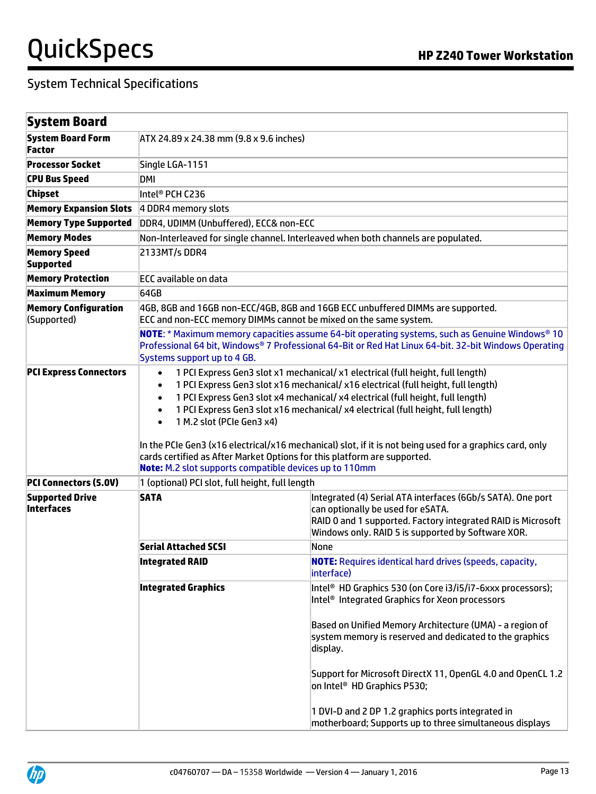| System Board                                                                                                                                                                                                                                  |                                                                                                                                                                                                                                                                                                                                                                                                                                                                                                                                                                                                                                                                                             |                                                                                                                                                                                                                        |  |
|-----------------------------------------------------------------------------------------------------------------------------------------------------------------------------------------------------------------------------------------------|---------------------------------------------------------------------------------------------------------------------------------------------------------------------------------------------------------------------------------------------------------------------------------------------------------------------------------------------------------------------------------------------------------------------------------------------------------------------------------------------------------------------------------------------------------------------------------------------------------------------------------------------------------------------------------------------|------------------------------------------------------------------------------------------------------------------------------------------------------------------------------------------------------------------------|--|
| <b>System Board Form</b>                                                                                                                                                                                                                      | ATX 24.89 x 24.38 mm (9.8 x 9.6 inches)                                                                                                                                                                                                                                                                                                                                                                                                                                                                                                                                                                                                                                                     |                                                                                                                                                                                                                        |  |
| Factor                                                                                                                                                                                                                                        |                                                                                                                                                                                                                                                                                                                                                                                                                                                                                                                                                                                                                                                                                             |                                                                                                                                                                                                                        |  |
| <b>Processor Socket</b>                                                                                                                                                                                                                       | Single LGA-1151                                                                                                                                                                                                                                                                                                                                                                                                                                                                                                                                                                                                                                                                             |                                                                                                                                                                                                                        |  |
| <b>CPU Bus Speed</b>                                                                                                                                                                                                                          | DMI                                                                                                                                                                                                                                                                                                                                                                                                                                                                                                                                                                                                                                                                                         |                                                                                                                                                                                                                        |  |
| <b>Chipset</b>                                                                                                                                                                                                                                | Intel® PCH C236                                                                                                                                                                                                                                                                                                                                                                                                                                                                                                                                                                                                                                                                             |                                                                                                                                                                                                                        |  |
| <b>Memory Expansion Slots</b>                                                                                                                                                                                                                 | 4 DDR4 memory slots                                                                                                                                                                                                                                                                                                                                                                                                                                                                                                                                                                                                                                                                         |                                                                                                                                                                                                                        |  |
| <b>Memory Type Supported</b>                                                                                                                                                                                                                  | DDR4, UDIMM (Unbuffered), ECC& non-ECC                                                                                                                                                                                                                                                                                                                                                                                                                                                                                                                                                                                                                                                      |                                                                                                                                                                                                                        |  |
| <b>Memory Modes</b>                                                                                                                                                                                                                           |                                                                                                                                                                                                                                                                                                                                                                                                                                                                                                                                                                                                                                                                                             | Non-Interleaved for single channel. Interleaved when both channels are populated.                                                                                                                                      |  |
| <b>Memory Speed</b><br><b>Supported</b>                                                                                                                                                                                                       | 2133MT/s DDR4                                                                                                                                                                                                                                                                                                                                                                                                                                                                                                                                                                                                                                                                               |                                                                                                                                                                                                                        |  |
| <b>Memory Protection</b>                                                                                                                                                                                                                      | <b>ECC</b> available on data                                                                                                                                                                                                                                                                                                                                                                                                                                                                                                                                                                                                                                                                |                                                                                                                                                                                                                        |  |
| <b>Maximum Memory</b>                                                                                                                                                                                                                         | 64GB                                                                                                                                                                                                                                                                                                                                                                                                                                                                                                                                                                                                                                                                                        |                                                                                                                                                                                                                        |  |
| <b>Memory Configuration</b><br>(Supported)                                                                                                                                                                                                    | ECC and non-ECC memory DIMMs cannot be mixed on the same system.                                                                                                                                                                                                                                                                                                                                                                                                                                                                                                                                                                                                                            | 4GB, 8GB and 16GB non-ECC/4GB, 8GB and 16GB ECC unbuffered DIMMs are supported.                                                                                                                                        |  |
| <b>NOTE:</b> * Maximum memory capacities assume 64-bit operating systems, such as Genuine Windows® 10<br>Professional 64 bit, Windows® 7 Professional 64-Bit or Red Hat Linux 64-bit. 32-bit Windows Operating<br>Systems support up to 4 GB. |                                                                                                                                                                                                                                                                                                                                                                                                                                                                                                                                                                                                                                                                                             |                                                                                                                                                                                                                        |  |
| <b>PCI Express Connectors</b>                                                                                                                                                                                                                 | 1 PCI Express Gen3 slot x1 mechanical/ x1 electrical (full height, full length)<br>$\bullet$<br>1 PCI Express Gen3 slot x16 mechanical/ x16 electrical (full height, full length)<br>$\bullet$<br>1 PCI Express Gen3 slot x4 mechanical/ x4 electrical (full height, full length)<br>$\bullet$<br>1 PCI Express Gen3 slot x16 mechanical/ x4 electrical (full height, full length)<br>$\bullet$<br>1 M.2 slot (PCIe Gen3 x4)<br>$\bullet$<br>In the PCIe Gen3 (x16 electrical/x16 mechanical) slot, if it is not being used for a graphics card, only<br>cards certified as After Market Options for this platform are supported.<br>Note: M.2 slot supports compatible devices up to 110mm |                                                                                                                                                                                                                        |  |
| <b>PCI Connectors (5.0V)</b>                                                                                                                                                                                                                  | 1 (optional) PCI slot, full height, full length                                                                                                                                                                                                                                                                                                                                                                                                                                                                                                                                                                                                                                             |                                                                                                                                                                                                                        |  |
| <b>Supported Drive</b><br>Interfaces                                                                                                                                                                                                          | <b>SATA</b>                                                                                                                                                                                                                                                                                                                                                                                                                                                                                                                                                                                                                                                                                 | Integrated (4) Serial ATA interfaces (6Gb/s SATA). One port<br>can optionally be used for eSATA.<br>RAID 0 and 1 supported. Factory integrated RAID is Microsoft<br>Windows only. RAID 5 is supported by Software XOR. |  |
|                                                                                                                                                                                                                                               | <b>Serial Attached SCSI</b>                                                                                                                                                                                                                                                                                                                                                                                                                                                                                                                                                                                                                                                                 | None                                                                                                                                                                                                                   |  |
|                                                                                                                                                                                                                                               | <b>Integrated RAID</b>                                                                                                                                                                                                                                                                                                                                                                                                                                                                                                                                                                                                                                                                      | <b>NOTE:</b> Requires identical hard drives (speeds, capacity,<br>interface)                                                                                                                                           |  |
|                                                                                                                                                                                                                                               | <b>Integrated Graphics</b>                                                                                                                                                                                                                                                                                                                                                                                                                                                                                                                                                                                                                                                                  | Intel <sup>®</sup> HD Graphics 530 (on Core i3/i5/i7-6xxx processors);<br>Intel <sup>®</sup> Integrated Graphics for Xeon processors                                                                                   |  |
|                                                                                                                                                                                                                                               |                                                                                                                                                                                                                                                                                                                                                                                                                                                                                                                                                                                                                                                                                             | Based on Unified Memory Architecture (UMA) - a region of<br>system memory is reserved and dedicated to the graphics<br>display.                                                                                        |  |
|                                                                                                                                                                                                                                               |                                                                                                                                                                                                                                                                                                                                                                                                                                                                                                                                                                                                                                                                                             | Support for Microsoft DirectX 11, OpenGL 4.0 and OpenCL 1.2<br>on Intel <sup>®</sup> HD Graphics P530;                                                                                                                 |  |
|                                                                                                                                                                                                                                               |                                                                                                                                                                                                                                                                                                                                                                                                                                                                                                                                                                                                                                                                                             | 1 DVI-D and 2 DP 1.2 graphics ports integrated in<br>motherboard; Supports up to three simultaneous displays                                                                                                           |  |

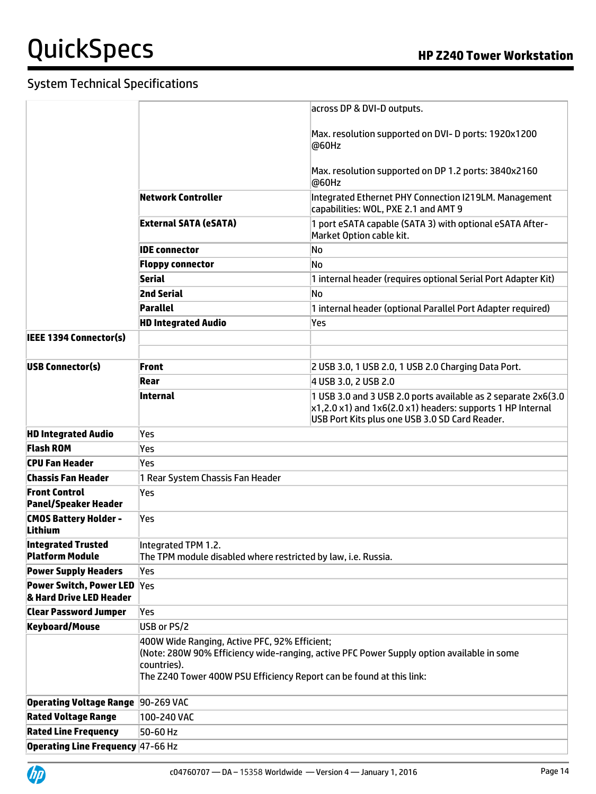|                                                     |                                                                                                          | across DP & DVI-D outputs.                                                                    |
|-----------------------------------------------------|----------------------------------------------------------------------------------------------------------|-----------------------------------------------------------------------------------------------|
|                                                     |                                                                                                          | Max. resolution supported on DVI- D ports: 1920x1200<br>@60Hz                                 |
|                                                     |                                                                                                          | Max. resolution supported on DP 1.2 ports: 3840x2160<br>@60Hz                                 |
|                                                     | Network Controller                                                                                       | Integrated Ethernet PHY Connection I219LM. Management<br>capabilities: WOL, PXE 2.1 and AMT 9 |
|                                                     | External SATA (eSATA)                                                                                    | 1 port eSATA capable (SATA 3) with optional eSATA After-<br>Market Option cable kit.          |
|                                                     | <b>IDE</b> connector                                                                                     | No                                                                                            |
|                                                     | <b>Floppy connector</b>                                                                                  | No                                                                                            |
|                                                     | <b>Serial</b>                                                                                            | 1 internal header (requires optional Serial Port Adapter Kit)                                 |
|                                                     | <b>2nd Serial</b>                                                                                        | No                                                                                            |
|                                                     | Parallel                                                                                                 | 1 internal header (optional Parallel Port Adapter required)                                   |
|                                                     | <b>HD Integrated Audio</b>                                                                               | Yes                                                                                           |
| IEEE 1394 Connector(s)                              |                                                                                                          |                                                                                               |
|                                                     |                                                                                                          |                                                                                               |
| <b>USB Connector(s)</b>                             | <b>Front</b>                                                                                             | 2 USB 3.0, 1 USB 2.0, 1 USB 2.0 Charging Data Port.                                           |
|                                                     | Rear                                                                                                     | 4 USB 3.0, 2 USB 2.0                                                                          |
|                                                     | Internal                                                                                                 | 1 USB 3.0 and 3 USB 2.0 ports available as 2 separate 2x6(3.0                                 |
|                                                     |                                                                                                          | $x1,2.0x1$ ) and $1x6(2.0x1)$ headers: supports 1 HP Internal                                 |
|                                                     |                                                                                                          | USB Port Kits plus one USB 3.0 SD Card Reader.                                                |
| <b>HD Integrated Audio</b>                          | Yes                                                                                                      |                                                                                               |
| <b>Flash ROM</b>                                    | Yes                                                                                                      |                                                                                               |
| CPU Fan Header                                      | Yes                                                                                                      |                                                                                               |
| Chassis Fan Header                                  | 1 Rear System Chassis Fan Header                                                                         |                                                                                               |
| <b>Front Control</b><br><b>Panel/Speaker Header</b> | Yes                                                                                                      |                                                                                               |
| <b>CMOS Battery Holder -</b><br><b>Lithium</b>      | Yes                                                                                                      |                                                                                               |
| <b>Integrated Trusted</b><br>Platform Module        | Integrated TPM 1.2.<br>The TPM module disabled where restricted by law, i.e. Russia.                     |                                                                                               |
| <b>Power Supply Headers</b>                         | Yes                                                                                                      |                                                                                               |
| <b>Power Switch, Power LED</b>                      | Yes                                                                                                      |                                                                                               |
| & Hard Drive LED Header                             |                                                                                                          |                                                                                               |
| <b>Clear Password Jumper</b>                        | Yes                                                                                                      |                                                                                               |
| <b>Keyboard/Mouse</b>                               | USB or PS/2                                                                                              |                                                                                               |
|                                                     | 400W Wide Ranging, Active PFC, 92% Efficient;                                                            |                                                                                               |
|                                                     | (Note: 280W 90% Efficiency wide-ranging, active PFC Power Supply option available in some<br>countries). |                                                                                               |
|                                                     | The Z240 Tower 400W PSU Efficiency Report can be found at this link:                                     |                                                                                               |
| Operating Voltage Range 90-269 VAC                  |                                                                                                          |                                                                                               |
| <b>Rated Voltage Range</b>                          | 100-240 VAC                                                                                              |                                                                                               |
| <b>Rated Line Frequency</b>                         | 50-60 Hz                                                                                                 |                                                                                               |
| <b>Operating Line Frequency 47-66 Hz</b>            |                                                                                                          |                                                                                               |
|                                                     |                                                                                                          |                                                                                               |

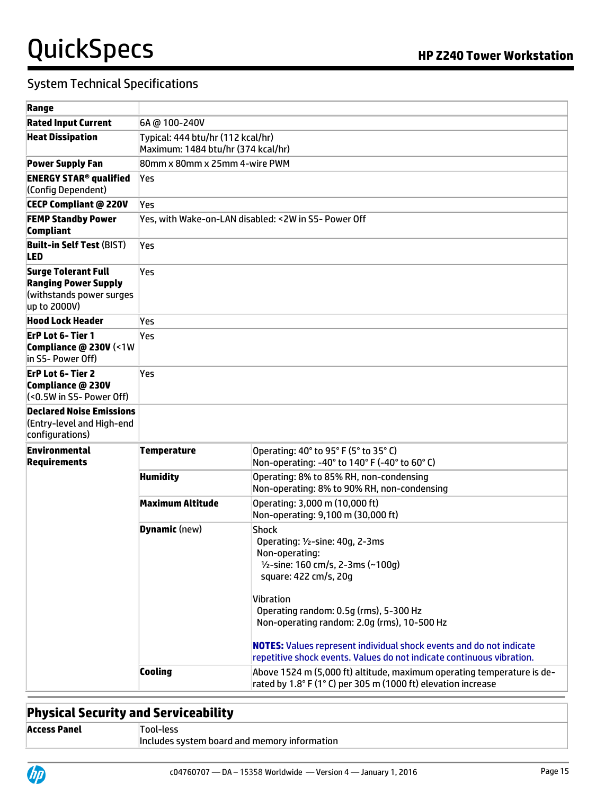### System Technical Specifications

| <b>Rated Input Current</b>                                                                            | 6A @ 100-240V                                                           |                                                                                                                                                                                                                                |  |
|-------------------------------------------------------------------------------------------------------|-------------------------------------------------------------------------|--------------------------------------------------------------------------------------------------------------------------------------------------------------------------------------------------------------------------------|--|
| <b>Heat Dissipation</b>                                                                               | Typical: 444 btu/hr (112 kcal/hr)<br>Maximum: 1484 btu/hr (374 kcal/hr) |                                                                                                                                                                                                                                |  |
| <b>Power Supply Fan</b>                                                                               | 80mm x 80mm x 25mm 4-wire PWM                                           |                                                                                                                                                                                                                                |  |
| <b>ENERGY STAR<sup>®</sup> qualified</b><br>(Config Dependent)                                        | Yes                                                                     |                                                                                                                                                                                                                                |  |
| <b>CECP Compliant @ 220V</b>                                                                          | lYes                                                                    |                                                                                                                                                                                                                                |  |
| <b>FEMP Standby Power</b><br>Compliant                                                                | Yes, with Wake-on-LAN disabled: <2W in S5- Power Off                    |                                                                                                                                                                                                                                |  |
| <b>Built-in Self Test (BIST)</b><br>LED                                                               | Yes                                                                     |                                                                                                                                                                                                                                |  |
| <b>Surge Tolerant Full</b><br><b>Ranging Power Supply</b><br>(withstands power surges<br>up to 2000V) | Yes                                                                     |                                                                                                                                                                                                                                |  |
| Hood Lock Header                                                                                      | Yes                                                                     |                                                                                                                                                                                                                                |  |
| <b>ErP Lot 6-Tier 1</b><br>Compliance @ 230V (<1W<br>in S5- Power Off)                                | Yes                                                                     |                                                                                                                                                                                                                                |  |
| <b>ErP Lot 6-Tier 2</b><br>Compliance @ 230V<br>(<0.5W in S5- Power Off)                              | Yes                                                                     |                                                                                                                                                                                                                                |  |
| <b>Declared Noise Emissions</b><br>(Entry-level and High-end<br>configurations)                       |                                                                         |                                                                                                                                                                                                                                |  |
| Environmental<br><b>Requirements</b>                                                                  | Temperature                                                             | Operating: 40° to 95° F (5° to 35° C)<br>Non-operating: -40° to 140° F (-40° to 60° C)                                                                                                                                         |  |
|                                                                                                       | <b>Humidity</b>                                                         | Operating: 8% to 85% RH, non-condensing<br>Non-operating: 8% to 90% RH, non-condensing                                                                                                                                         |  |
|                                                                                                       | Maximum Altitude                                                        | Operating: 3,000 m (10,000 ft)<br>Non-operating: 9,100 m (30,000 ft)                                                                                                                                                           |  |
|                                                                                                       | <b>Dynamic</b> (new)                                                    | Shock<br>Operating: 1/2-sine: 40g, 2-3ms<br>Non-operating:<br>1/2-sine: 160 cm/s, 2-3ms (~100g)<br>square: 422 cm/s, 20g<br>Vibration<br>Operating random: 0.5g (rms), 5-300 Hz<br>Non-operating random: 2.0g (rms), 10-500 Hz |  |
|                                                                                                       |                                                                         | <b>NOTES:</b> Values represent individual shock events and do not indicate<br>repetitive shock events. Values do not indicate continuous vibration.                                                                            |  |
|                                                                                                       | <b>Cooling</b>                                                          | Above 1524 m (5,000 ft) altitude, maximum operating temperature is de-<br>rated by 1.8° F (1° C) per 305 m (1000 ft) elevation increase                                                                                        |  |

# **Physical Security and Serviceability**

| Access Panel | Tool-less                                    |  |
|--------------|----------------------------------------------|--|
|              | Includes system board and memory information |  |

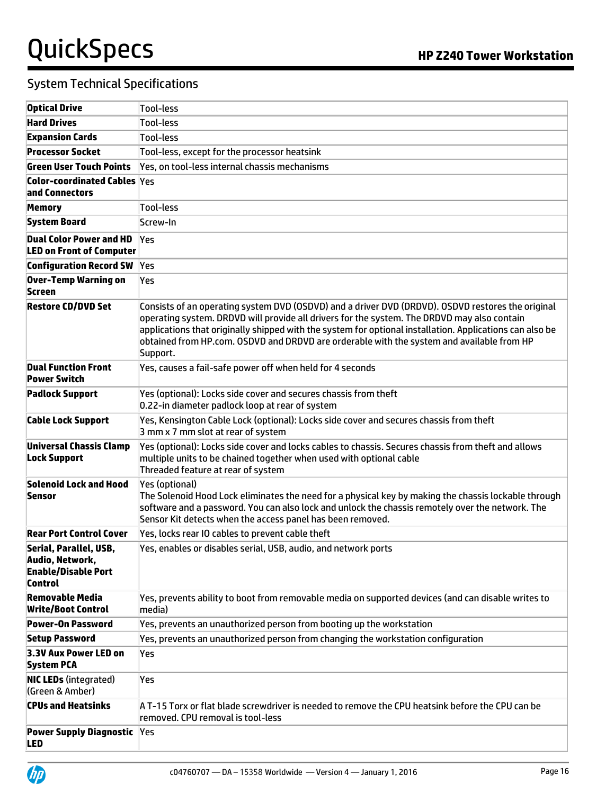| <b>Optical Drive</b>                                                        | <b>Tool-less</b>                                                                                                                                                                                                                                                                                                                                                                                                      |
|-----------------------------------------------------------------------------|-----------------------------------------------------------------------------------------------------------------------------------------------------------------------------------------------------------------------------------------------------------------------------------------------------------------------------------------------------------------------------------------------------------------------|
| <b>Hard Drives</b>                                                          | <b>Tool-less</b>                                                                                                                                                                                                                                                                                                                                                                                                      |
| <b>Expansion Cards</b>                                                      | <b>Tool-less</b>                                                                                                                                                                                                                                                                                                                                                                                                      |
| <b>Processor Socket</b>                                                     | Tool-less, except for the processor heatsink                                                                                                                                                                                                                                                                                                                                                                          |
| Green User Touch Points                                                     | Yes, on tool-less internal chassis mechanisms                                                                                                                                                                                                                                                                                                                                                                         |
| <b>Color-coordinated Cables Yes</b><br>and Connectors                       |                                                                                                                                                                                                                                                                                                                                                                                                                       |
| Memory                                                                      | <b>Tool-less</b>                                                                                                                                                                                                                                                                                                                                                                                                      |
| <b>System Board</b>                                                         | Screw-In                                                                                                                                                                                                                                                                                                                                                                                                              |
| <b>Dual Color Power and HD</b><br><b>LED on Front of Computer</b>           | Yes                                                                                                                                                                                                                                                                                                                                                                                                                   |
| <b>Configuration Record SW</b>                                              | Yes                                                                                                                                                                                                                                                                                                                                                                                                                   |
| Over-Temp Warning on<br>Screen                                              | Yes                                                                                                                                                                                                                                                                                                                                                                                                                   |
| <b>Restore CD/DVD Set</b>                                                   | Consists of an operating system DVD (OSDVD) and a driver DVD (DRDVD). OSDVD restores the original<br>operating system. DRDVD will provide all drivers for the system. The DRDVD may also contain<br>applications that originally shipped with the system for optional installation. Applications can also be<br>obtained from HP.com. OSDVD and DRDVD are orderable with the system and available from HP<br>Support. |
| <b>Dual Function Front</b><br><b>Power Switch</b>                           | Yes, causes a fail-safe power off when held for 4 seconds                                                                                                                                                                                                                                                                                                                                                             |
| <b>Padlock Support</b>                                                      | Yes (optional): Locks side cover and secures chassis from theft<br>0.22-in diameter padlock loop at rear of system                                                                                                                                                                                                                                                                                                    |
| <b>Cable Lock Support</b>                                                   | Yes, Kensington Cable Lock (optional): Locks side cover and secures chassis from theft<br>3 mm x 7 mm slot at rear of system                                                                                                                                                                                                                                                                                          |
| <b>Universal Chassis Clamp</b><br><b>Lock Support</b>                       | Yes (optional): Locks side cover and locks cables to chassis. Secures chassis from theft and allows<br>multiple units to be chained together when used with optional cable<br>Threaded feature at rear of system                                                                                                                                                                                                      |
| Solenoid Lock and Hood<br>Sensor                                            | Yes (optional)<br>The Solenoid Hood Lock eliminates the need for a physical key by making the chassis lockable through<br>software and a password. You can also lock and unlock the chassis remotely over the network. The<br>Sensor Kit detects when the access panel has been removed.                                                                                                                              |
| <b>Rear Port Control Cover</b>                                              | Yes, locks rear IO cables to prevent cable theft                                                                                                                                                                                                                                                                                                                                                                      |
| Serial, Parallel, USB,<br>Audio, Network,<br>Enable/Disable Port<br>Control | Yes, enables or disables serial, USB, audio, and network ports                                                                                                                                                                                                                                                                                                                                                        |
| <b>Removable Media</b><br><b>Write/Boot Control</b>                         | Yes, prevents ability to boot from removable media on supported devices (and can disable writes to<br>media)                                                                                                                                                                                                                                                                                                          |
| Power-On Password                                                           | Yes, prevents an unauthorized person from booting up the workstation                                                                                                                                                                                                                                                                                                                                                  |
| <b>Setup Password</b>                                                       | Yes, prevents an unauthorized person from changing the workstation configuration                                                                                                                                                                                                                                                                                                                                      |
| 3.3V Aux Power LED on<br><b>System PCA</b>                                  | Yes                                                                                                                                                                                                                                                                                                                                                                                                                   |
| <b>NIC LEDs (integrated)</b><br>(Green & Amber)                             | Yes                                                                                                                                                                                                                                                                                                                                                                                                                   |
| <b>CPUs and Heatsinks</b>                                                   | A T-15 Torx or flat blade screwdriver is needed to remove the CPU heatsink before the CPU can be<br>removed. CPU removal is tool-less                                                                                                                                                                                                                                                                                 |
| <b>Power Supply Diagnostic</b><br><b>LED</b>                                | <b>Yes</b>                                                                                                                                                                                                                                                                                                                                                                                                            |

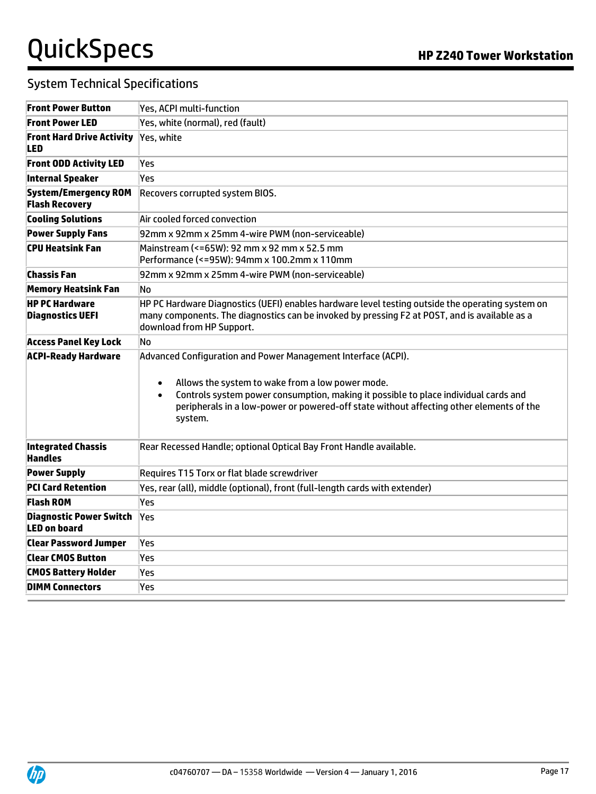| <b>Front Power Button</b>                             | Yes, ACPI multi-function                                                                                                                                                                                                                                                                                                                 |
|-------------------------------------------------------|------------------------------------------------------------------------------------------------------------------------------------------------------------------------------------------------------------------------------------------------------------------------------------------------------------------------------------------|
| <b>Front Power LED</b>                                | Yes, white (normal), red (fault)                                                                                                                                                                                                                                                                                                         |
| <b>Front Hard Drive Activity</b><br>LED               | Yes, white                                                                                                                                                                                                                                                                                                                               |
| <b>Front ODD Activity LED</b>                         | Yes                                                                                                                                                                                                                                                                                                                                      |
| <b>Internal Speaker</b>                               | Yes                                                                                                                                                                                                                                                                                                                                      |
| <b>System/Emergency ROM</b><br><b>Flash Recovery</b>  | Recovers corrupted system BIOS.                                                                                                                                                                                                                                                                                                          |
| <b>Cooling Solutions</b>                              | Air cooled forced convection                                                                                                                                                                                                                                                                                                             |
| <b>Power Supply Fans</b>                              | 92mm x 92mm x 25mm 4-wire PWM (non-serviceable)                                                                                                                                                                                                                                                                                          |
| CPU Heatsink Fan                                      | Mainstream (<=65W): 92 mm x 92 mm x 52.5 mm<br>Performance (<=95W): 94mm x 100.2mm x 110mm                                                                                                                                                                                                                                               |
| <b>Chassis Fan</b>                                    | 92mm x 92mm x 25mm 4-wire PWM (non-serviceable)                                                                                                                                                                                                                                                                                          |
| <b>Memory Heatsink Fan</b>                            | No.                                                                                                                                                                                                                                                                                                                                      |
| <b>HP PC Hardware</b><br><b>Diagnostics UEFI</b>      | HP PC Hardware Diagnostics (UEFI) enables hardware level testing outside the operating system on<br>many components. The diagnostics can be invoked by pressing F2 at POST, and is available as a<br>download from HP Support.                                                                                                           |
| <b>Access Panel Key Lock</b>                          | No                                                                                                                                                                                                                                                                                                                                       |
| <b>ACPI-Ready Hardware</b>                            | Advanced Configuration and Power Management Interface (ACPI).<br>Allows the system to wake from a low power mode.<br>$\bullet$<br>Controls system power consumption, making it possible to place individual cards and<br>$\bullet$<br>peripherals in a low-power or powered-off state without affecting other elements of the<br>system. |
| <b>Integrated Chassis</b><br><b>Handles</b>           | Rear Recessed Handle; optional Optical Bay Front Handle available.                                                                                                                                                                                                                                                                       |
| <b>Power Supply</b>                                   | Requires T15 Torx or flat blade screwdriver                                                                                                                                                                                                                                                                                              |
| <b>PCI Card Retention</b>                             | Yes, rear (all), middle (optional), front (full-length cards with extender)                                                                                                                                                                                                                                                              |
| <b>Flash ROM</b>                                      | Yes                                                                                                                                                                                                                                                                                                                                      |
| <b>Diagnostic Power Switch</b><br><b>LED on board</b> | Yes                                                                                                                                                                                                                                                                                                                                      |
| <b>Clear Password Jumper</b>                          | Yes                                                                                                                                                                                                                                                                                                                                      |
| <b>Clear CMOS Button</b>                              | Yes                                                                                                                                                                                                                                                                                                                                      |
| <b>CMOS Battery Holder</b>                            | Yes                                                                                                                                                                                                                                                                                                                                      |
| <b>DIMM Connectors</b>                                | Yes                                                                                                                                                                                                                                                                                                                                      |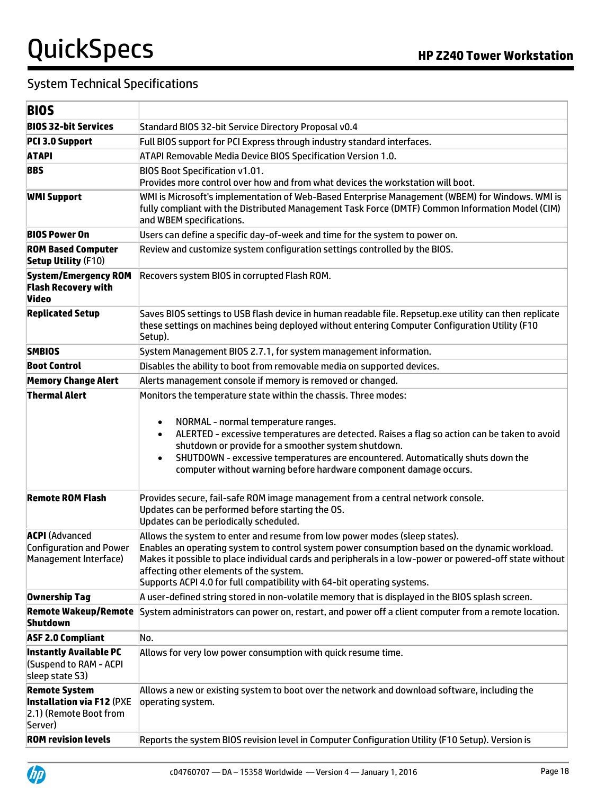| I<br>۰.<br>۰.<br>M.<br>× |
|--------------------------|
|--------------------------|

| BIUS                                                                                          |                                                                                                                                                                                                                                                                                                                                                                                                                                         |  |
|-----------------------------------------------------------------------------------------------|-----------------------------------------------------------------------------------------------------------------------------------------------------------------------------------------------------------------------------------------------------------------------------------------------------------------------------------------------------------------------------------------------------------------------------------------|--|
| <b>BIOS 32-bit Services</b>                                                                   | Standard BIOS 32-bit Service Directory Proposal v0.4                                                                                                                                                                                                                                                                                                                                                                                    |  |
| PCI 3.0 Support                                                                               | Full BIOS support for PCI Express through industry standard interfaces.                                                                                                                                                                                                                                                                                                                                                                 |  |
| <b>ATAPI</b>                                                                                  | ATAPI Removable Media Device BIOS Specification Version 1.0.                                                                                                                                                                                                                                                                                                                                                                            |  |
| <b>BBS</b>                                                                                    | <b>BIOS Boot Specification v1.01.</b><br>Provides more control over how and from what devices the workstation will boot.                                                                                                                                                                                                                                                                                                                |  |
| <b>WMI Support</b>                                                                            | WMI is Microsoft's implementation of Web-Based Enterprise Management (WBEM) for Windows. WMI is<br>fully compliant with the Distributed Management Task Force (DMTF) Common Information Model (CIM)<br>and WBEM specifications.                                                                                                                                                                                                         |  |
| <b>BIOS Power On</b>                                                                          | Users can define a specific day-of-week and time for the system to power on.                                                                                                                                                                                                                                                                                                                                                            |  |
| <b>ROM Based Computer</b><br><b>Setup Utility (F10)</b>                                       | Review and customize system configuration settings controlled by the BIOS.                                                                                                                                                                                                                                                                                                                                                              |  |
| <b>System/Emergency ROM</b><br><b>Flash Recovery with</b><br>Video                            | Recovers system BIOS in corrupted Flash ROM.                                                                                                                                                                                                                                                                                                                                                                                            |  |
| <b>Replicated Setup</b>                                                                       | Saves BIOS settings to USB flash device in human readable file. Repsetup.exe utility can then replicate<br>these settings on machines being deployed without entering Computer Configuration Utility (F10<br>Setup).                                                                                                                                                                                                                    |  |
| <b>SMBIOS</b>                                                                                 | System Management BIOS 2.7.1, for system management information.                                                                                                                                                                                                                                                                                                                                                                        |  |
| <b>Boot Control</b>                                                                           | Disables the ability to boot from removable media on supported devices.                                                                                                                                                                                                                                                                                                                                                                 |  |
| <b>Memory Change Alert</b>                                                                    | Alerts management console if memory is removed or changed.                                                                                                                                                                                                                                                                                                                                                                              |  |
|                                                                                               | Monitors the temperature state within the chassis. Three modes:<br>NORMAL - normal temperature ranges.<br>$\bullet$<br>ALERTED - excessive temperatures are detected. Raises a flag so action can be taken to avoid<br>٠<br>shutdown or provide for a smoother system shutdown.<br>SHUTDOWN - excessive temperatures are encountered. Automatically shuts down the<br>computer without warning before hardware component damage occurs. |  |
| <b>Remote ROM Flash</b>                                                                       | Provides secure, fail-safe ROM image management from a central network console.<br>Updates can be performed before starting the OS.<br>Updates can be periodically scheduled.                                                                                                                                                                                                                                                           |  |
| <b>ACPI</b> (Advanced<br><b>Configuration and Power</b><br>Management Interface)              | Allows the system to enter and resume from low power modes (sleep states).<br>Enables an operating system to control system power consumption based on the dynamic workload.<br>Makes it possible to place individual cards and peripherals in a low-power or powered-off state without<br>affecting other elements of the system.<br>Supports ACPI 4.0 for full compatibility with 64-bit operating systems.                           |  |
| Ownership Tag                                                                                 | A user-defined string stored in non-volatile memory that is displayed in the BIOS splash screen.                                                                                                                                                                                                                                                                                                                                        |  |
| Shutdown                                                                                      | Remote Wakeup/Remote System administrators can power on, restart, and power off a client computer from a remote location.                                                                                                                                                                                                                                                                                                               |  |
| <b>ASF 2.0 Compliant</b>                                                                      | No.                                                                                                                                                                                                                                                                                                                                                                                                                                     |  |
| <b>Instantly Available PC</b><br>(Suspend to RAM - ACPI<br>sleep state S3)                    | Allows for very low power consumption with quick resume time.                                                                                                                                                                                                                                                                                                                                                                           |  |
| <b>Remote System</b><br><b>Installation via F12 (PXE</b><br>2.1) (Remote Boot from<br>Server) | Allows a new or existing system to boot over the network and download software, including the<br>operating system.                                                                                                                                                                                                                                                                                                                      |  |
| <b>ROM revision levels</b>                                                                    | Reports the system BIOS revision level in Computer Configuration Utility (F10 Setup). Version is                                                                                                                                                                                                                                                                                                                                        |  |

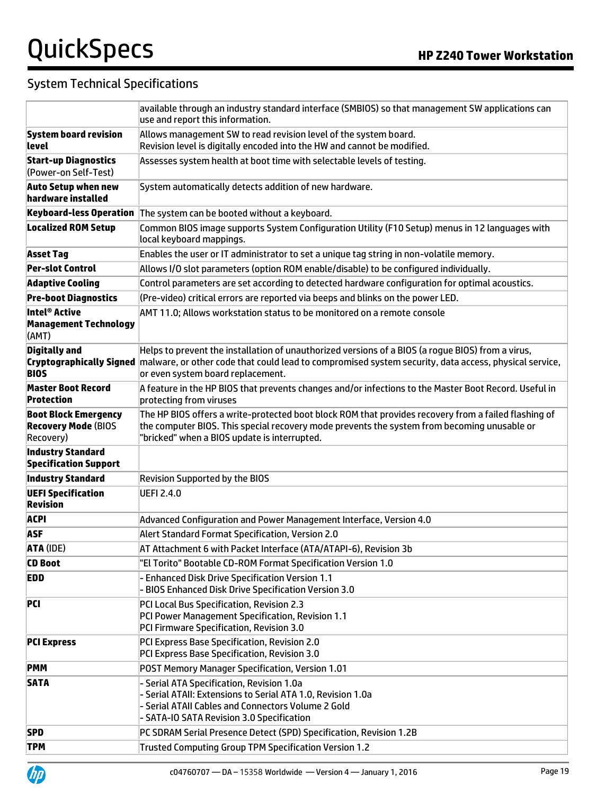|                                                                        | available through an industry standard interface (SMBIOS) so that management SW applications can<br>use and report this information.                                                                                                                                     |
|------------------------------------------------------------------------|--------------------------------------------------------------------------------------------------------------------------------------------------------------------------------------------------------------------------------------------------------------------------|
| <b>System board revision</b><br>llevel                                 | Allows management SW to read revision level of the system board.<br>Revision level is digitally encoded into the HW and cannot be modified.                                                                                                                              |
| <b>Start-up Diagnostics</b><br>(Power-on Self-Test)                    | Assesses system health at boot time with selectable levels of testing.                                                                                                                                                                                                   |
| <b>Auto Setup when new</b><br>hardware installed                       | System automatically detects addition of new hardware.                                                                                                                                                                                                                   |
|                                                                        | Keyboard-less Operation The system can be booted without a keyboard.                                                                                                                                                                                                     |
| <b>Localized ROM Setup</b>                                             | Common BIOS image supports System Configuration Utility (F10 Setup) menus in 12 languages with<br>local keyboard mappings.                                                                                                                                               |
| <b>Asset Tag</b>                                                       | Enables the user or IT administrator to set a unique tag string in non-volatile memory.                                                                                                                                                                                  |
| <b>Per-slot Control</b>                                                | Allows I/O slot parameters (option ROM enable/disable) to be configured individually.                                                                                                                                                                                    |
| <b>Adaptive Cooling</b>                                                | Control parameters are set according to detected hardware configuration for optimal acoustics.                                                                                                                                                                           |
| <b>Pre-boot Diagnostics</b>                                            | (Pre-video) critical errors are reported via beeps and blinks on the power LED.                                                                                                                                                                                          |
| Intel® Active<br><b>Management Technology</b><br>(AMT)                 | AMT 11.0; Allows workstation status to be monitored on a remote console                                                                                                                                                                                                  |
| <b>Digitally and</b><br><b>BIOS</b>                                    | Helps to prevent the installation of unauthorized versions of a BIOS (a rogue BIOS) from a virus,<br>Cryptographically Signed malware, or other code that could lead to compromised system security, data access, physical service,<br>or even system board replacement. |
| <b>Master Boot Record</b><br>Protection                                | A feature in the HP BIOS that prevents changes and/or infections to the Master Boot Record. Useful in<br>protecting from viruses                                                                                                                                         |
| <b>Boot Block Emergency</b><br><b>Recovery Mode (BIOS</b><br>Recovery) | The HP BIOS offers a write-protected boot block ROM that provides recovery from a failed flashing of<br>the computer BIOS. This special recovery mode prevents the system from becoming unusable or<br>'bricked" when a BIOS update is interrupted.                      |
| <b>Industry Standard</b><br><b>Specification Support</b>               |                                                                                                                                                                                                                                                                          |
| <b>Industry Standard</b>                                               | <b>Revision Supported by the BIOS</b>                                                                                                                                                                                                                                    |
| <b>UEFI Specification</b><br>Revision                                  | <b>UEFI 2.4.0</b>                                                                                                                                                                                                                                                        |
| <b>ACPI</b>                                                            | Advanced Configuration and Power Management Interface, Version 4.0                                                                                                                                                                                                       |
| <b>ASF</b>                                                             | Alert Standard Format Specification, Version 2.0                                                                                                                                                                                                                         |
| <b>ATA (IDE)</b>                                                       | AT Attachment 6 with Packet Interface (ATA/ATAPI-6), Revision 3b                                                                                                                                                                                                         |
| <b>CD Boot</b>                                                         | "El Torito" Bootable CD-ROM Format Specification Version 1.0                                                                                                                                                                                                             |
| <b>EDD</b>                                                             | <b>Enhanced Disk Drive Specification Version 1.1</b><br><b>BIOS Enhanced Disk Drive Specification Version 3.0</b>                                                                                                                                                        |
| <b>PCI</b>                                                             | PCI Local Bus Specification, Revision 2.3<br>PCI Power Management Specification, Revision 1.1<br>PCI Firmware Specification, Revision 3.0                                                                                                                                |
| <b>PCI Express</b>                                                     | PCI Express Base Specification, Revision 2.0<br>PCI Express Base Specification, Revision 3.0                                                                                                                                                                             |
| <b>PMM</b>                                                             | POST Memory Manager Specification, Version 1.01                                                                                                                                                                                                                          |
| <b>SATA</b>                                                            | - Serial ATA Specification, Revision 1.0a<br>- Serial ATAII: Extensions to Serial ATA 1.0, Revision 1.0a<br>- Serial ATAII Cables and Connectors Volume 2 Gold<br>- SATA-IO SATA Revision 3.0 Specification                                                              |
| <b>SPD</b>                                                             | PC SDRAM Serial Presence Detect (SPD) Specification, Revision 1.2B                                                                                                                                                                                                       |
| <b>TPM</b>                                                             | <b>Trusted Computing Group TPM Specification Version 1.2</b>                                                                                                                                                                                                             |

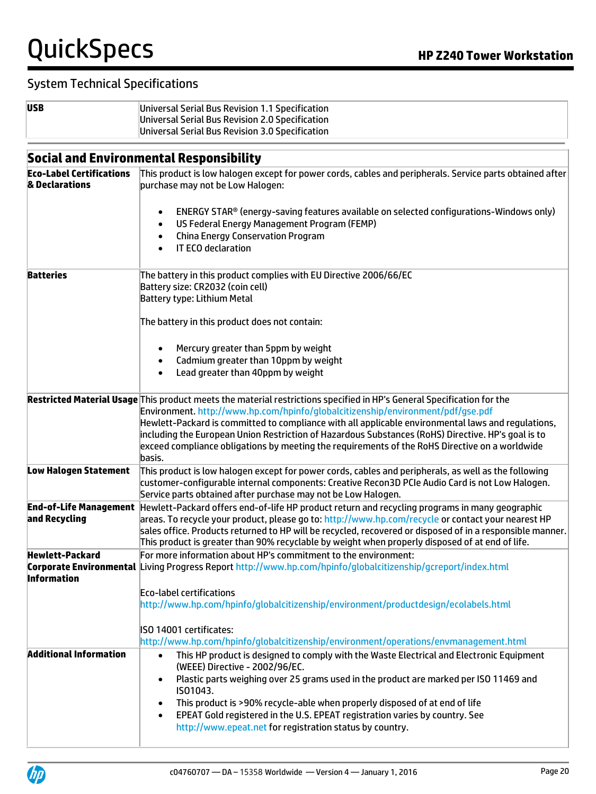| I<br>×<br>×<br>۰.<br>v |
|------------------------|

**Universal Serial Bus Revision 1.1 Specification** Universal Serial Bus Revision 2.0 Specification Universal Serial Bus Revision 3.0 Specification

| Social and Environmental Responsibility |  |
|-----------------------------------------|--|

|                                                   | ocial and Environmental Responsionity                                                                                                                                                                                                                                                                                                                                                                                                                                                                                             |  |  |
|---------------------------------------------------|-----------------------------------------------------------------------------------------------------------------------------------------------------------------------------------------------------------------------------------------------------------------------------------------------------------------------------------------------------------------------------------------------------------------------------------------------------------------------------------------------------------------------------------|--|--|
| <b>Eco-Label Certifications</b><br>& Declarations | This product is low halogen except for power cords, cables and peripherals. Service parts obtained after<br>purchase may not be Low Halogen:                                                                                                                                                                                                                                                                                                                                                                                      |  |  |
|                                                   | ENERGY STAR® (energy-saving features available on selected configurations-Windows only)<br>$\bullet$<br>US Federal Energy Management Program (FEMP)<br>$\bullet$<br><b>China Energy Conservation Program</b><br>$\bullet$<br><b>IT ECO declaration</b><br>$\bullet$                                                                                                                                                                                                                                                               |  |  |
| <b>Batteries</b>                                  | The battery in this product complies with EU Directive 2006/66/EC<br>Battery size: CR2032 (coin cell)<br><b>Battery type: Lithium Metal</b>                                                                                                                                                                                                                                                                                                                                                                                       |  |  |
|                                                   | The battery in this product does not contain:                                                                                                                                                                                                                                                                                                                                                                                                                                                                                     |  |  |
|                                                   | Mercury greater than 5ppm by weight<br>$\bullet$<br>Cadmium greater than 10ppm by weight<br>$\bullet$                                                                                                                                                                                                                                                                                                                                                                                                                             |  |  |
|                                                   | Lead greater than 40ppm by weight<br>$\bullet$                                                                                                                                                                                                                                                                                                                                                                                                                                                                                    |  |  |
|                                                   | Restricted Material Usage This product meets the material restrictions specified in HP's General Specification for the<br>Environment. http://www.hp.com/hpinfo/globalcitizenship/environment/pdf/gse.pdf<br>Hewlett-Packard is committed to compliance with all applicable environmental laws and regulations,<br>including the European Union Restriction of Hazardous Substances (RoHS) Directive. HP's goal is to<br>exceed compliance obligations by meeting the requirements of the RoHS Directive on a worldwide<br>basis. |  |  |
| <b>Low Halogen Statement</b>                      | This product is low halogen except for power cords, cables and peripherals, as well as the following<br>customer-configurable internal components: Creative Recon3D PCIe Audio Card is not Low Halogen.<br>Service parts obtained after purchase may not be Low Halogen.                                                                                                                                                                                                                                                          |  |  |
| and Recycling                                     | End-of-Life Management Hewlett-Packard offers end-of-life HP product return and recycling programs in many geographic<br>areas. To recycle your product, please go to: http://www.hp.com/recycle or contact your nearest HP<br>sales office. Products returned to HP will be recycled, recovered or disposed of in a responsible manner.<br>This product is greater than 90% recyclable by weight when properly disposed of at end of life.                                                                                       |  |  |
| <b>Hewlett-Packard</b>                            | For more information about HP's commitment to the environment:                                                                                                                                                                                                                                                                                                                                                                                                                                                                    |  |  |
| <b>Information</b>                                | Corporate Environmental Living Progress Report http://www.hp.com/hpinfo/globalcitizenship/gcreport/index.html                                                                                                                                                                                                                                                                                                                                                                                                                     |  |  |
|                                                   | Eco-label certifications                                                                                                                                                                                                                                                                                                                                                                                                                                                                                                          |  |  |
|                                                   | http://www.hp.com/hpinfo/globalcitizenship/environment/productdesign/ecolabels.html                                                                                                                                                                                                                                                                                                                                                                                                                                               |  |  |
|                                                   | ISO 14001 certificates:                                                                                                                                                                                                                                                                                                                                                                                                                                                                                                           |  |  |
|                                                   | http://www.hp.com/hpinfo/globalcitizenship/environment/operations/envmanagement.html                                                                                                                                                                                                                                                                                                                                                                                                                                              |  |  |
| <b>Additional Information</b>                     | This HP product is designed to comply with the Waste Electrical and Electronic Equipment<br>$\bullet$<br>(WEEE) Directive - 2002/96/EC.                                                                                                                                                                                                                                                                                                                                                                                           |  |  |
|                                                   | Plastic parts weighing over 25 grams used in the product are marked per ISO 11469 and<br>$\bullet$<br>IS01043.                                                                                                                                                                                                                                                                                                                                                                                                                    |  |  |
|                                                   | This product is >90% recycle-able when properly disposed of at end of life<br>$\bullet$                                                                                                                                                                                                                                                                                                                                                                                                                                           |  |  |
|                                                   | EPEAT Gold registered in the U.S. EPEAT registration varies by country. See<br>$\bullet$                                                                                                                                                                                                                                                                                                                                                                                                                                          |  |  |
|                                                   | http://www.epeat.net for registration status by country.                                                                                                                                                                                                                                                                                                                                                                                                                                                                          |  |  |

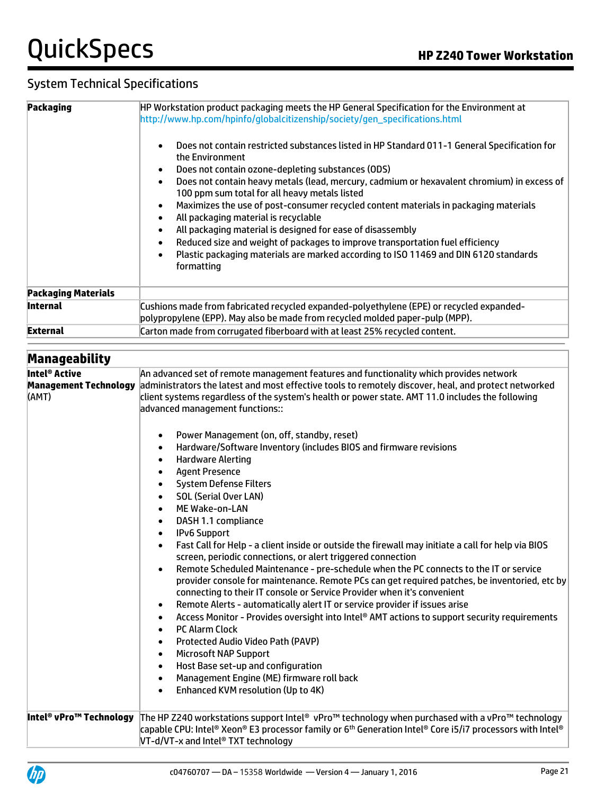| <b>Packaging</b>             | HP Workstation product packaging meets the HP General Specification for the Environment at<br>http://www.hp.com/hpinfo/globalcitizenship/society/gen_specifications.html                                                   |
|------------------------------|----------------------------------------------------------------------------------------------------------------------------------------------------------------------------------------------------------------------------|
|                              | Does not contain restricted substances listed in HP Standard 011-1 General Specification for<br>$\bullet$<br>the Environment                                                                                               |
|                              | Does not contain ozone-depleting substances (ODS)<br>$\bullet$<br>Does not contain heavy metals (lead, mercury, cadmium or hexavalent chromium) in excess of<br>$\bullet$<br>100 ppm sum total for all heavy metals listed |
|                              | Maximizes the use of post-consumer recycled content materials in packaging materials<br>$\bullet$<br>All packaging material is recyclable<br>$\bullet$                                                                     |
|                              | All packaging material is designed for ease of disassembly<br>$\bullet$                                                                                                                                                    |
|                              | Reduced size and weight of packages to improve transportation fuel efficiency<br>$\bullet$<br>Plastic packaging materials are marked according to ISO 11469 and DIN 6120 standards<br>$\bullet$<br>formatting              |
| <b>Packaging Materials</b>   |                                                                                                                                                                                                                            |
| <b>Internal</b>              | Cushions made from fabricated recycled expanded-polyethylene (EPE) or recycled expanded-<br>polypropylene (EPP). May also be made from recycled molded paper-pulp (MPP).                                                   |
| <b>External</b>              | Carton made from corrugated fiberboard with at least 25% recycled content.                                                                                                                                                 |
| Manageability                |                                                                                                                                                                                                                            |
| Intel <sup>®</sup> Active    | An advanced set of remote management features and functionality which provides network                                                                                                                                     |
| <b>Management Technology</b> | administrators the latest and most effective tools to remotely discover, heal, and protect networked                                                                                                                       |
| (AMT)                        | client systems regardless of the system's health or power state. AMT 11.0 includes the following<br>advanced management functions::                                                                                        |
|                              | Power Management (on, off, standby, reset)<br>$\bullet$                                                                                                                                                                    |
|                              | Hardware/Software Inventory (includes BIOS and firmware revisions<br>$\bullet$                                                                                                                                             |
|                              | <b>Hardware Alerting</b><br>$\bullet$                                                                                                                                                                                      |
|                              | <b>Agent Presence</b><br>$\bullet$                                                                                                                                                                                         |
|                              | <b>System Defense Filters</b><br>$\bullet$                                                                                                                                                                                 |
|                              | <b>SOL (Serial Over LAN)</b>                                                                                                                                                                                               |
|                              | ME Wake-on-LAN<br>DASH 1.1 compliance                                                                                                                                                                                      |
|                              | <b>IPv6 Support</b>                                                                                                                                                                                                        |
|                              | Fast Call for Help - a client inside or outside the firewall may initiate a call for help via BIOS<br>screen, periodic connections, or alert triggered connection                                                          |
|                              | Remote Scheduled Maintenance - pre-schedule when the PC connects to the IT or service<br>$\bullet$                                                                                                                         |
|                              | provider console for maintenance. Remote PCs can get required patches, be inventoried, etc by<br>connecting to their IT console or Service Provider when it's convenient                                                   |
|                              | Remote Alerts - automatically alert IT or service provider if issues arise<br>$\bullet$                                                                                                                                    |
|                              | Access Monitor - Provides oversight into Intel® AMT actions to support security requirements<br>٠<br><b>PC Alarm Clock</b>                                                                                                 |
|                              | Protected Audio Video Path (PAVP)                                                                                                                                                                                          |
|                              | <b>Microsoft NAP Support</b>                                                                                                                                                                                               |
|                              | Host Base set-up and configuration<br>$\bullet$                                                                                                                                                                            |
|                              | Management Engine (ME) firmware roll back<br>$\bullet$                                                                                                                                                                     |
|                              | Enhanced KVM resolution (Up to 4K)<br>$\bullet$                                                                                                                                                                            |
| Intel® vPro™ Technology      | The HP Z240 workstations support Intel® vPro™ technology when purchased with a vPro™ technology                                                                                                                            |
|                              | capable CPU: Intel® Xeon® E3 processor family or 6 <sup>th</sup> Generation Intel® Core i5/i7 processors with Intel®                                                                                                       |



VT-d/VT-x and Intel® TXT technology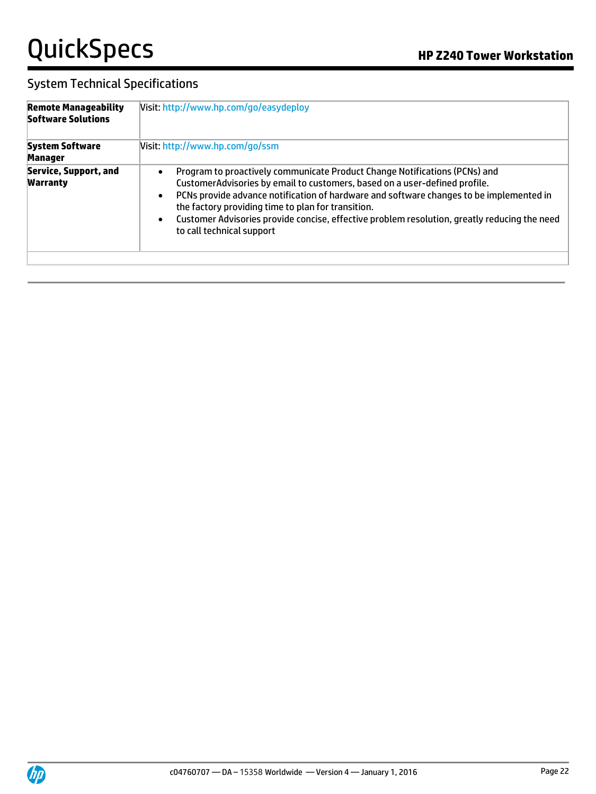| <b>Remote Manageability</b><br><b>Software Solutions</b> | Visit: http://www.hp.com/go/easydeploy                                                                                                                                                                                                                                                                                                                                                                                                                                        |  |  |  |
|----------------------------------------------------------|-------------------------------------------------------------------------------------------------------------------------------------------------------------------------------------------------------------------------------------------------------------------------------------------------------------------------------------------------------------------------------------------------------------------------------------------------------------------------------|--|--|--|
| <b>System Software</b><br><b>Manager</b>                 | Visit: http://www.hp.com/go/ssm                                                                                                                                                                                                                                                                                                                                                                                                                                               |  |  |  |
| Service, Support, and<br><b>Warranty</b>                 | Program to proactively communicate Product Change Notifications (PCNs) and<br>$\bullet$<br>CustomerAdvisories by email to customers, based on a user-defined profile.<br>PCNs provide advance notification of hardware and software changes to be implemented in<br>$\bullet$<br>the factory providing time to plan for transition.<br>Customer Advisories provide concise, effective problem resolution, greatly reducing the need<br>$\bullet$<br>to call technical support |  |  |  |

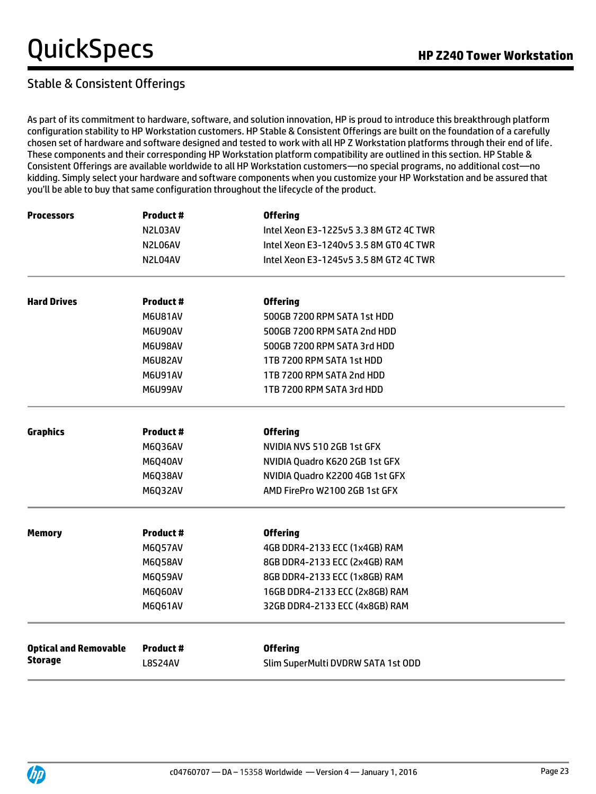### Stable & Consistent Offerings

As part of its commitment to hardware, software, and solution innovation, HP is proud to introduce this breakthrough platform configuration stability to HP Workstation customers. HP Stable & Consistent Offerings are built on the foundation of a carefully chosen set of hardware and software designed and tested to work with all HP Z Workstation platforms through their end of life. These components and their corresponding HP Workstation platform compatibility are outlined in this section. HP Stable & Consistent Offerings are available worldwide to all HP Workstation customers—no special programs, no additional cost—no kidding. Simply select your hardware and software components when you customize your HP Workstation and be assured that you'll be able to buy that same configuration throughout the lifecycle of the product.

| <b>Processors</b>            | <b>Product#</b> | <b>Offering</b>                        |
|------------------------------|-----------------|----------------------------------------|
|                              | N2L03AV         | Intel Xeon E3-1225v5 3.3 8M GT2 4C TWR |
|                              | N2L06AV         | Intel Xeon E3-1240v5 3.5 8M GT0 4C TWR |
|                              | N2L04AV         | Intel Xeon E3-1245v5 3.5 8M GT2 4C TWR |
|                              |                 |                                        |
| <b>Hard Drives</b>           | <b>Product#</b> | <b>Offering</b>                        |
|                              | <b>M6U81AV</b>  | 500GB 7200 RPM SATA 1st HDD            |
|                              | M6U90AV         | 500GB 7200 RPM SATA 2nd HDD            |
|                              | M6U98AV         | 500GB 7200 RPM SATA 3rd HDD            |
|                              | M6U82AV         | 1TB 7200 RPM SATA 1st HDD              |
|                              | <b>M6U91AV</b>  | 1TB 7200 RPM SATA 2nd HDD              |
|                              | M6U99AV         | 1TB 7200 RPM SATA 3rd HDD              |
| <b>Graphics</b>              | Product#        | <b>Offering</b>                        |
|                              | M6Q36AV         | NVIDIA NVS 510 2GB 1st GFX             |
|                              | M6Q40AV         | NVIDIA Quadro K620 2GB 1st GFX         |
|                              | M6Q38AV         | NVIDIA Quadro K2200 4GB 1st GFX        |
|                              | M6Q32AV         | AMD FirePro W2100 2GB 1st GFX          |
| <b>Memory</b>                | Product#        | <b>Offering</b>                        |
|                              | <b>M6Q57AV</b>  | 4GB DDR4-2133 ECC (1x4GB) RAM          |
|                              | M6Q58AV         | 8GB DDR4-2133 ECC (2x4GB) RAM          |
|                              | M6Q59AV         | 8GB DDR4-2133 ECC (1x8GB) RAM          |
|                              | M6Q60AV         | 16GB DDR4-2133 ECC (2x8GB) RAM         |
|                              | M6Q61AV         | 32GB DDR4-2133 ECC (4x8GB) RAM         |
|                              |                 |                                        |
| <b>Optical and Removable</b> | Product #       | <b>Offering</b>                        |
| <b>Storage</b>               | <b>L8S24AV</b>  | Slim SuperMulti DVDRW SATA 1st ODD     |

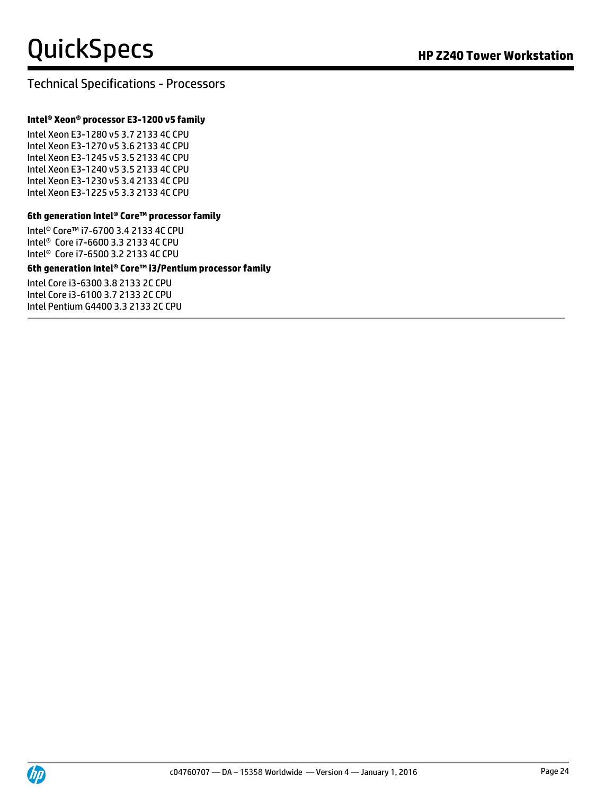### Technical Specifications - Processors

#### **Intel® Xeon® processor E3-1200 v5 family**

Intel Xeon E3-1280 v5 3.7 2133 4C CPU Intel Xeon E3-1270 v5 3.6 2133 4C CPU Intel Xeon E3-1245 v5 3.5 2133 4C CPU Intel Xeon E3-1240 v5 3.5 2133 4C CPU Intel Xeon E3-1230 v5 3.4 2133 4C CPU Intel Xeon E3-1225 v5 3.3 2133 4C CPU

#### **6th generation Intel® Core™ processor family**

Intel® Core™ i7-6700 3.4 2133 4C CPU Intel® Core i7-6600 3.3 2133 4C CPU Intel® Core i7-6500 3.2 2133 4C CPU

#### **6th generation Intel® Core™ i3/Pentium processor family**

Intel Core i3-6300 3.8 2133 2C CPU Intel Core i3-6100 3.7 2133 2C CPU Intel Pentium G4400 3.3 2133 2C CPU

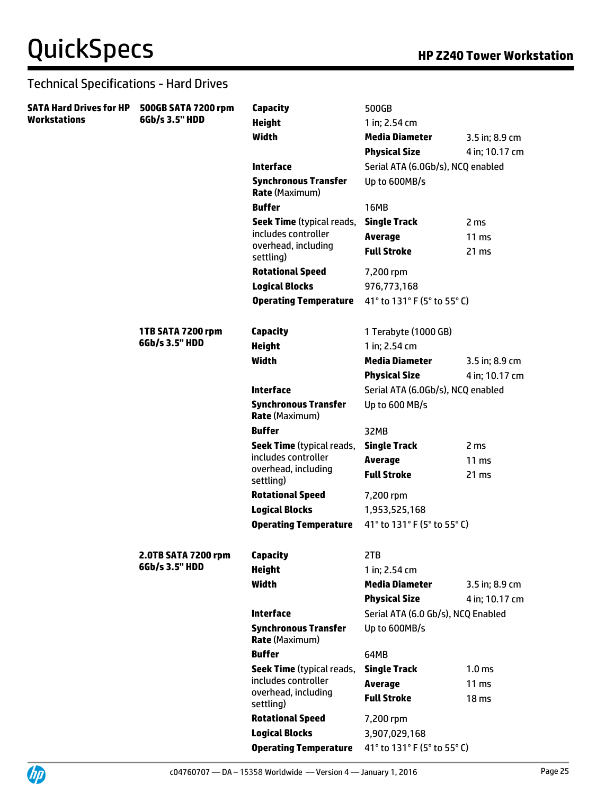| SATA Hard Drives for HP | 500GB SATA 7200 rpm | Capacity                                             | 500GB                                |                           |
|-------------------------|---------------------|------------------------------------------------------|--------------------------------------|---------------------------|
| Workstations            | 6Gb/s 3.5" HDD      | <b>Height</b>                                        | 1 in; 2.54 cm                        |                           |
|                         |                     | Width                                                | <b>Media Diameter</b>                | 3.5 in; 8.9 cm            |
|                         |                     |                                                      | <b>Physical Size</b>                 | 4 in; 10.17 cm            |
|                         |                     | <b>Interface</b>                                     | Serial ATA (6.0Gb/s), NCQ enabled    |                           |
|                         |                     | <b>Synchronous Transfer</b><br><b>Rate (Maximum)</b> | Up to 600MB/s                        |                           |
|                         |                     | <b>Buffer</b>                                        | <b>16MB</b>                          |                           |
|                         |                     | <b>Seek Time</b> (typical reads,                     | <b>Single Track</b>                  | 2 <sub>ms</sub>           |
|                         |                     | includes controller                                  | <b>Average</b>                       | $11 \text{ ms}$           |
|                         |                     | overhead, including<br>settling)                     | <b>Full Stroke</b>                   | 21 ms                     |
|                         |                     | <b>Rotational Speed</b>                              | 7,200 rpm                            |                           |
|                         |                     | <b>Logical Blocks</b>                                | 976,773,168                          |                           |
|                         |                     | <b>Operating Temperature</b>                         | 41° to 131° F (5° to 55° C)          |                           |
|                         | 1TB SATA 7200 rpm   | Capacity                                             | 1 Terabyte (1000 GB)                 |                           |
|                         | 6Gb/s 3.5" HDD      | <b>Height</b>                                        | 1 in; 2.54 cm                        |                           |
|                         |                     | Width                                                | <b>Media Diameter</b>                | 3.5 in; 8.9 cm            |
|                         |                     |                                                      | <b>Physical Size</b>                 | 4 in; 10.17 cm            |
|                         |                     | <b>Interface</b>                                     | Serial ATA (6.0Gb/s), NCQ enabled    |                           |
|                         |                     | <b>Synchronous Transfer</b><br><b>Rate (Maximum)</b> | Up to 600 MB/s                       |                           |
|                         |                     | <b>Buffer</b>                                        | 32MB                                 |                           |
|                         |                     | <b>Seek Time</b> (typical reads,                     | <b>Single Track</b>                  | 2 <sub>ms</sub>           |
|                         |                     | includes controller<br>overhead, including           | <b>Average</b><br><b>Full Stroke</b> | 11 <sub>ms</sub><br>21 ms |
|                         |                     | settling)                                            |                                      |                           |
|                         |                     | <b>Rotational Speed</b>                              | 7,200 rpm                            |                           |
|                         |                     | <b>Logical Blocks</b>                                | 1,953,525,168                        |                           |
|                         |                     | <b>Operating Temperature</b>                         | 41° to 131° F (5° to 55° C)          |                           |
|                         | 2.0TB SATA 7200 rpm | Capacity                                             | 2TB                                  |                           |
|                         | 6Gb/s 3.5" HDD      | <b>Height</b>                                        | 1 in; 2.54 cm                        |                           |
|                         |                     | Width                                                | <b>Media Diameter</b>                | 3.5 in; 8.9 cm            |
|                         |                     |                                                      | <b>Physical Size</b>                 | 4 in; 10.17 cm            |
|                         |                     | <b>Interface</b>                                     | Serial ATA (6.0 Gb/s), NCQ Enabled   |                           |
|                         |                     | <b>Synchronous Transfer</b><br><b>Rate (Maximum)</b> | Up to 600MB/s                        |                           |
|                         |                     | <b>Buffer</b>                                        | 64MB                                 |                           |
|                         |                     | <b>Seek Time</b> (typical reads,                     | <b>Single Track</b>                  | 1.0 <sub>ms</sub>         |
|                         |                     | includes controller                                  | <b>Average</b>                       | 11 ms                     |
|                         |                     | overhead, including<br>settling)                     | <b>Full Stroke</b>                   | 18 <sub>ms</sub>          |
|                         |                     | <b>Rotational Speed</b>                              | 7,200 rpm                            |                           |
|                         |                     | <b>Logical Blocks</b>                                | 3,907,029,168                        |                           |
|                         |                     | <b>Operating Temperature</b>                         | 41° to 131° F (5° to 55° C)          |                           |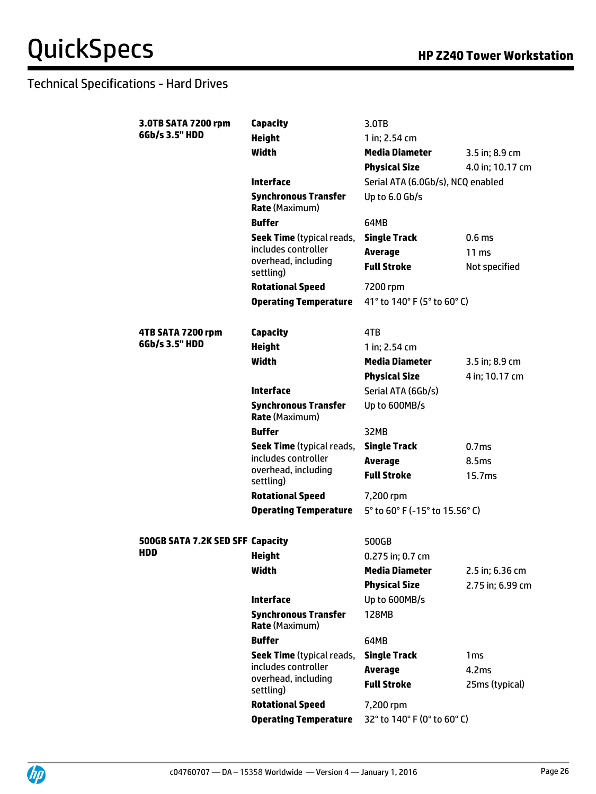| 3.0TB SATA 7200 rpm              | Capacity                                             | 3.0TB                             |                    |
|----------------------------------|------------------------------------------------------|-----------------------------------|--------------------|
| 6Gb/s 3.5" HDD                   | <b>Height</b>                                        | 1 in; 2.54 cm                     |                    |
|                                  | <b>Width</b>                                         | <b>Media Diameter</b>             | 3.5 in; 8.9 cm     |
|                                  |                                                      | <b>Physical Size</b>              | 4.0 in; 10.17 cm   |
|                                  | <b>Interface</b>                                     | Serial ATA (6.0Gb/s), NCQ enabled |                    |
|                                  | <b>Synchronous Transfer</b><br><b>Rate (Maximum)</b> | Up to 6.0 Gb/s                    |                    |
|                                  | <b>Buffer</b>                                        | 64MB                              |                    |
|                                  | <b>Seek Time</b> (typical reads,                     | <b>Single Track</b>               | 0.6 <sub>ms</sub>  |
|                                  | includes controller                                  | <b>Average</b>                    | 11 <sub>ms</sub>   |
|                                  | overhead, including<br>settling)                     | <b>Full Stroke</b>                | Not specified      |
|                                  | <b>Rotational Speed</b>                              | 7200 rpm                          |                    |
|                                  | <b>Operating Temperature</b>                         | 41° to 140° F (5° to 60° C)       |                    |
|                                  |                                                      |                                   |                    |
| 4TB SATA 7200 rpm                | Capacity                                             | 4TB                               |                    |
| 6Gb/s 3.5" HDD                   | <b>Height</b>                                        | 1 in; 2.54 cm                     |                    |
|                                  | Width                                                | <b>Media Diameter</b>             | 3.5 in; 8.9 cm     |
|                                  |                                                      | <b>Physical Size</b>              | 4 in; 10.17 cm     |
|                                  | <b>Interface</b>                                     | Serial ATA (6Gb/s)                |                    |
|                                  | <b>Synchronous Transfer</b><br><b>Rate (Maximum)</b> | Up to 600MB/s                     |                    |
|                                  | <b>Buffer</b>                                        | 32MB                              |                    |
|                                  | <b>Seek Time</b> (typical reads,                     | <b>Single Track</b>               | 0.7ms              |
|                                  | includes controller                                  | <b>Average</b>                    | 8.5ms              |
|                                  | overhead, including<br>settling)                     | <b>Full Stroke</b>                | 15.7 <sub>ms</sub> |
|                                  | <b>Rotational Speed</b>                              | 7,200 rpm                         |                    |
|                                  | <b>Operating Temperature</b>                         | 5° to 60° F (-15° to 15.56° C)    |                    |
|                                  |                                                      |                                   |                    |
| 500GB SATA 7.2K SED SFF Capacity |                                                      | 500GB                             |                    |
| HDD                              | <b>Height</b>                                        | 0.275 in; 0.7 cm                  |                    |
|                                  | Width                                                | Media Diameter                    | 2.5 in; 6.36 cm    |
|                                  |                                                      | <b>Physical Size</b>              | 2.75 in; 6.99 cm   |
|                                  | <b>Interface</b>                                     | Up to 600MB/s                     |                    |
|                                  | <b>Synchronous Transfer</b><br><b>Rate (Maximum)</b> | 128MB                             |                    |
|                                  | <b>Buffer</b>                                        | 64MB                              |                    |
|                                  | <b>Seek Time</b> (typical reads,                     | <b>Single Track</b>               | 1 <sub>ms</sub>    |
|                                  | includes controller                                  | <b>Average</b>                    | 4.2ms              |
|                                  | overhead, including<br>settling)                     | <b>Full Stroke</b>                | 25ms (typical)     |
|                                  | <b>Rotational Speed</b>                              | 7,200 rpm                         |                    |
|                                  | <b>Operating Temperature</b>                         | 32° to 140° F (0° to 60° C)       |                    |
|                                  |                                                      |                                   |                    |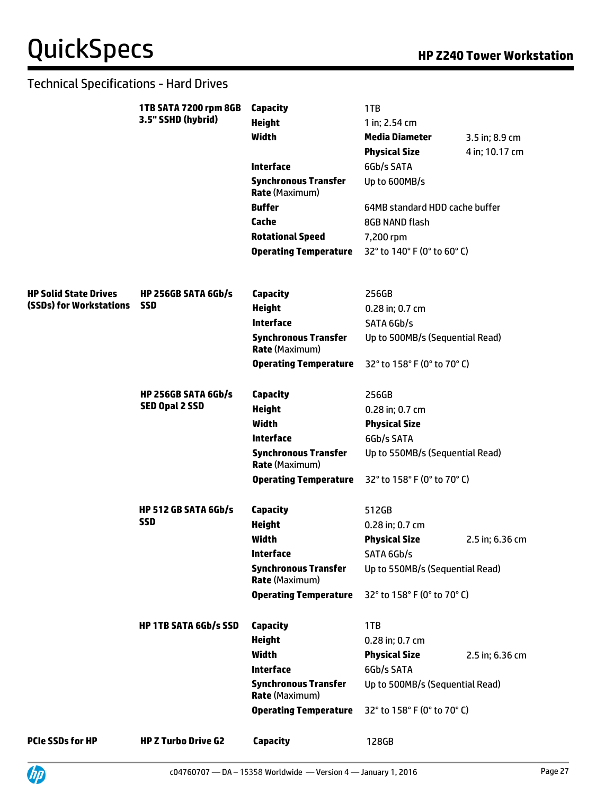|                              | 1TB SATA 7200 rpm 8GB        | Capacity                                             | 1TB                             |                 |
|------------------------------|------------------------------|------------------------------------------------------|---------------------------------|-----------------|
|                              | 3.5" SSHD (hybrid)           | <b>Height</b>                                        | 1 in; 2.54 cm                   |                 |
|                              |                              | Width                                                | <b>Media Diameter</b>           | 3.5 in; 8.9 cm  |
|                              |                              |                                                      | <b>Physical Size</b>            | 4 in; 10.17 cm  |
|                              |                              | Interface                                            | 6Gb/s SATA                      |                 |
|                              |                              | <b>Synchronous Transfer</b><br><b>Rate (Maximum)</b> | Up to 600MB/s                   |                 |
|                              |                              | <b>Buffer</b>                                        | 64MB standard HDD cache buffer  |                 |
|                              |                              | Cache                                                | 8GB NAND flash                  |                 |
|                              |                              | <b>Rotational Speed</b>                              | 7,200 rpm                       |                 |
|                              |                              | <b>Operating Temperature</b>                         | 32° to 140° F (0° to 60° C)     |                 |
| <b>HP Solid State Drives</b> | <b>HP 256GB SATA 6Gb/s</b>   | Capacity                                             | 256GB                           |                 |
| (SSDs) for Workstations      | <b>SSD</b>                   | <b>Height</b>                                        | 0.28 in; 0.7 cm                 |                 |
|                              |                              | <b>Interface</b>                                     | SATA 6Gb/s                      |                 |
|                              |                              | <b>Synchronous Transfer</b><br><b>Rate (Maximum)</b> | Up to 500MB/s (Sequential Read) |                 |
|                              |                              | <b>Operating Temperature</b>                         | 32° to 158° F (0° to 70° C)     |                 |
|                              | HP 256GB SATA 6Gb/s          | <b>Capacity</b>                                      | 256GB                           |                 |
|                              | <b>SED Opal 2 SSD</b>        | <b>Height</b>                                        | 0.28 in; 0.7 cm                 |                 |
|                              |                              | <b>Width</b>                                         | <b>Physical Size</b>            |                 |
|                              |                              | <b>Interface</b>                                     | 6Gb/s SATA                      |                 |
|                              |                              | <b>Synchronous Transfer</b><br><b>Rate (Maximum)</b> | Up to 550MB/s (Sequential Read) |                 |
|                              |                              | <b>Operating Temperature</b>                         | 32° to 158° F (0° to 70° C)     |                 |
|                              | <b>HP 512 GB SATA 6Gb/s</b>  | <b>Capacity</b>                                      | 512GB                           |                 |
|                              | <b>SSD</b>                   | <b>Height</b>                                        | 0.28 in; 0.7 cm                 |                 |
|                              |                              | <b>Width</b>                                         | <b>Physical Size</b>            | 2.5 in; 6.36 cm |
|                              |                              | <b>Interface</b>                                     | SATA 6Gb/s                      |                 |
|                              |                              | <b>Synchronous Transfer</b><br><b>Rate (Maximum)</b> | Up to 550MB/s (Sequential Read) |                 |
|                              |                              | <b>Operating Temperature</b>                         | 32° to 158° F (0° to 70° C)     |                 |
|                              | <b>HP 1TB SATA 6Gb/s SSD</b> | Capacity                                             | 1TB                             |                 |
|                              |                              | <b>Height</b>                                        | 0.28 in; 0.7 cm                 |                 |
|                              |                              | Width                                                | <b>Physical Size</b>            | 2.5 in; 6.36 cm |
|                              | <b>Interface</b>             | 6Gb/s SATA                                           |                                 |                 |
|                              |                              | <b>Synchronous Transfer</b><br><b>Rate (Maximum)</b> | Up to 500MB/s (Sequential Read) |                 |
|                              |                              | <b>Operating Temperature</b>                         | 32° to 158° F (0° to 70° C)     |                 |
| <b>PCIe SSDs for HP</b>      | <b>HP Z Turbo Drive G2</b>   | <b>Capacity</b>                                      | 128GB                           |                 |

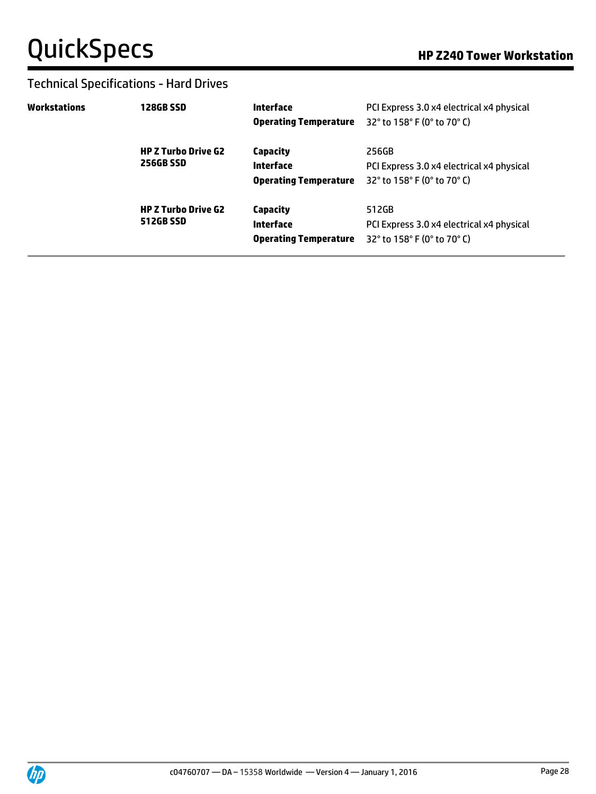| Workstations | <b>128GB SSD</b>                               | Interface<br><b>Operating Temperature</b>             | PCI Express 3.0 x4 electrical x4 physical<br>32° to 158° F (0° to 70° C)                                                  |
|--------------|------------------------------------------------|-------------------------------------------------------|---------------------------------------------------------------------------------------------------------------------------|
|              | <b>HP Z Turbo Drive G2</b><br>256GB SSD        | Capacity<br>Interface<br><b>Operating Temperature</b> | 256GB<br>PCI Express 3.0 x4 electrical x4 physical<br>32° to 158° F (0° to 70° C)                                         |
|              | <b>HP Z Turbo Drive G2</b><br><b>512GB SSD</b> | Capacity<br>Interface<br><b>Operating Temperature</b> | 512GB<br>PCI Express 3.0 x4 electrical x4 physical<br>32 $^{\circ}$ to 158 $^{\circ}$ F (0 $^{\circ}$ to 70 $^{\circ}$ C) |

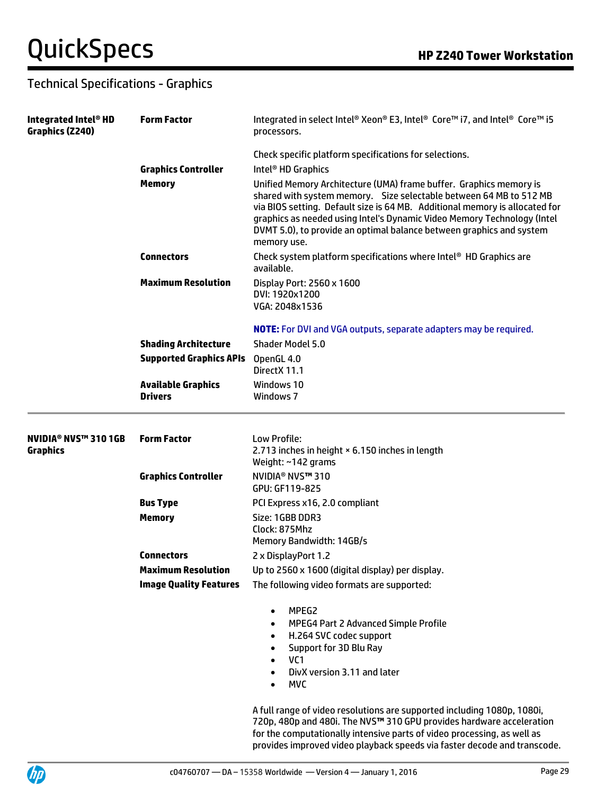| Integrated Intel® HD<br>Graphics (Z240) | <b>Form Factor</b>                          | Integrated in select Intel® Xeon® E3, Intel® Core™ i7, and Intel® Core™ i5<br>processors.                                                                                                                                                                                                                                                                                                 |
|-----------------------------------------|---------------------------------------------|-------------------------------------------------------------------------------------------------------------------------------------------------------------------------------------------------------------------------------------------------------------------------------------------------------------------------------------------------------------------------------------------|
|                                         | <b>Graphics Controller</b>                  | Check specific platform specifications for selections.<br>Intel <sup>®</sup> HD Graphics                                                                                                                                                                                                                                                                                                  |
|                                         | <b>Memory</b>                               | Unified Memory Architecture (UMA) frame buffer. Graphics memory is<br>shared with system memory. Size selectable between 64 MB to 512 MB<br>via BIOS setting. Default size is 64 MB. Additional memory is allocated for<br>graphics as needed using Intel's Dynamic Video Memory Technology (Intel<br>DVMT 5.0), to provide an optimal balance between graphics and system<br>memory use. |
|                                         | <b>Connectors</b>                           | Check system platform specifications where Intel® HD Graphics are<br>available.                                                                                                                                                                                                                                                                                                           |
|                                         | <b>Maximum Resolution</b>                   | Display Port: 2560 x 1600<br>DVI: 1920x1200<br>VGA: 2048x1536                                                                                                                                                                                                                                                                                                                             |
|                                         |                                             | <b>NOTE:</b> For DVI and VGA outputs, separate adapters may be required.                                                                                                                                                                                                                                                                                                                  |
|                                         | <b>Shading Architecture</b>                 | Shader Model 5.0                                                                                                                                                                                                                                                                                                                                                                          |
|                                         | <b>Supported Graphics APIs</b>              | OpenGL 4.0<br>DirectX 11.1                                                                                                                                                                                                                                                                                                                                                                |
|                                         | <b>Available Graphics</b><br><b>Drivers</b> | Windows 10<br>Windows 7                                                                                                                                                                                                                                                                                                                                                                   |
| NVIDIA® NVS™ 310 1GB<br><b>Graphics</b> | <b>Form Factor</b>                          | Low Profile:<br>2.713 inches in height × 6.150 inches in length<br>Weight: ~142 grams                                                                                                                                                                                                                                                                                                     |
|                                         | <b>Graphics Controller</b>                  | NVIDIA <sup>®</sup> NVS™ 310<br>GPU: GF119-825                                                                                                                                                                                                                                                                                                                                            |
|                                         | <b>Bus Type</b>                             | PCI Express x16, 2.0 compliant                                                                                                                                                                                                                                                                                                                                                            |
|                                         | <b>Memory</b>                               | Size: 1GBB DDR3<br>Clock: 875Mhz<br>Memory Bandwidth: 14GB/s                                                                                                                                                                                                                                                                                                                              |
|                                         | <b>Connectors</b>                           | 2 x DisplayPort 1.2                                                                                                                                                                                                                                                                                                                                                                       |
|                                         | <b>Maximum Resolution</b>                   | Up to 2560 x 1600 (digital display) per display.                                                                                                                                                                                                                                                                                                                                          |
|                                         | <b>Image Quality Features</b>               | The following video formats are supported:                                                                                                                                                                                                                                                                                                                                                |
|                                         |                                             | MPEG2<br>٠<br>MPEG4 Part 2 Advanced Simple Profile<br>$\bullet$<br>H.264 SVC codec support<br>$\bullet$<br>Support for 3D Blu Ray<br>٠<br>VC <sub>1</sub><br>$\bullet$<br>DivX version 3.11 and later<br>$\bullet$<br><b>MVC</b><br>$\bullet$<br>A full range of video resolutions are supported including 1080p, 1080i,                                                                  |
|                                         |                                             | 720p, 480p and 480i. The NVS™ 310 GPU provides hardware acceleration<br>for the computationally intensive parts of video processing, as well as                                                                                                                                                                                                                                           |



provides improved video playback speeds via faster decode and transcode.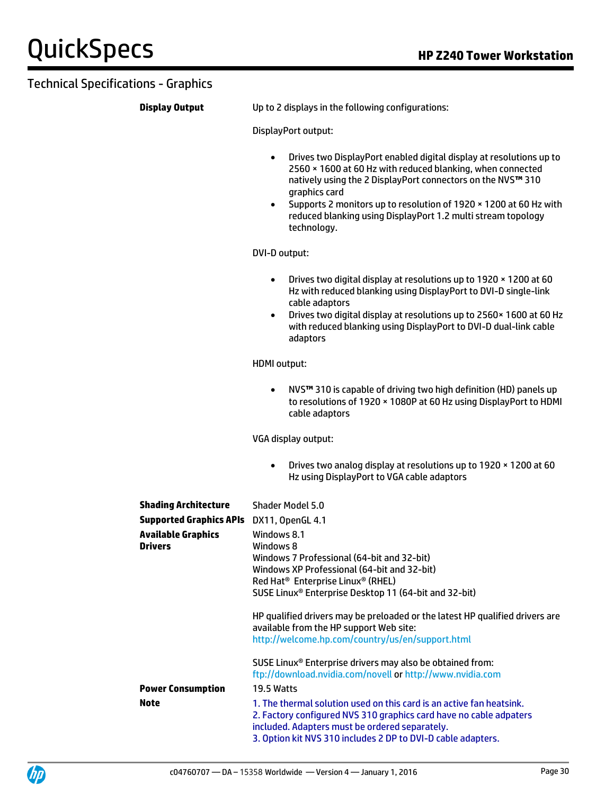**Display Output** Up to 2 displays in the following configurations:

DisplayPort output:

- Drives two DisplayPort enabled digital display at resolutions up to 2560 × 1600 at 60 Hz with reduced blanking, when connected natively using the 2 DisplayPort connectors on the NVS**™** 310 graphics card
- Supports 2 monitors up to resolution of 1920 × 1200 at 60 Hz with reduced blanking using DisplayPort 1.2 multi stream topology technology.

DVI-D output:

- Drives two digital display at resolutions up to 1920 × 1200 at 60 Hz with reduced blanking using DisplayPort to DVI-D single-link cable adaptors
- Drives two digital display at resolutions up to 2560× 1600 at 60 Hz with reduced blanking using DisplayPort to DVI-D dual-link cable adaptors

HDMI output:

 NVS**™** 310 is capable of driving two high definition (HD) panels up to resolutions of 1920 × 1080P at 60 Hz using DisplayPort to HDMI cable adaptors

VGA display output:

 Drives two analog display at resolutions up to 1920 × 1200 at 60 Hz using DisplayPort to VGA cable adaptors

| <b>Shading Architecture</b><br><b>Supported Graphics APIs</b><br><b>Available Graphics</b><br><b>Drivers</b> | Shader Model 5.0<br>DX11, OpenGL 4.1<br>Windows 8.1<br>Windows 8<br>Windows 7 Professional (64-bit and 32-bit)<br>Windows XP Professional (64-bit and 32-bit)<br>Red Hat <sup>®</sup> Enterprise Linux <sup>®</sup> (RHEL)                                                                                                                                                             |
|--------------------------------------------------------------------------------------------------------------|----------------------------------------------------------------------------------------------------------------------------------------------------------------------------------------------------------------------------------------------------------------------------------------------------------------------------------------------------------------------------------------|
|                                                                                                              | SUSE Linux <sup>®</sup> Enterprise Desktop 11 (64-bit and 32-bit)<br>HP qualified drivers may be preloaded or the latest HP qualified drivers are<br>available from the HP support Web site:<br>http://welcome.hp.com/country/us/en/support.html<br>SUSE Linux <sup>®</sup> Enterprise drivers may also be obtained from:<br>ftp://download.nvidia.com/novell or http://www.nvidia.com |
| <b>Power Consumption</b>                                                                                     | 19.5 Watts                                                                                                                                                                                                                                                                                                                                                                             |
| <b>Note</b>                                                                                                  | 1. The thermal solution used on this card is an active fan heatsink.<br>2. Factory configured NVS 310 graphics card have no cable adpaters<br>included. Adapters must be ordered separately.<br>3. Option kit NVS 310 includes 2 DP to DVI-D cable adapters.                                                                                                                           |

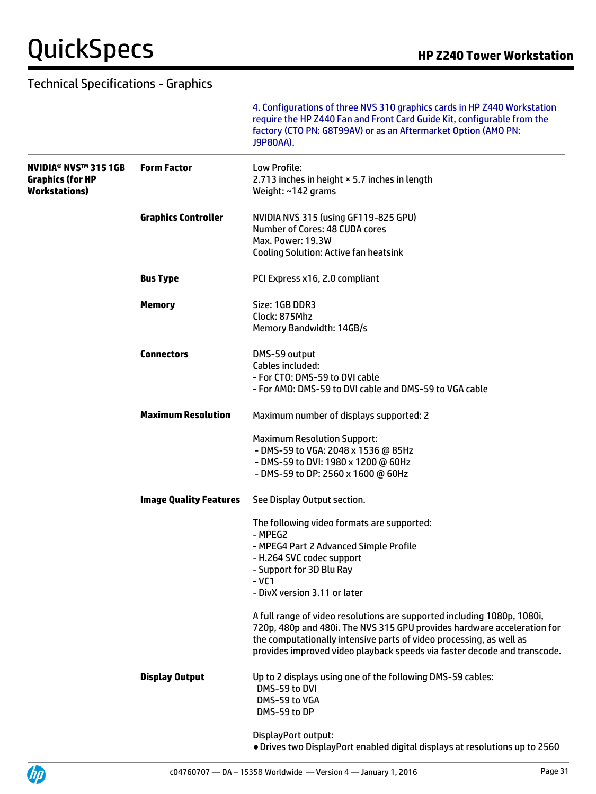UP

|                                                                                |                               | 4. Configurations of three NVS 310 graphics cards in HP Z440 Workstation<br>require the HP Z440 Fan and Front Card Guide Kit, configurable from the<br>factory (CTO PN: G8T99AV) or as an Aftermarket Option (AMO PN:<br>J9P80AA).                                                                    |
|--------------------------------------------------------------------------------|-------------------------------|-------------------------------------------------------------------------------------------------------------------------------------------------------------------------------------------------------------------------------------------------------------------------------------------------------|
| <b>NVIDIA® NVS™ 315 1GB</b><br><b>Graphics (for HP</b><br><b>Workstations)</b> | <b>Form Factor</b>            | Low Profile:<br>2.713 inches in height × 5.7 inches in length<br>Weight: ~142 grams                                                                                                                                                                                                                   |
|                                                                                | <b>Graphics Controller</b>    | NVIDIA NVS 315 (using GF119-825 GPU)<br>Number of Cores: 48 CUDA cores<br>Max. Power: 19.3W<br><b>Cooling Solution: Active fan heatsink</b>                                                                                                                                                           |
|                                                                                | <b>Bus Type</b>               | PCI Express x16, 2.0 compliant                                                                                                                                                                                                                                                                        |
|                                                                                | <b>Memory</b>                 | Size: 1GB DDR3<br>Clock: 875Mhz<br>Memory Bandwidth: 14GB/s                                                                                                                                                                                                                                           |
|                                                                                | <b>Connectors</b>             | DMS-59 output<br>Cables included:<br>- For CTO: DMS-59 to DVI cable<br>- For AMO: DMS-59 to DVI cable and DMS-59 to VGA cable                                                                                                                                                                         |
|                                                                                | <b>Maximum Resolution</b>     | Maximum number of displays supported: 2                                                                                                                                                                                                                                                               |
|                                                                                |                               | <b>Maximum Resolution Support:</b><br>- DMS-59 to VGA: 2048 x 1536 @ 85Hz<br>- DMS-59 to DVI: 1980 x 1200 @ 60Hz<br>- DMS-59 to DP: 2560 x 1600 @ 60Hz                                                                                                                                                |
|                                                                                | <b>Image Quality Features</b> | See Display Output section.                                                                                                                                                                                                                                                                           |
|                                                                                |                               | The following video formats are supported:<br>- MPEG2<br>- MPEG4 Part 2 Advanced Simple Profile<br>- H.264 SVC codec support<br>- Support for 3D Blu Ray<br>$-VC1$<br>- DivX version 3.11 or later                                                                                                    |
|                                                                                |                               | A full range of video resolutions are supported including 1080p, 1080i,<br>720p, 480p and 480i. The NVS 315 GPU provides hardware acceleration for<br>the computationally intensive parts of video processing, as well as<br>provides improved video playback speeds via faster decode and transcode. |
|                                                                                | <b>Display Output</b>         | Up to 2 displays using one of the following DMS-59 cables:<br>DMS-59 to DVI<br>DMS-59 to VGA<br>DMS-59 to DP                                                                                                                                                                                          |
|                                                                                |                               | DisplayPort output:<br>. Drives two DisplayPort enabled digital displays at resolutions up to 2560                                                                                                                                                                                                    |

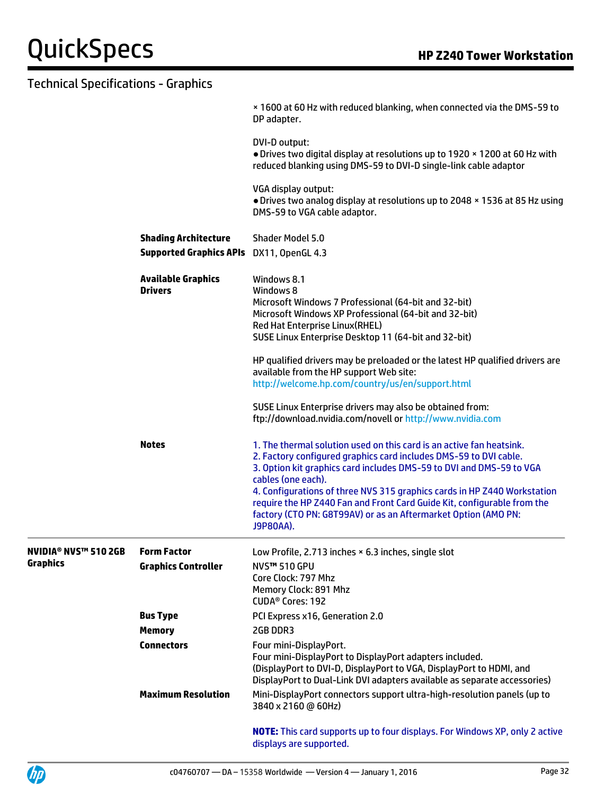|                                                   |                                             | x 1600 at 60 Hz with reduced blanking, when connected via the DMS-59 to<br>DP adapter.                                                                                                                                                                                                                                                                                                                                                                                        |
|---------------------------------------------------|---------------------------------------------|-------------------------------------------------------------------------------------------------------------------------------------------------------------------------------------------------------------------------------------------------------------------------------------------------------------------------------------------------------------------------------------------------------------------------------------------------------------------------------|
|                                                   |                                             | DVI-D output:<br>. Drives two digital display at resolutions up to 1920 x 1200 at 60 Hz with<br>reduced blanking using DMS-59 to DVI-D single-link cable adaptor                                                                                                                                                                                                                                                                                                              |
|                                                   |                                             | VGA display output:<br>. Drives two analog display at resolutions up to 2048 x 1536 at 85 Hz using<br>DMS-59 to VGA cable adaptor.                                                                                                                                                                                                                                                                                                                                            |
|                                                   | <b>Shading Architecture</b>                 | Shader Model 5.0                                                                                                                                                                                                                                                                                                                                                                                                                                                              |
|                                                   | <b>Supported Graphics APIs</b>              | DX11, OpenGL 4.3                                                                                                                                                                                                                                                                                                                                                                                                                                                              |
|                                                   | <b>Available Graphics</b><br><b>Drivers</b> | Windows 8.1<br>Windows 8<br>Microsoft Windows 7 Professional (64-bit and 32-bit)<br>Microsoft Windows XP Professional (64-bit and 32-bit)<br>Red Hat Enterprise Linux(RHEL)<br>SUSE Linux Enterprise Desktop 11 (64-bit and 32-bit)                                                                                                                                                                                                                                           |
|                                                   |                                             | HP qualified drivers may be preloaded or the latest HP qualified drivers are<br>available from the HP support Web site:<br>http://welcome.hp.com/country/us/en/support.html                                                                                                                                                                                                                                                                                                   |
|                                                   |                                             | SUSE Linux Enterprise drivers may also be obtained from:<br>ftp://download.nvidia.com/novell or http://www.nvidia.com                                                                                                                                                                                                                                                                                                                                                         |
|                                                   | <b>Notes</b>                                | 1. The thermal solution used on this card is an active fan heatsink.<br>2. Factory configured graphics card includes DMS-59 to DVI cable.<br>3. Option kit graphics card includes DMS-59 to DVI and DMS-59 to VGA<br>cables (one each).<br>4. Configurations of three NVS 315 graphics cards in HP Z440 Workstation<br>require the HP Z440 Fan and Front Card Guide Kit, configurable from the<br>factory (CTO PN: G8T99AV) or as an Aftermarket Option (AMO PN:<br>J9P80AA). |
| <b>NVIDIA<sup>®</sup> NVS<sup>™</sup> 510 2GB</b> | <b>Form Factor</b>                          | Low Profile, 2.713 inches × 6.3 inches, single slot                                                                                                                                                                                                                                                                                                                                                                                                                           |
| Graphics                                          | <b>Graphics Controller</b>                  | NVS™ 510 GPU<br>Core Clock: 797 Mhz<br>Memory Clock: 891 Mhz<br>CUDA <sup>®</sup> Cores: 192                                                                                                                                                                                                                                                                                                                                                                                  |
|                                                   | <b>Bus Type</b>                             | PCI Express x16, Generation 2.0                                                                                                                                                                                                                                                                                                                                                                                                                                               |
|                                                   | <b>Memory</b>                               | 2GB DDR3                                                                                                                                                                                                                                                                                                                                                                                                                                                                      |
|                                                   | <b>Connectors</b>                           | Four mini-DisplayPort.<br>Four mini-DisplayPort to DisplayPort adapters included.<br>(DisplayPort to DVI-D, DisplayPort to VGA, DisplayPort to HDMI, and<br>DisplayPort to Dual-Link DVI adapters available as separate accessories)                                                                                                                                                                                                                                          |
|                                                   | <b>Maximum Resolution</b>                   | Mini-DisplayPort connectors support ultra-high-resolution panels (up to<br>3840 x 2160 @ 60Hz)                                                                                                                                                                                                                                                                                                                                                                                |
|                                                   |                                             | <b>NOTE:</b> This card supports up to four displays. For Windows XP, only 2 active<br>displays are supported.                                                                                                                                                                                                                                                                                                                                                                 |

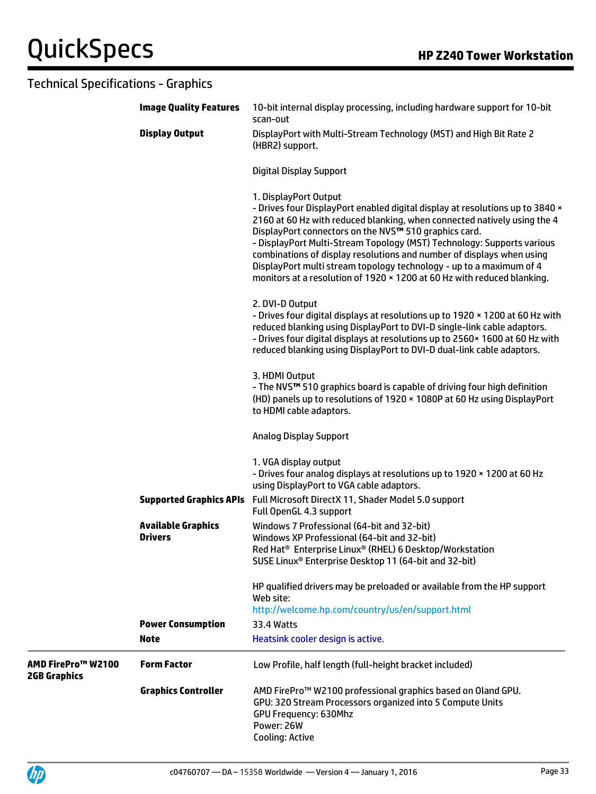|                                           | <b>Image Quality Features</b>               | 10-bit internal display processing, including hardware support for 10-bit<br>scan-out                                                                                                                                                                                                                                                                                                                                                                                                                                                            |
|-------------------------------------------|---------------------------------------------|--------------------------------------------------------------------------------------------------------------------------------------------------------------------------------------------------------------------------------------------------------------------------------------------------------------------------------------------------------------------------------------------------------------------------------------------------------------------------------------------------------------------------------------------------|
|                                           | <b>Display Output</b>                       | DisplayPort with Multi-Stream Technology (MST) and High Bit Rate 2<br>(HBR2) support.                                                                                                                                                                                                                                                                                                                                                                                                                                                            |
|                                           |                                             | <b>Digital Display Support</b>                                                                                                                                                                                                                                                                                                                                                                                                                                                                                                                   |
|                                           |                                             | 1. DisplayPort Output<br>- Drives four DisplayPort enabled digital display at resolutions up to 3840 x<br>2160 at 60 Hz with reduced blanking, when connected natively using the 4<br>DisplayPort connectors on the NVS™ 510 graphics card.<br>- DisplayPort Multi-Stream Topology (MST) Technology: Supports various<br>combinations of display resolutions and number of displays when using<br>DisplayPort multi stream topology technology - up to a maximum of 4<br>monitors at a resolution of 1920 × 1200 at 60 Hz with reduced blanking. |
|                                           |                                             | 2. DVI-D Output<br>- Drives four digital displays at resolutions up to 1920 x 1200 at 60 Hz with<br>reduced blanking using DisplayPort to DVI-D single-link cable adaptors.<br>- Drives four digital displays at resolutions up to 2560 × 1600 at 60 Hz with<br>reduced blanking using DisplayPort to DVI-D dual-link cable adaptors.                                                                                                                                                                                                            |
|                                           |                                             | 3. HDMI Output<br>- The NVS™ 510 graphics board is capable of driving four high definition<br>(HD) panels up to resolutions of 1920 × 1080P at 60 Hz using DisplayPort<br>to HDMI cable adaptors.                                                                                                                                                                                                                                                                                                                                                |
|                                           |                                             | <b>Analog Display Support</b>                                                                                                                                                                                                                                                                                                                                                                                                                                                                                                                    |
|                                           |                                             | 1. VGA display output<br>- Drives four analog displays at resolutions up to 1920 x 1200 at 60 Hz<br>using DisplayPort to VGA cable adaptors.                                                                                                                                                                                                                                                                                                                                                                                                     |
|                                           | <b>Supported Graphics APIs</b>              | Full Microsoft DirectX 11, Shader Model 5.0 support<br>Full OpenGL 4.3 support                                                                                                                                                                                                                                                                                                                                                                                                                                                                   |
|                                           | <b>Available Graphics</b><br><b>Drivers</b> | Windows 7 Professional (64-bit and 32-bit)<br>Windows XP Professional (64-bit and 32-bit)<br>Red Hat <sup>®</sup> Enterprise Linux® (RHEL) 6 Desktop/Workstation<br>SUSE Linux <sup>®</sup> Enterprise Desktop 11 (64-bit and 32-bit)                                                                                                                                                                                                                                                                                                            |
|                                           |                                             | HP qualified drivers may be preloaded or available from the HP support<br>Web site:<br>http://welcome.hp.com/country/us/en/support.html                                                                                                                                                                                                                                                                                                                                                                                                          |
|                                           | <b>Power Consumption</b>                    | <b>33.4 Watts</b>                                                                                                                                                                                                                                                                                                                                                                                                                                                                                                                                |
|                                           | <b>Note</b>                                 | Heatsink cooler design is active.                                                                                                                                                                                                                                                                                                                                                                                                                                                                                                                |
| AMD FirePro™ W2100<br><b>2GB Graphics</b> | <b>Form Factor</b>                          | Low Profile, half length (full-height bracket included)                                                                                                                                                                                                                                                                                                                                                                                                                                                                                          |
|                                           | <b>Graphics Controller</b>                  | AMD FirePro™ W2100 professional graphics based on Oland GPU.<br>GPU: 320 Stream Processors organized into 5 Compute Units<br>GPU Frequency: 630Mhz<br>Power: 26W<br>Cooling: Active                                                                                                                                                                                                                                                                                                                                                              |

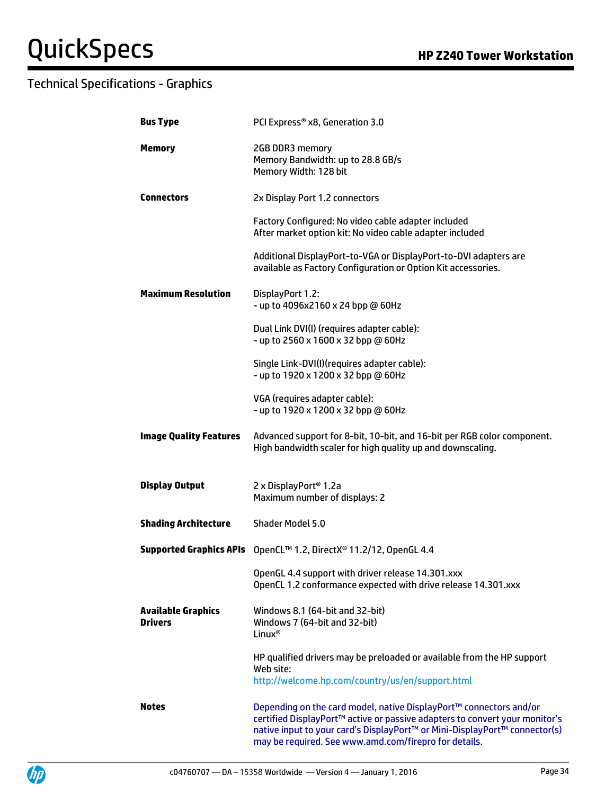| <b>Bus Type</b>                             | PCI Express® x8, Generation 3.0                                                                                                                                                                                                                                                          |
|---------------------------------------------|------------------------------------------------------------------------------------------------------------------------------------------------------------------------------------------------------------------------------------------------------------------------------------------|
| <b>Memory</b>                               | 2GB DDR3 memory<br>Memory Bandwidth: up to 28.8 GB/s<br>Memory Width: 128 bit                                                                                                                                                                                                            |
| <b>Connectors</b>                           | 2x Display Port 1.2 connectors                                                                                                                                                                                                                                                           |
|                                             | Factory Configured: No video cable adapter included<br>After market option kit: No video cable adapter included                                                                                                                                                                          |
|                                             | Additional DisplayPort-to-VGA or DisplayPort-to-DVI adapters are<br>available as Factory Configuration or Option Kit accessories.                                                                                                                                                        |
| <b>Maximum Resolution</b>                   | DisplayPort 1.2:<br>- up to 4096x2160 x 24 bpp @ 60Hz                                                                                                                                                                                                                                    |
|                                             | Dual Link DVI(I) (requires adapter cable):<br>- up to 2560 x 1600 x 32 bpp @ 60Hz                                                                                                                                                                                                        |
|                                             | Single Link-DVI(I)(requires adapter cable):<br>- up to 1920 x 1200 x 32 bpp @ 60Hz                                                                                                                                                                                                       |
|                                             | VGA (requires adapter cable):<br>- up to 1920 x 1200 x 32 bpp @ 60Hz                                                                                                                                                                                                                     |
| <b>Image Quality Features</b>               | Advanced support for 8-bit, 10-bit, and 16-bit per RGB color component.<br>High bandwidth scaler for high quality up and downscaling.                                                                                                                                                    |
| <b>Display Output</b>                       | 2 x DisplayPort <sup>®</sup> 1.2a<br>Maximum number of displays: 2                                                                                                                                                                                                                       |
| <b>Shading Architecture</b>                 | Shader Model 5.0                                                                                                                                                                                                                                                                         |
|                                             | Supported Graphics APIs OpenCL™ 1.2, DirectX® 11.2/12, OpenGL 4.4                                                                                                                                                                                                                        |
|                                             | OpenGL 4.4 support with driver release 14.301.xxx<br>OpenCL 1.2 conformance expected with drive release 14.301.xxx                                                                                                                                                                       |
| <b>Available Graphics</b><br><b>Drivers</b> | Windows 8.1 (64-bit and 32-bit)<br>Windows 7 (64-bit and 32-bit)<br>Linux <sup>®</sup>                                                                                                                                                                                                   |
|                                             | HP qualified drivers may be preloaded or available from the HP support<br>Web site:<br>http://welcome.hp.com/country/us/en/support.html                                                                                                                                                  |
| <b>Notes</b>                                | Depending on the card model, native DisplayPort™ connectors and/or<br>certified DisplayPort™ active or passive adapters to convert your monitor's<br>native input to your card's DisplayPort™ or Mini-DisplayPort™ connector(s)<br>may be required. See www.amd.com/firepro for details. |

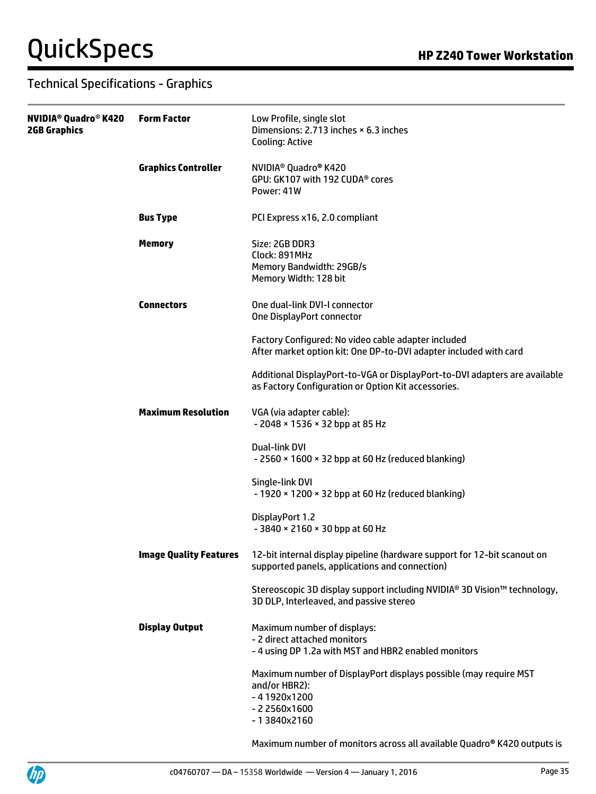| NVIDIA® Quadro® K420<br>2GB Graphics | <b>Form Factor</b>            | Low Profile, single slot<br>Dimensions: 2.713 inches × 6.3 inches<br>Cooling: Active                                                 |
|--------------------------------------|-------------------------------|--------------------------------------------------------------------------------------------------------------------------------------|
|                                      | <b>Graphics Controller</b>    | NVIDIA <sup>®</sup> Quadro <sup>®</sup> K420<br>GPU: GK107 with 192 CUDA® cores<br>Power: 41W                                        |
|                                      | <b>Bus Type</b>               | PCI Express x16, 2.0 compliant                                                                                                       |
|                                      | <b>Memory</b>                 | Size: 2GB DDR3<br>Clock: 891MHz<br>Memory Bandwidth: 29GB/s<br>Memory Width: 128 bit                                                 |
|                                      | <b>Connectors</b>             | One dual-link DVI-I connector<br>One DisplayPort connector                                                                           |
|                                      |                               | Factory Configured: No video cable adapter included<br>After market option kit: One DP-to-DVI adapter included with card             |
|                                      |                               | Additional DisplayPort-to-VGA or DisplayPort-to-DVI adapters are available<br>as Factory Configuration or Option Kit accessories.    |
|                                      | <b>Maximum Resolution</b>     | VGA (via adapter cable):<br>- 2048 × 1536 × 32 bpp at 85 Hz                                                                          |
|                                      |                               | Dual-link DVI<br>$-2560 \times 1600 \times 32$ bpp at 60 Hz (reduced blanking)                                                       |
|                                      |                               | Single-link DVI<br>- 1920 × 1200 × 32 bpp at 60 Hz (reduced blanking)                                                                |
|                                      |                               | DisplayPort 1.2<br>- 3840 × 2160 × 30 bpp at 60 Hz                                                                                   |
|                                      | <b>Image Quality Features</b> | 12-bit internal display pipeline (hardware support for 12-bit scanout on<br>supported panels, applications and connection)           |
|                                      |                               | Stereoscopic 3D display support including NVIDIA® 3D Vision™ technology,<br>3D DLP, Interleaved, and passive stereo                  |
|                                      | <b>Display Output</b>         | Maximum number of displays:<br>- 2 direct attached monitors<br>- 4 using DP 1.2a with MST and HBR2 enabled monitors                  |
|                                      |                               | Maximum number of DisplayPort displays possible (may require MST<br>and/or HBR2):<br>$-41920x1200$<br>$-22560x1600$<br>$-13840x2160$ |

Maximum number of monitors across all available Quadro**®** K420 outputs is

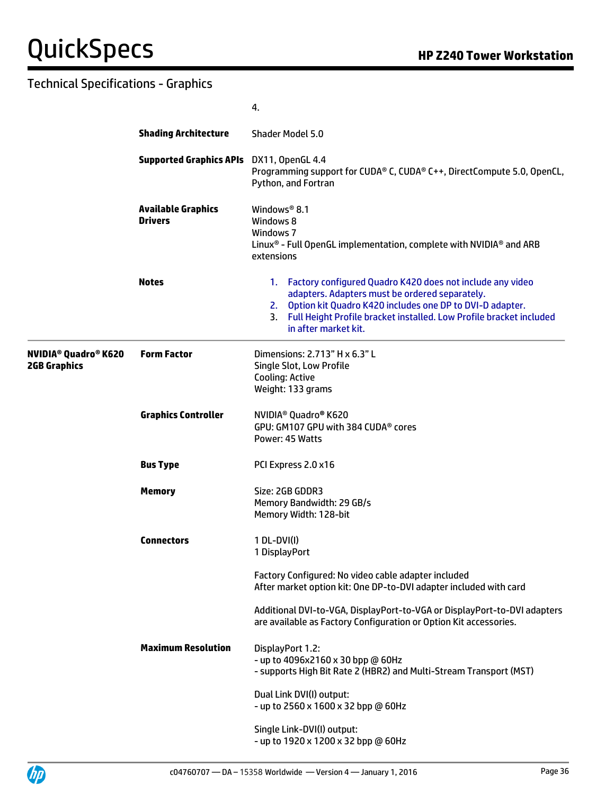|                                      |                                             | 4.                                                                                                                                                                                                                                                                                    |
|--------------------------------------|---------------------------------------------|---------------------------------------------------------------------------------------------------------------------------------------------------------------------------------------------------------------------------------------------------------------------------------------|
|                                      | <b>Shading Architecture</b>                 | <b>Shader Model 5.0</b>                                                                                                                                                                                                                                                               |
|                                      | <b>Supported Graphics APIs</b>              | DX11, OpenGL 4.4<br>Programming support for CUDA® C, CUDA® C++, DirectCompute 5.0, OpenCL,<br>Python, and Fortran                                                                                                                                                                     |
|                                      | <b>Available Graphics</b><br><b>Drivers</b> | Windows <sup>®</sup> 8.1<br>Windows 8<br>Windows 7<br>Linux <sup>®</sup> - Full OpenGL implementation, complete with NVIDIA <sup>®</sup> and ARB<br>extensions                                                                                                                        |
|                                      | <b>Notes</b>                                | 1. Factory configured Quadro K420 does not include any video<br>adapters. Adapters must be ordered separately.<br>Option kit Quadro K420 includes one DP to DVI-D adapter.<br>2.<br>Full Height Profile bracket installed. Low Profile bracket included<br>3.<br>in after market kit. |
| NVIDIA® Quadro® K620<br>2GB Graphics | <b>Form Factor</b>                          | Dimensions: 2.713" H x 6.3" L<br>Single Slot, Low Profile<br><b>Cooling: Active</b><br>Weight: 133 grams                                                                                                                                                                              |
|                                      | <b>Graphics Controller</b>                  | NVIDIA <sup>®</sup> Quadro <sup>®</sup> K620<br>GPU: GM107 GPU with 384 CUDA® cores<br>Power: 45 Watts                                                                                                                                                                                |
|                                      | <b>Bus Type</b>                             | PCI Express 2.0 x16                                                                                                                                                                                                                                                                   |
|                                      | <b>Memory</b>                               | Size: 2GB GDDR3<br>Memory Bandwidth: 29 GB/s<br>Memory Width: 128-bit                                                                                                                                                                                                                 |
|                                      | <b>Connectors</b>                           | 1 DL-DVI(I)<br>1 DisplayPort                                                                                                                                                                                                                                                          |
|                                      |                                             | Factory Configured: No video cable adapter included<br>After market option kit: One DP-to-DVI adapter included with card                                                                                                                                                              |
|                                      |                                             | Additional DVI-to-VGA, DisplayPort-to-VGA or DisplayPort-to-DVI adapters<br>are available as Factory Configuration or Option Kit accessories.                                                                                                                                         |
|                                      | <b>Maximum Resolution</b>                   | DisplayPort 1.2:<br>- up to 4096x2160 x 30 bpp @ 60Hz<br>- supports High Bit Rate 2 (HBR2) and Multi-Stream Transport (MST)                                                                                                                                                           |
|                                      |                                             | Dual Link DVI(I) output:<br>- up to 2560 x 1600 x 32 bpp @ 60Hz                                                                                                                                                                                                                       |
|                                      |                                             | Single Link-DVI(I) output:<br>- up to 1920 x 1200 x 32 bpp @ 60Hz                                                                                                                                                                                                                     |



 $\equiv$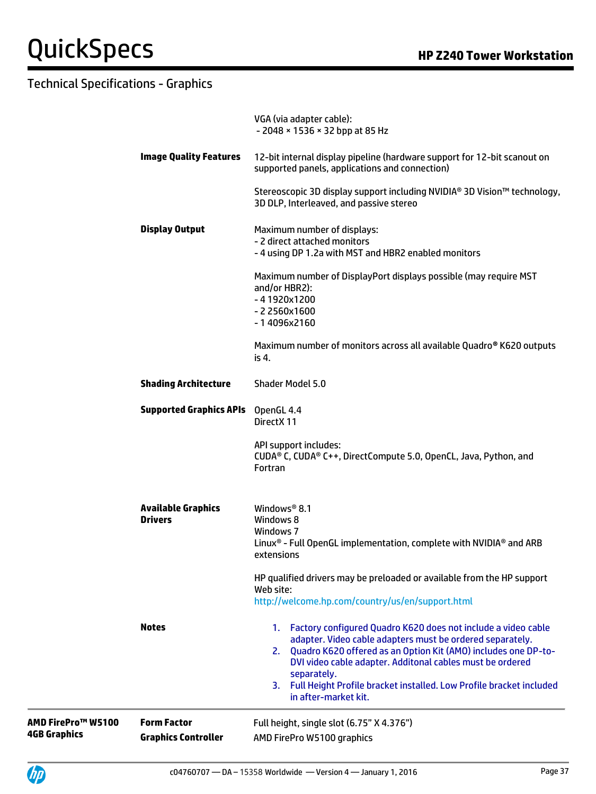| AMD FirePro™ W5100<br><b>4GB Graphics</b> | <b>Form Factor</b><br><b>Graphics Controller</b> | Full height, single slot (6.75" X 4.376")<br>AMD FirePro W5100 graphics                                                                                                                                                                                                                                                                                                          |
|-------------------------------------------|--------------------------------------------------|----------------------------------------------------------------------------------------------------------------------------------------------------------------------------------------------------------------------------------------------------------------------------------------------------------------------------------------------------------------------------------|
|                                           | <b>Notes</b>                                     | 1. Factory configured Quadro K620 does not include a video cable<br>adapter. Video cable adapters must be ordered separately.<br>2. Quadro K620 offered as an Option Kit (AMO) includes one DP-to-<br>DVI video cable adapter. Additonal cables must be ordered<br>separately.<br>3. Full Height Profile bracket installed. Low Profile bracket included<br>in after-market kit. |
|                                           |                                                  | HP qualified drivers may be preloaded or available from the HP support<br>Web site:<br>http://welcome.hp.com/country/us/en/support.html                                                                                                                                                                                                                                          |
|                                           | <b>Available Graphics</b><br><b>Drivers</b>      | Windows <sup>®</sup> 8.1<br>Windows 8<br>Windows 7<br>Linux <sup>®</sup> - Full OpenGL implementation, complete with NVIDIA <sup>®</sup> and ARB<br>extensions                                                                                                                                                                                                                   |
|                                           |                                                  | API support includes:<br>CUDA® C, CUDA® C++, DirectCompute 5.0, OpenCL, Java, Python, and<br>Fortran                                                                                                                                                                                                                                                                             |
|                                           | <b>Supported Graphics APIs</b>                   | OpenGL 4.4<br>DirectX 11                                                                                                                                                                                                                                                                                                                                                         |
|                                           | <b>Shading Architecture</b>                      | Maximum number of monitors across all available Quadro® K620 outputs<br>is 4.<br><b>Shader Model 5.0</b>                                                                                                                                                                                                                                                                         |
|                                           |                                                  | Maximum number of DisplayPort displays possible (may require MST<br>and/or HBR2):<br>$-41920x1200$<br>$-22560x1600$<br>$-14096x2160$                                                                                                                                                                                                                                             |
|                                           | <b>Display Output</b>                            | Maximum number of displays:<br>- 2 direct attached monitors<br>- 4 using DP 1.2a with MST and HBR2 enabled monitors                                                                                                                                                                                                                                                              |
|                                           |                                                  | Stereoscopic 3D display support including NVIDIA® 3D Vision™ technology,<br>3D DLP, Interleaved, and passive stereo                                                                                                                                                                                                                                                              |
|                                           | <b>Image Quality Features</b>                    | 12-bit internal display pipeline (hardware support for 12-bit scanout on<br>supported panels, applications and connection)                                                                                                                                                                                                                                                       |
|                                           |                                                  | VGA (via adapter cable):<br>- 2048 × 1536 × 32 bpp at 85 Hz                                                                                                                                                                                                                                                                                                                      |

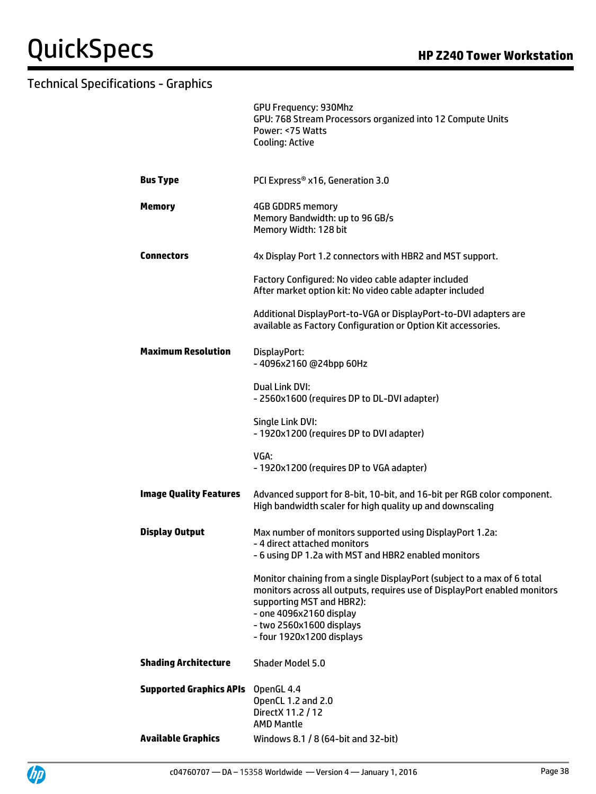|                                | <b>GPU Frequency: 930Mhz</b><br>GPU: 768 Stream Processors organized into 12 Compute Units<br>Power: <75 Watts<br>Cooling: Active                                                                                                                                     |
|--------------------------------|-----------------------------------------------------------------------------------------------------------------------------------------------------------------------------------------------------------------------------------------------------------------------|
| <b>Bus Type</b>                | PCI Express® x16, Generation 3.0                                                                                                                                                                                                                                      |
| <b>Memory</b>                  | 4GB GDDR5 memory<br>Memory Bandwidth: up to 96 GB/s<br>Memory Width: 128 bit                                                                                                                                                                                          |
| <b>Connectors</b>              | 4x Display Port 1.2 connectors with HBR2 and MST support.                                                                                                                                                                                                             |
|                                | Factory Configured: No video cable adapter included<br>After market option kit: No video cable adapter included                                                                                                                                                       |
|                                | Additional DisplayPort-to-VGA or DisplayPort-to-DVI adapters are<br>available as Factory Configuration or Option Kit accessories.                                                                                                                                     |
| <b>Maximum Resolution</b>      | DisplayPort:<br>-4096x2160 @24bpp 60Hz                                                                                                                                                                                                                                |
|                                | Dual Link DVI:<br>- 2560x1600 (requires DP to DL-DVI adapter)                                                                                                                                                                                                         |
|                                | Single Link DVI:<br>- 1920x1200 (requires DP to DVI adapter)                                                                                                                                                                                                          |
|                                | VGA:<br>- 1920x1200 (requires DP to VGA adapter)                                                                                                                                                                                                                      |
| <b>Image Quality Features</b>  | Advanced support for 8-bit, 10-bit, and 16-bit per RGB color component.<br>High bandwidth scaler for high quality up and downscaling                                                                                                                                  |
| <b>Display Output</b>          | Max number of monitors supported using DisplayPort 1.2a:<br>- 4 direct attached monitors<br>- 6 using DP 1.2a with MST and HBR2 enabled monitors                                                                                                                      |
|                                | Monitor chaining from a single DisplayPort (subject to a max of 6 total<br>monitors across all outputs, requires use of DisplayPort enabled monitors<br>supporting MST and HBR2):<br>- one 4096x2160 display<br>- two 2560x1600 displays<br>- four 1920x1200 displays |
| <b>Shading Architecture</b>    | Shader Model 5.0                                                                                                                                                                                                                                                      |
| <b>Supported Graphics APIs</b> | OpenGL 4.4<br>OpenCL 1.2 and 2.0<br>DirectX 11.2 / 12<br><b>AMD Mantle</b>                                                                                                                                                                                            |
| <b>Available Graphics</b>      | Windows 8.1 / 8 (64-bit and 32-bit)                                                                                                                                                                                                                                   |

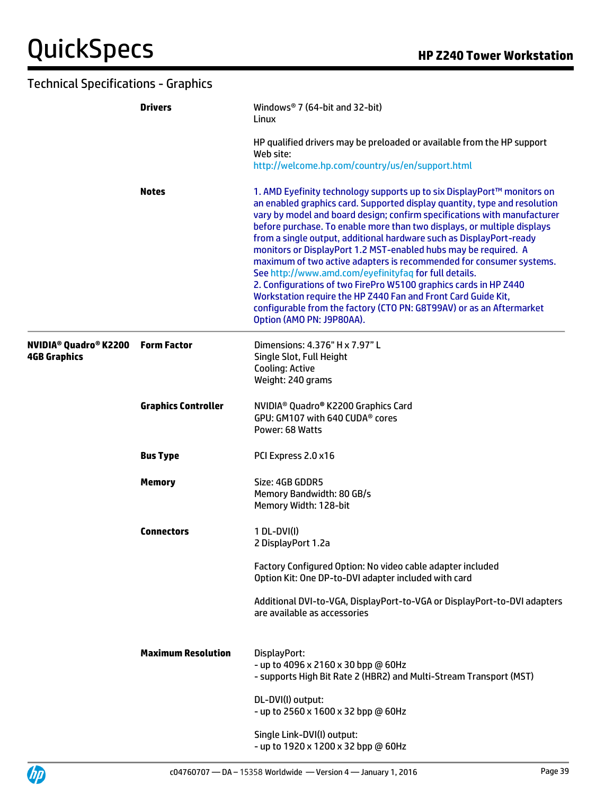|                                                                | <b>Drivers</b><br><b>Notes</b> | Windows <sup>®</sup> 7 (64-bit and 32-bit)<br>Linux                                                                                                                                                                                                                                                                                                                                                                                                                                                                                                                                                                                                                                                                                                                                                                             |  |
|----------------------------------------------------------------|--------------------------------|---------------------------------------------------------------------------------------------------------------------------------------------------------------------------------------------------------------------------------------------------------------------------------------------------------------------------------------------------------------------------------------------------------------------------------------------------------------------------------------------------------------------------------------------------------------------------------------------------------------------------------------------------------------------------------------------------------------------------------------------------------------------------------------------------------------------------------|--|
|                                                                |                                | HP qualified drivers may be preloaded or available from the HP support<br>Web site:<br>http://welcome.hp.com/country/us/en/support.html                                                                                                                                                                                                                                                                                                                                                                                                                                                                                                                                                                                                                                                                                         |  |
|                                                                |                                | 1. AMD Eyefinity technology supports up to six DisplayPort™ monitors on<br>an enabled graphics card. Supported display quantity, type and resolution<br>vary by model and board design; confirm specifications with manufacturer<br>before purchase. To enable more than two displays, or multiple displays<br>from a single output, additional hardware such as DisplayPort-ready<br>monitors or DisplayPort 1.2 MST-enabled hubs may be required. A<br>maximum of two active adapters is recommended for consumer systems.<br>See http://www.amd.com/eyefinityfaq for full details.<br>2. Configurations of two FirePro W5100 graphics cards in HP Z440<br>Workstation require the HP Z440 Fan and Front Card Guide Kit,<br>configurable from the factory (CTO PN: G8T99AV) or as an Aftermarket<br>Option (AMO PN: J9P80AA). |  |
| <b>NVIDIA<sup>®</sup> Quadro® K2200</b><br><b>4GB Graphics</b> | <b>Form Factor</b>             | Dimensions: 4.376" H x 7.97" L<br>Single Slot, Full Height<br><b>Cooling: Active</b><br>Weight: 240 grams                                                                                                                                                                                                                                                                                                                                                                                                                                                                                                                                                                                                                                                                                                                       |  |
|                                                                | <b>Graphics Controller</b>     | NVIDIA <sup>®</sup> Quadro® K2200 Graphics Card<br>GPU: GM107 with 640 CUDA® cores<br>Power: 68 Watts                                                                                                                                                                                                                                                                                                                                                                                                                                                                                                                                                                                                                                                                                                                           |  |
|                                                                | <b>Bus Type</b>                | PCI Express 2.0 x16                                                                                                                                                                                                                                                                                                                                                                                                                                                                                                                                                                                                                                                                                                                                                                                                             |  |
|                                                                | <b>Memory</b>                  | Size: 4GB GDDR5<br>Memory Bandwidth: 80 GB/s<br>Memory Width: 128-bit                                                                                                                                                                                                                                                                                                                                                                                                                                                                                                                                                                                                                                                                                                                                                           |  |
|                                                                | <b>Connectors</b>              | 1 DL-DVI(I)<br>2 DisplayPort 1.2a                                                                                                                                                                                                                                                                                                                                                                                                                                                                                                                                                                                                                                                                                                                                                                                               |  |
|                                                                |                                | Factory Configured Option: No video cable adapter included<br>Option Kit: One DP-to-DVI adapter included with card                                                                                                                                                                                                                                                                                                                                                                                                                                                                                                                                                                                                                                                                                                              |  |
|                                                                |                                | Additional DVI-to-VGA, DisplayPort-to-VGA or DisplayPort-to-DVI adapters<br>are available as accessories                                                                                                                                                                                                                                                                                                                                                                                                                                                                                                                                                                                                                                                                                                                        |  |
|                                                                | <b>Maximum Resolution</b>      | DisplayPort:<br>- up to 4096 x 2160 x 30 bpp @ 60Hz<br>- supports High Bit Rate 2 (HBR2) and Multi-Stream Transport (MST)                                                                                                                                                                                                                                                                                                                                                                                                                                                                                                                                                                                                                                                                                                       |  |
|                                                                |                                | DL-DVI(I) output:<br>- up to 2560 x 1600 x 32 bpp @ 60Hz                                                                                                                                                                                                                                                                                                                                                                                                                                                                                                                                                                                                                                                                                                                                                                        |  |
|                                                                |                                | Single Link-DVI(I) output:<br>- up to 1920 x 1200 x 32 bpp @ 60Hz                                                                                                                                                                                                                                                                                                                                                                                                                                                                                                                                                                                                                                                                                                                                                               |  |

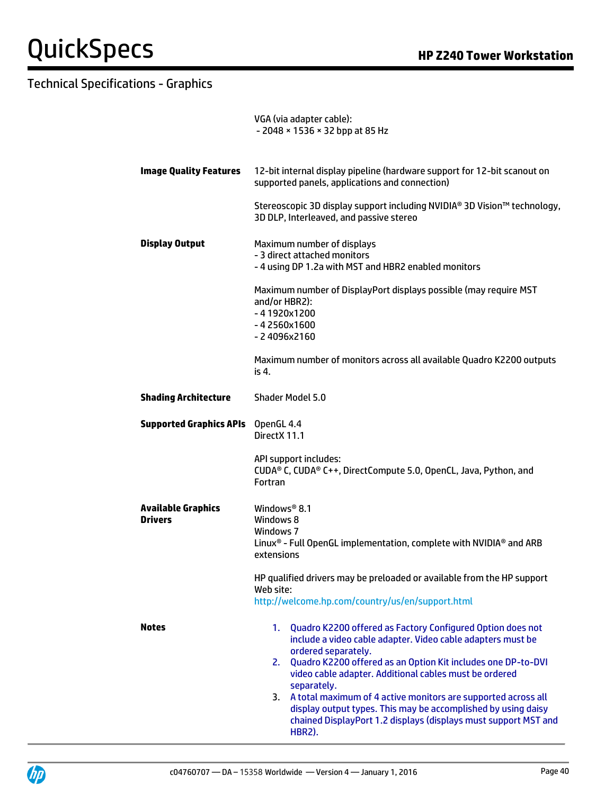|                                             | VGA (via adapter cable):<br>- 2048 × 1536 × 32 bpp at 85 Hz                                                                                                                                                                                                                                                                                                                                                                                                                                                                |  |  |
|---------------------------------------------|----------------------------------------------------------------------------------------------------------------------------------------------------------------------------------------------------------------------------------------------------------------------------------------------------------------------------------------------------------------------------------------------------------------------------------------------------------------------------------------------------------------------------|--|--|
| <b>Image Quality Features</b>               | 12-bit internal display pipeline (hardware support for 12-bit scanout on<br>supported panels, applications and connection)                                                                                                                                                                                                                                                                                                                                                                                                 |  |  |
|                                             | Stereoscopic 3D display support including NVIDIA® 3D Vision™ technology,<br>3D DLP, Interleaved, and passive stereo                                                                                                                                                                                                                                                                                                                                                                                                        |  |  |
| <b>Display Output</b>                       | Maximum number of displays<br>- 3 direct attached monitors<br>- 4 using DP 1.2a with MST and HBR2 enabled monitors                                                                                                                                                                                                                                                                                                                                                                                                         |  |  |
|                                             | Maximum number of DisplayPort displays possible (may require MST<br>and/or HBR2):<br>$-41920x1200$<br>$-42560x1600$<br>$-24096x2160$                                                                                                                                                                                                                                                                                                                                                                                       |  |  |
|                                             | Maximum number of monitors across all available Quadro K2200 outputs<br>is 4.                                                                                                                                                                                                                                                                                                                                                                                                                                              |  |  |
| <b>Shading Architecture</b>                 | Shader Model 5.0                                                                                                                                                                                                                                                                                                                                                                                                                                                                                                           |  |  |
| <b>Supported Graphics APIs</b>              | OpenGL 4.4<br>DirectX 11.1                                                                                                                                                                                                                                                                                                                                                                                                                                                                                                 |  |  |
|                                             | API support includes:<br>CUDA® C, CUDA® C++, DirectCompute 5.0, OpenCL, Java, Python, and<br>Fortran                                                                                                                                                                                                                                                                                                                                                                                                                       |  |  |
| <b>Available Graphics</b><br><b>Drivers</b> | Windows <sup>®</sup> 8.1<br>Windows 8<br>Windows 7<br>Linux <sup>®</sup> - Full OpenGL implementation, complete with NVIDIA <sup>®</sup> and ARB<br>extensions                                                                                                                                                                                                                                                                                                                                                             |  |  |
|                                             | HP qualified drivers may be preloaded or available from the HP support<br>Web site:<br>http://welcome.hp.com/country/us/en/support.html                                                                                                                                                                                                                                                                                                                                                                                    |  |  |
| Notes                                       | Quadro K2200 offered as Factory Configured Option does not<br>1.<br>include a video cable adapter. Video cable adapters must be<br>ordered separately.<br>Quadro K2200 offered as an Option Kit includes one DP-to-DVI<br>2.<br>video cable adapter. Additional cables must be ordered<br>separately.<br>A total maximum of 4 active monitors are supported across all<br>3.<br>display output types. This may be accomplished by using daisy<br>chained DisplayPort 1.2 displays (displays must support MST and<br>HBR2). |  |  |

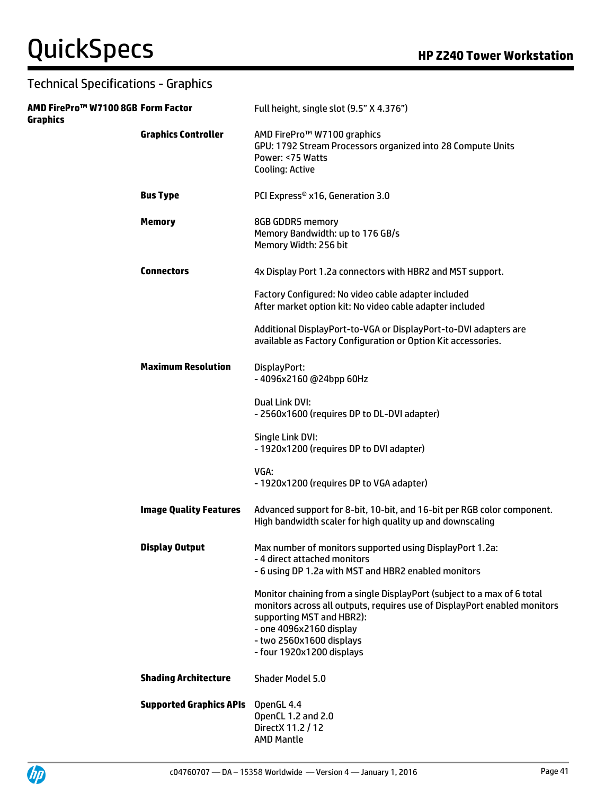| AMD FirePro™ W7100 8GB Form Factor<br><b>Graphics</b> |                                | Full height, single slot (9.5" X 4.376")                                                                                                                                                                                                                              |
|-------------------------------------------------------|--------------------------------|-----------------------------------------------------------------------------------------------------------------------------------------------------------------------------------------------------------------------------------------------------------------------|
|                                                       | <b>Graphics Controller</b>     | AMD FirePro™ W7100 graphics<br>GPU: 1792 Stream Processors organized into 28 Compute Units<br>Power: <75 Watts<br><b>Cooling: Active</b>                                                                                                                              |
|                                                       | <b>Bus Type</b>                | PCI Express® x16, Generation 3.0                                                                                                                                                                                                                                      |
|                                                       | <b>Memory</b>                  | 8GB GDDR5 memory<br>Memory Bandwidth: up to 176 GB/s<br>Memory Width: 256 bit                                                                                                                                                                                         |
|                                                       | <b>Connectors</b>              | 4x Display Port 1.2a connectors with HBR2 and MST support.                                                                                                                                                                                                            |
|                                                       |                                | Factory Configured: No video cable adapter included<br>After market option kit: No video cable adapter included                                                                                                                                                       |
|                                                       |                                | Additional DisplayPort-to-VGA or DisplayPort-to-DVI adapters are<br>available as Factory Configuration or Option Kit accessories.                                                                                                                                     |
|                                                       | <b>Maximum Resolution</b>      | DisplayPort:<br>-4096x2160@24bpp60Hz                                                                                                                                                                                                                                  |
|                                                       |                                | Dual Link DVI:<br>- 2560x1600 (requires DP to DL-DVI adapter)                                                                                                                                                                                                         |
|                                                       |                                | Single Link DVI:<br>- 1920x1200 (requires DP to DVI adapter)                                                                                                                                                                                                          |
|                                                       |                                | VGA:<br>- 1920x1200 (requires DP to VGA adapter)                                                                                                                                                                                                                      |
|                                                       | <b>Image Quality Features</b>  | Advanced support for 8-bit, 10-bit, and 16-bit per RGB color component.<br>High bandwidth scaler for high quality up and downscaling                                                                                                                                  |
|                                                       | <b>Display Output</b>          | Max number of monitors supported using DisplayPort 1.2a:<br>- 4 direct attached monitors<br>- 6 using DP 1.2a with MST and HBR2 enabled monitors                                                                                                                      |
|                                                       |                                | Monitor chaining from a single DisplayPort (subject to a max of 6 total<br>monitors across all outputs, requires use of DisplayPort enabled monitors<br>supporting MST and HBR2):<br>- one 4096x2160 display<br>- two 2560x1600 displays<br>- four 1920x1200 displays |
|                                                       | <b>Shading Architecture</b>    | Shader Model 5.0                                                                                                                                                                                                                                                      |
|                                                       | <b>Supported Graphics APIs</b> | OpenGL 4.4<br>OpenCL 1.2 and 2.0<br>Direct X 11.2 / 12<br><b>AMD Mantle</b>                                                                                                                                                                                           |

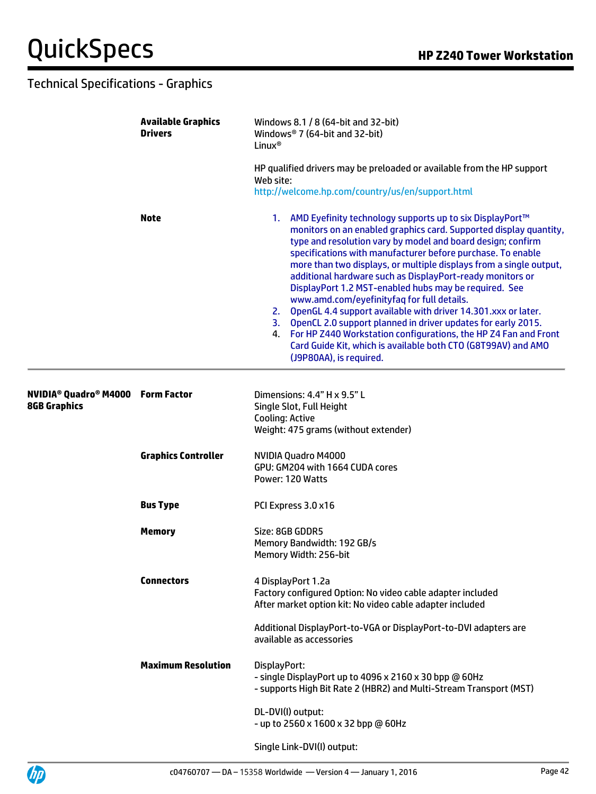|                                                                                  | <b>Available Graphics</b><br><b>Drivers</b><br><b>Note</b> | Windows 8.1 / 8 (64-bit and 32-bit)<br>Windows® 7 (64-bit and 32-bit)<br>Linux <sup>®</sup><br>HP qualified drivers may be preloaded or available from the HP support<br>Web site:<br>http://welcome.hp.com/country/us/en/support.html                                                                                                                                                                                                                                                                                                                                                                                                                                                                                                                                                                            |  |
|----------------------------------------------------------------------------------|------------------------------------------------------------|-------------------------------------------------------------------------------------------------------------------------------------------------------------------------------------------------------------------------------------------------------------------------------------------------------------------------------------------------------------------------------------------------------------------------------------------------------------------------------------------------------------------------------------------------------------------------------------------------------------------------------------------------------------------------------------------------------------------------------------------------------------------------------------------------------------------|--|
|                                                                                  |                                                            |                                                                                                                                                                                                                                                                                                                                                                                                                                                                                                                                                                                                                                                                                                                                                                                                                   |  |
|                                                                                  |                                                            | 1. AMD Eyefinity technology supports up to six DisplayPort™<br>monitors on an enabled graphics card. Supported display quantity,<br>type and resolution vary by model and board design; confirm<br>specifications with manufacturer before purchase. To enable<br>more than two displays, or multiple displays from a single output,<br>additional hardware such as DisplayPort-ready monitors or<br>DisplayPort 1.2 MST-enabled hubs may be required. See<br>www.amd.com/eyefinityfaq for full details.<br>2. OpenGL 4.4 support available with driver 14.301.xxx or later.<br>3. OpenCL 2.0 support planned in driver updates for early 2015.<br>4. For HP Z440 Workstation configurations, the HP Z4 Fan and Front<br>Card Guide Kit, which is available both CTO (G8T99AV) and AMO<br>(J9P80AA), is required. |  |
| NVIDIA <sup>®</sup> Quadro <sup>®</sup> M4000 Form Factor<br><b>8GB Graphics</b> |                                                            | Dimensions: 4.4" H x 9.5" L<br>Single Slot, Full Height<br><b>Cooling: Active</b><br>Weight: 475 grams (without extender)                                                                                                                                                                                                                                                                                                                                                                                                                                                                                                                                                                                                                                                                                         |  |
|                                                                                  | <b>Graphics Controller</b>                                 | NVIDIA Quadro M4000<br>GPU: GM204 with 1664 CUDA cores<br>Power: 120 Watts                                                                                                                                                                                                                                                                                                                                                                                                                                                                                                                                                                                                                                                                                                                                        |  |
|                                                                                  | <b>Bus Type</b>                                            | PCI Express 3.0 x16                                                                                                                                                                                                                                                                                                                                                                                                                                                                                                                                                                                                                                                                                                                                                                                               |  |
|                                                                                  | <b>Memory</b>                                              | Size: 8GB GDDR5<br>Memory Bandwidth: 192 GB/s<br>Memory Width: 256-bit                                                                                                                                                                                                                                                                                                                                                                                                                                                                                                                                                                                                                                                                                                                                            |  |
|                                                                                  | <b>Connectors</b>                                          | 4 DisplayPort 1.2a<br>Factory configured Option: No video cable adapter included<br>After market option kit: No video cable adapter included                                                                                                                                                                                                                                                                                                                                                                                                                                                                                                                                                                                                                                                                      |  |
|                                                                                  |                                                            | Additional DisplayPort-to-VGA or DisplayPort-to-DVI adapters are<br>available as accessories                                                                                                                                                                                                                                                                                                                                                                                                                                                                                                                                                                                                                                                                                                                      |  |
|                                                                                  | <b>Maximum Resolution</b>                                  | DisplayPort:<br>- single DisplayPort up to 4096 x 2160 x 30 bpp @ 60Hz<br>- supports High Bit Rate 2 (HBR2) and Multi-Stream Transport (MST)                                                                                                                                                                                                                                                                                                                                                                                                                                                                                                                                                                                                                                                                      |  |
|                                                                                  |                                                            | DL-DVI(I) output:<br>- up to 2560 x 1600 x 32 bpp @ 60Hz                                                                                                                                                                                                                                                                                                                                                                                                                                                                                                                                                                                                                                                                                                                                                          |  |
|                                                                                  |                                                            | Single Link-DVI(I) output:                                                                                                                                                                                                                                                                                                                                                                                                                                                                                                                                                                                                                                                                                                                                                                                        |  |

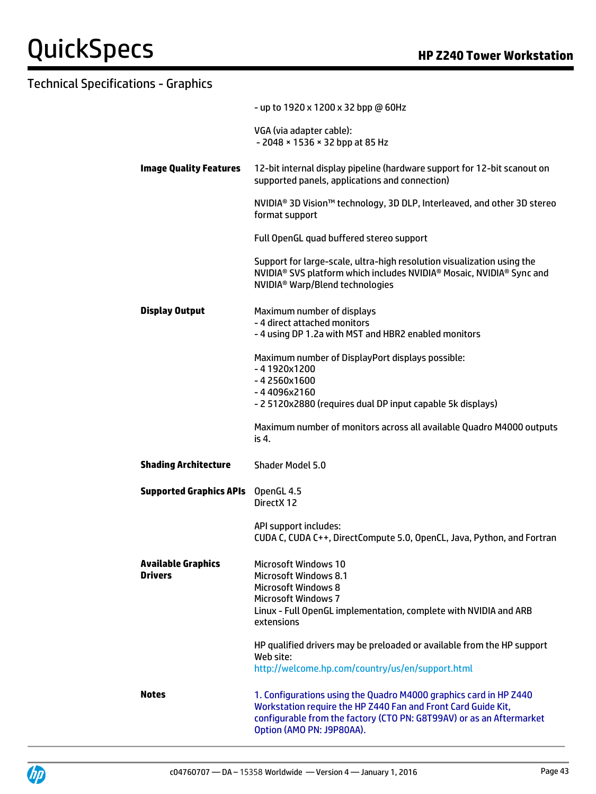| Technical Specifications - Graphics         |                                                                                                                                                                                                                                         |
|---------------------------------------------|-----------------------------------------------------------------------------------------------------------------------------------------------------------------------------------------------------------------------------------------|
|                                             | - up to 1920 x 1200 x 32 bpp @ 60Hz                                                                                                                                                                                                     |
|                                             | VGA (via adapter cable):<br>- 2048 × 1536 × 32 bpp at 85 Hz                                                                                                                                                                             |
| <b>Image Quality Features</b>               | 12-bit internal display pipeline (hardware support for 12-bit scanout on<br>supported panels, applications and connection)                                                                                                              |
|                                             | NVIDIA <sup>®</sup> 3D Vision™ technology, 3D DLP, Interleaved, and other 3D stereo<br>format support                                                                                                                                   |
|                                             | Full OpenGL quad buffered stereo support                                                                                                                                                                                                |
|                                             | Support for large-scale, ultra-high resolution visualization using the<br>NVIDIA <sup>®</sup> SVS platform which includes NVIDIA <sup>®</sup> Mosaic, NVIDIA <sup>®</sup> Sync and<br>NVIDIA <sup>®</sup> Warp/Blend technologies       |
| <b>Display Output</b>                       | Maximum number of displays<br>- 4 direct attached monitors<br>- 4 using DP 1.2a with MST and HBR2 enabled monitors                                                                                                                      |
|                                             | Maximum number of DisplayPort displays possible:<br>$-41920x1200$<br>$-42560x1600$<br>-44096x2160<br>- 2 5120x2880 (requires dual DP input capable 5k displays)                                                                         |
|                                             | Maximum number of monitors across all available Quadro M4000 outputs<br>is 4.                                                                                                                                                           |
| <b>Shading Architecture</b>                 | <b>Shader Model 5.0</b>                                                                                                                                                                                                                 |
| <b>Supported Graphics APIs</b> OpenGL 4.5   | DirectX 12                                                                                                                                                                                                                              |
|                                             | API support includes:<br>CUDA C, CUDA C++, DirectCompute 5.0, OpenCL, Java, Python, and Fortran                                                                                                                                         |
| <b>Available Graphics</b><br><b>Drivers</b> | <b>Microsoft Windows 10</b><br><b>Microsoft Windows 8.1</b><br><b>Microsoft Windows 8</b><br><b>Microsoft Windows 7</b>                                                                                                                 |
|                                             | Linux - Full OpenGL implementation, complete with NVIDIA and ARB<br>extensions                                                                                                                                                          |
|                                             | HP qualified drivers may be preloaded or available from the HP support<br>Web site:                                                                                                                                                     |
|                                             | http://welcome.hp.com/country/us/en/support.html                                                                                                                                                                                        |
| <b>Notes</b>                                | 1. Configurations using the Quadro M4000 graphics card in HP Z440<br>Workstation require the HP Z440 Fan and Front Card Guide Kit,<br>configurable from the factory (CTO PN: G8T99AV) or as an Aftermarket<br>Option (AMO PN: J9P80AA). |

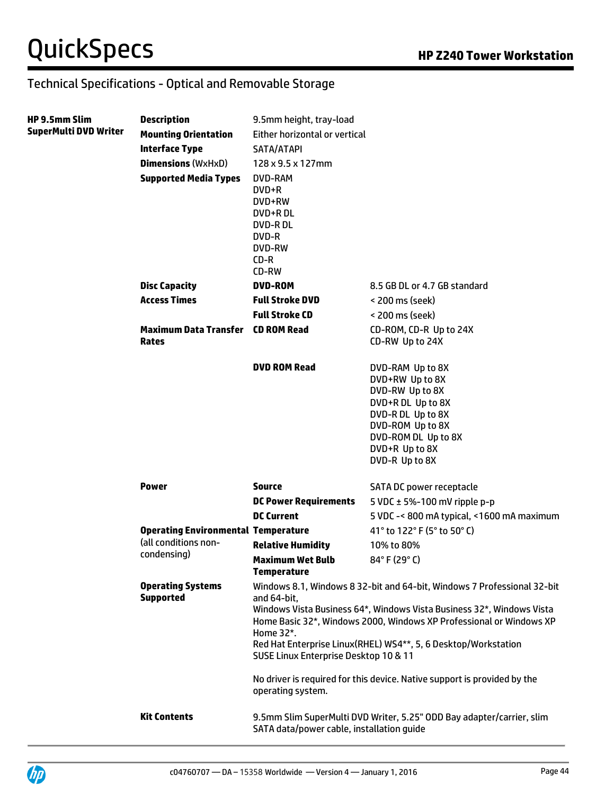| <b>HP 9.5mm Slim</b>         | <b>Description</b>                                                                | 9.5mm height, tray-load                                                                              |                                                                                                                                                                                                                                                                                                                                                                       |  |
|------------------------------|-----------------------------------------------------------------------------------|------------------------------------------------------------------------------------------------------|-----------------------------------------------------------------------------------------------------------------------------------------------------------------------------------------------------------------------------------------------------------------------------------------------------------------------------------------------------------------------|--|
| <b>SuperMulti DVD Writer</b> | <b>Mounting Orientation</b>                                                       | Either horizontal or vertical                                                                        |                                                                                                                                                                                                                                                                                                                                                                       |  |
|                              | <b>Interface Type</b>                                                             | SATA/ATAPI                                                                                           |                                                                                                                                                                                                                                                                                                                                                                       |  |
|                              | <b>Dimensions (WxHxD)</b>                                                         | $128 \times 9.5 \times 127$ mm                                                                       |                                                                                                                                                                                                                                                                                                                                                                       |  |
|                              | <b>Supported Media Types</b>                                                      | DVD-RAM<br>DVD+R<br>DVD+RW<br>DVD+RDL<br><b>DVD-RDL</b><br>DVD-R<br><b>DVD-RW</b><br>$CD-R$<br>CD-RW |                                                                                                                                                                                                                                                                                                                                                                       |  |
|                              | <b>Disc Capacity</b>                                                              | <b>DVD-ROM</b>                                                                                       | 8.5 GB DL or 4.7 GB standard                                                                                                                                                                                                                                                                                                                                          |  |
|                              | <b>Access Times</b>                                                               | <b>Full Stroke DVD</b>                                                                               | < 200 ms (seek)                                                                                                                                                                                                                                                                                                                                                       |  |
|                              |                                                                                   | <b>Full Stroke CD</b>                                                                                | < 200 ms (seek)                                                                                                                                                                                                                                                                                                                                                       |  |
|                              | <b>Maximum Data Transfer</b><br><b>Rates</b>                                      | <b>CD ROM Read</b>                                                                                   | CD-ROM, CD-R Up to 24X<br>CD-RW Up to 24X                                                                                                                                                                                                                                                                                                                             |  |
|                              |                                                                                   | <b>DVD ROM Read</b>                                                                                  | DVD-RAM Up to 8X<br>DVD+RW Up to 8X<br>DVD-RW Up to 8X<br>DVD+R DL Up to 8X<br>DVD-R DL Up to 8X<br>DVD-ROM Up to 8X<br>DVD-ROM DL Up to 8X<br>DVD+R Up to 8X<br>DVD-R Up to 8X                                                                                                                                                                                       |  |
|                              | <b>Power</b>                                                                      | <b>Source</b>                                                                                        | SATA DC power receptacle                                                                                                                                                                                                                                                                                                                                              |  |
|                              |                                                                                   | <b>DC Power Requirements</b>                                                                         | 5 VDC $\pm$ 5%-100 mV ripple p-p                                                                                                                                                                                                                                                                                                                                      |  |
|                              |                                                                                   | <b>DC Current</b>                                                                                    | 5 VDC -< 800 mA typical, <1600 mA maximum                                                                                                                                                                                                                                                                                                                             |  |
|                              | <b>Operating Environmental Temperature</b><br>(all conditions non-<br>condensing) |                                                                                                      | 41° to 122° F (5° to 50° C)                                                                                                                                                                                                                                                                                                                                           |  |
|                              |                                                                                   | <b>Relative Humidity</b>                                                                             | 10% to 80%                                                                                                                                                                                                                                                                                                                                                            |  |
|                              |                                                                                   | <b>Maximum Wet Bulb</b><br><b>Temperature</b>                                                        | 84°F (29°C)                                                                                                                                                                                                                                                                                                                                                           |  |
|                              | <b>Operating Systems</b><br><b>Supported</b>                                      | and 64-bit.<br>Home 32*.<br>SUSE Linux Enterprise Desktop 10 & 11<br>operating system.               | Windows 8.1, Windows 8 32-bit and 64-bit, Windows 7 Professional 32-bit<br>Windows Vista Business 64*, Windows Vista Business 32*, Windows Vista<br>Home Basic 32*, Windows 2000, Windows XP Professional or Windows XP<br>Red Hat Enterprise Linux(RHEL) WS4**, 5, 6 Desktop/Workstation<br>No driver is required for this device. Native support is provided by the |  |
|                              | <b>Kit Contents</b>                                                               | SATA data/power cable, installation guide                                                            | 9.5mm Slim SuperMulti DVD Writer, 5.25" ODD Bay adapter/carrier, slim                                                                                                                                                                                                                                                                                                 |  |

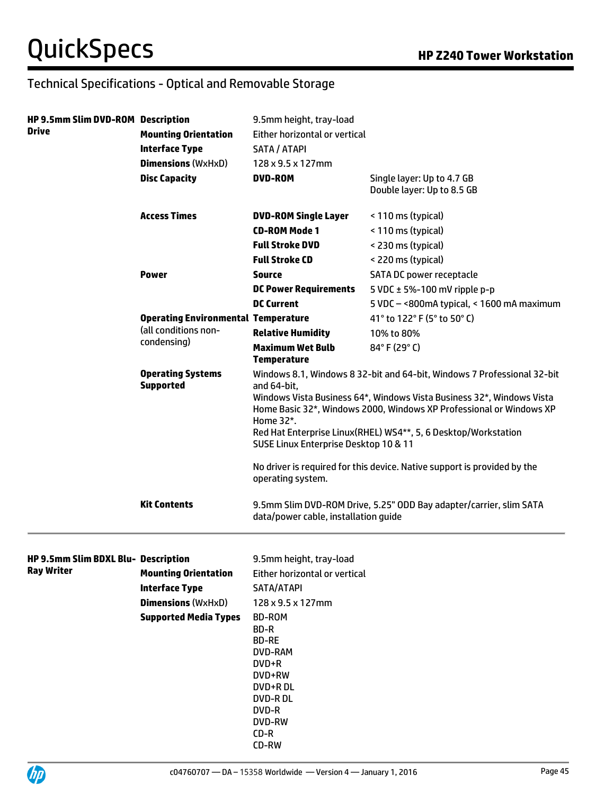| <b>HP 9.5mm Slim DVD-ROM Description</b><br>Drive | <b>Mounting Orientation</b><br><b>Interface Type</b><br><b>Dimensions (WxHxD)</b><br><b>Disc Capacity</b> | 9.5mm height, tray-load<br>Either horizontal or vertical<br>SATA / ATAPI<br>128 x 9.5 x 127mm<br><b>DVD-ROM</b>                                                                                                                                                                                                                                                                                                                            | Single layer: Up to 4.7 GB<br>Double layer: Up to 8.5 GB           |
|---------------------------------------------------|-----------------------------------------------------------------------------------------------------------|--------------------------------------------------------------------------------------------------------------------------------------------------------------------------------------------------------------------------------------------------------------------------------------------------------------------------------------------------------------------------------------------------------------------------------------------|--------------------------------------------------------------------|
|                                                   | <b>Access Times</b>                                                                                       | <b>DVD-ROM Single Layer</b>                                                                                                                                                                                                                                                                                                                                                                                                                | < 110 ms (typical)                                                 |
|                                                   |                                                                                                           | <b>CD-ROM Mode 1</b>                                                                                                                                                                                                                                                                                                                                                                                                                       | < 110 ms (typical)                                                 |
|                                                   |                                                                                                           | <b>Full Stroke DVD</b>                                                                                                                                                                                                                                                                                                                                                                                                                     | < 230 ms (typical)                                                 |
|                                                   |                                                                                                           | <b>Full Stroke CD</b>                                                                                                                                                                                                                                                                                                                                                                                                                      | < 220 ms (typical)                                                 |
|                                                   | <b>Power</b>                                                                                              | Source                                                                                                                                                                                                                                                                                                                                                                                                                                     | SATA DC power receptacle                                           |
|                                                   |                                                                                                           | <b>DC Power Requirements</b>                                                                                                                                                                                                                                                                                                                                                                                                               | 5 VDC $\pm$ 5%-100 mV ripple p-p                                   |
|                                                   |                                                                                                           | <b>DC Current</b>                                                                                                                                                                                                                                                                                                                                                                                                                          | 5 VDC - < 800mA typical, < 1600 mA maximum                         |
|                                                   | <b>Operating Environmental Temperature</b>                                                                |                                                                                                                                                                                                                                                                                                                                                                                                                                            | 41° to 122° F (5° to 50° C)                                        |
|                                                   | (all conditions non-<br>condensing)                                                                       | <b>Relative Humidity</b>                                                                                                                                                                                                                                                                                                                                                                                                                   | 10% to 80%                                                         |
|                                                   |                                                                                                           | <b>Maximum Wet Bulb</b><br><b>Temperature</b>                                                                                                                                                                                                                                                                                                                                                                                              | 84°F (29°C)                                                        |
|                                                   | <b>Operating Systems</b><br><b>Supported</b>                                                              | Windows 8.1, Windows 8 32-bit and 64-bit, Windows 7 Professional 32-bit<br>and 64-bit,<br>Windows Vista Business 64*, Windows Vista Business 32*, Windows Vista<br>Home Basic 32*, Windows 2000, Windows XP Professional or Windows XP<br>Home 32*.<br>Red Hat Enterprise Linux(RHEL) WS4**, 5, 6 Desktop/Workstation<br>SUSE Linux Enterprise Desktop 10 & 11<br>No driver is required for this device. Native support is provided by the |                                                                    |
|                                                   | <b>Kit Contents</b>                                                                                       | operating system.<br>data/power cable, installation guide                                                                                                                                                                                                                                                                                                                                                                                  | 9.5mm Slim DVD-ROM Drive, 5.25" ODD Bay adapter/carrier, slim SATA |
| HP 9.5mm Slim BDXL Blu- Description               |                                                                                                           | 9.5mm height, tray-load                                                                                                                                                                                                                                                                                                                                                                                                                    |                                                                    |
| Ray Writer                                        | <b>Mounting Orientation</b>                                                                               | Either horizontal or vertical                                                                                                                                                                                                                                                                                                                                                                                                              |                                                                    |
|                                                   |                                                                                                           |                                                                                                                                                                                                                                                                                                                                                                                                                                            |                                                                    |

**Interface Type** SATA/ATAPI **Dimensions (WxHxD)** 128 x 9.5 x 127mm **Supported Media Types** BD-ROM

BD-R BD-RE DVD-RAM DVD+R DVD+RW DVD+R DL DVD-R DL DVD-R DVD-RW CD-R



CD-RW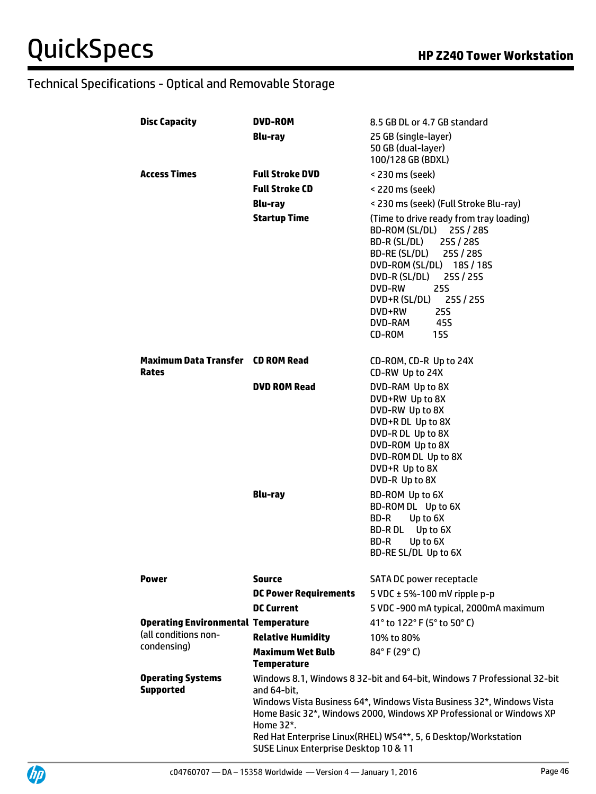| <b>Disc Capacity</b>                              | DVD-ROM                                                                                                                                                                                                                                                                                                                                                        | 8.5 GB DL or 4.7 GB standard                                                                                                                                                                                                                                                                                    |
|---------------------------------------------------|----------------------------------------------------------------------------------------------------------------------------------------------------------------------------------------------------------------------------------------------------------------------------------------------------------------------------------------------------------------|-----------------------------------------------------------------------------------------------------------------------------------------------------------------------------------------------------------------------------------------------------------------------------------------------------------------|
|                                                   | <b>Blu-ray</b>                                                                                                                                                                                                                                                                                                                                                 | 25 GB (single-layer)<br>50 GB (dual-layer)<br>100/128 GB (BDXL)                                                                                                                                                                                                                                                 |
| <b>Access Times</b>                               | <b>Full Stroke DVD</b>                                                                                                                                                                                                                                                                                                                                         | < 230 ms (seek)                                                                                                                                                                                                                                                                                                 |
|                                                   | <b>Full Stroke CD</b>                                                                                                                                                                                                                                                                                                                                          | < 220 ms (seek)                                                                                                                                                                                                                                                                                                 |
|                                                   | <b>Blu-ray</b>                                                                                                                                                                                                                                                                                                                                                 | < 230 ms (seek) (Full Stroke Blu-ray)                                                                                                                                                                                                                                                                           |
|                                                   | <b>Startup Time</b>                                                                                                                                                                                                                                                                                                                                            | (Time to drive ready from tray loading)<br>BD-ROM (SL/DL) 25S / 28S<br>BD-R (SL/DL)<br>25S / 28S<br>BD-RE (SL/DL) 25S / 28S<br>DVD-ROM (SL/DL) 18S / 18S<br>DVD-R (SL/DL) 25S / 25S<br>DVD-RW<br><b>25S</b><br>DVD+R (SL/DL) 25S / 25S<br>DVD+RW<br><b>25S</b><br>DVD-RAM<br>45S<br>CD-ROM<br>15S               |
| <b>Maximum Data Transfer CD ROM Read</b><br>Rates |                                                                                                                                                                                                                                                                                                                                                                | CD-ROM, CD-R Up to 24X<br>CD-RW Up to 24X                                                                                                                                                                                                                                                                       |
|                                                   | <b>DVD ROM Read</b><br><b>Blu-ray</b>                                                                                                                                                                                                                                                                                                                          | DVD-RAM Up to 8X<br>DVD+RW Up to 8X<br>DVD-RW Up to 8X<br>DVD+R DL Up to 8X<br>DVD-R DL Up to 8X<br>DVD-ROM Up to 8X<br>DVD-ROM DL Up to 8X<br>DVD+R Up to 8X<br>DVD-R Up to 8X<br>BD-ROM Up to 6X<br>BD-ROM DL Up to 6X<br>BD-R<br>Up to 6X<br>BD-R DL<br>Up to 6X<br>BD-R<br>Up to 6X<br>BD-RE SL/DL Up to 6X |
| Power                                             | <b>Source</b>                                                                                                                                                                                                                                                                                                                                                  | SATA DC power receptacle                                                                                                                                                                                                                                                                                        |
|                                                   | <b>DC Power Requirements</b>                                                                                                                                                                                                                                                                                                                                   | 5 VDC $\pm$ 5%-100 mV ripple p-p                                                                                                                                                                                                                                                                                |
|                                                   | <b>DC Current</b>                                                                                                                                                                                                                                                                                                                                              | 5 VDC -900 mA typical, 2000mA maximum                                                                                                                                                                                                                                                                           |
| <b>Operating Environmental Temperature</b>        |                                                                                                                                                                                                                                                                                                                                                                | 41° to 122° F (5° to 50° C)                                                                                                                                                                                                                                                                                     |
| (all conditions non-                              | <b>Relative Humidity</b>                                                                                                                                                                                                                                                                                                                                       | 10% to 80%                                                                                                                                                                                                                                                                                                      |
| condensing)                                       | <b>Maximum Wet Bulb</b><br><b>Temperature</b>                                                                                                                                                                                                                                                                                                                  | $84^{\circ}$ F (29 $^{\circ}$ C)                                                                                                                                                                                                                                                                                |
| <b>Operating Systems</b><br><b>Supported</b>      | Windows 8.1, Windows 8 32-bit and 64-bit, Windows 7 Professional 32-bit<br>and 64-bit,<br>Windows Vista Business 64*, Windows Vista Business 32*, Windows Vista<br>Home Basic 32*, Windows 2000, Windows XP Professional or Windows XP<br>Home 32*.<br>Red Hat Enterprise Linux(RHEL) WS4**, 5, 6 Desktop/Workstation<br>SUSE Linux Enterprise Desktop 10 & 11 |                                                                                                                                                                                                                                                                                                                 |

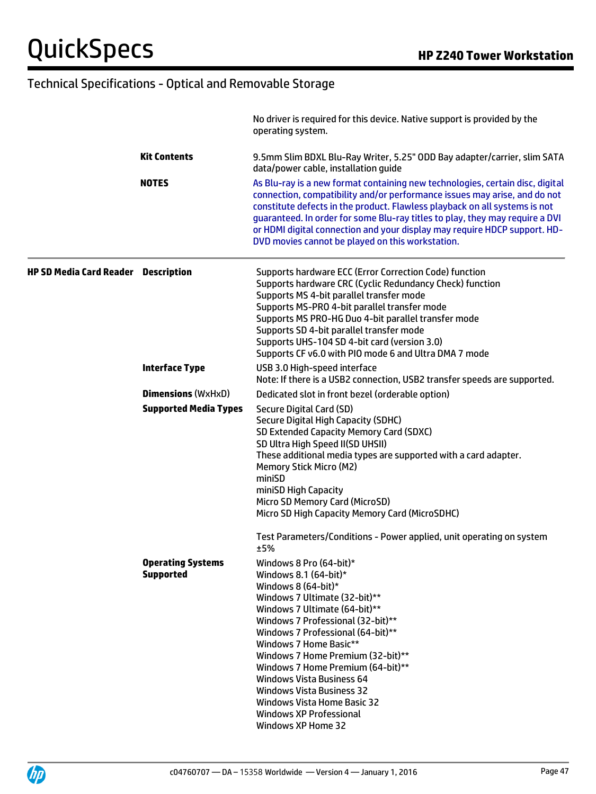|                                            |                                              | No driver is required for this device. Native support is provided by the<br>operating system.                                                                                                                                                                                                                                                                                                                                                                                                     |
|--------------------------------------------|----------------------------------------------|---------------------------------------------------------------------------------------------------------------------------------------------------------------------------------------------------------------------------------------------------------------------------------------------------------------------------------------------------------------------------------------------------------------------------------------------------------------------------------------------------|
|                                            | <b>Kit Contents</b>                          | 9.5mm Slim BDXL Blu-Ray Writer, 5.25" ODD Bay adapter/carrier, slim SATA<br>data/power cable, installation guide                                                                                                                                                                                                                                                                                                                                                                                  |
|                                            | <b>NOTES</b>                                 | As Blu-ray is a new format containing new technologies, certain disc, digital<br>connection, compatibility and/or performance issues may arise, and do not<br>constitute defects in the product. Flawless playback on all systems is not<br>guaranteed. In order for some Blu-ray titles to play, they may require a DVI<br>or HDMI digital connection and your display may require HDCP support. HD-<br>DVD movies cannot be played on this workstation.                                         |
| <b>HP SD Media Card Reader Description</b> |                                              | Supports hardware ECC (Error Correction Code) function<br>Supports hardware CRC (Cyclic Redundancy Check) function<br>Supports MS 4-bit parallel transfer mode<br>Supports MS-PRO 4-bit parallel transfer mode<br>Supports MS PRO-HG Duo 4-bit parallel transfer mode<br>Supports SD 4-bit parallel transfer mode<br>Supports UHS-104 SD 4-bit card (version 3.0)<br>Supports CF v6.0 with PIO mode 6 and Ultra DMA 7 mode                                                                        |
|                                            | <b>Interface Type</b>                        | USB 3.0 High-speed interface<br>Note: If there is a USB2 connection, USB2 transfer speeds are supported.                                                                                                                                                                                                                                                                                                                                                                                          |
|                                            | <b>Dimensions (WxHxD)</b>                    | Dedicated slot in front bezel (orderable option)                                                                                                                                                                                                                                                                                                                                                                                                                                                  |
|                                            | <b>Supported Media Types</b>                 | Secure Digital Card (SD)<br>Secure Digital High Capacity (SDHC)<br>SD Extended Capacity Memory Card (SDXC)<br>SD Ultra High Speed II(SD UHSII)<br>These additional media types are supported with a card adapter.<br><b>Memory Stick Micro (M2)</b><br>miniSD<br>miniSD High Capacity<br>Micro SD Memory Card (MicroSD)<br>Micro SD High Capacity Memory Card (MicroSDHC)                                                                                                                         |
|                                            |                                              | Test Parameters/Conditions - Power applied, unit operating on system<br>±5%                                                                                                                                                                                                                                                                                                                                                                                                                       |
|                                            | <b>Operating Systems</b><br><b>Supported</b> | Windows 8 Pro (64-bit)*<br>Windows 8.1 $(64-bit)*$<br>Windows 8 $(64-bit)*$<br>Windows 7 Ultimate (32-bit)**<br>Windows 7 Ultimate (64-bit)**<br>Windows 7 Professional (32-bit)**<br>Windows 7 Professional (64-bit)**<br>Windows 7 Home Basic**<br>Windows 7 Home Premium (32-bit)**<br>Windows 7 Home Premium (64-bit)**<br><b>Windows Vista Business 64</b><br><b>Windows Vista Business 32</b><br><b>Windows Vista Home Basic 32</b><br><b>Windows XP Professional</b><br>Windows XP Home 32 |

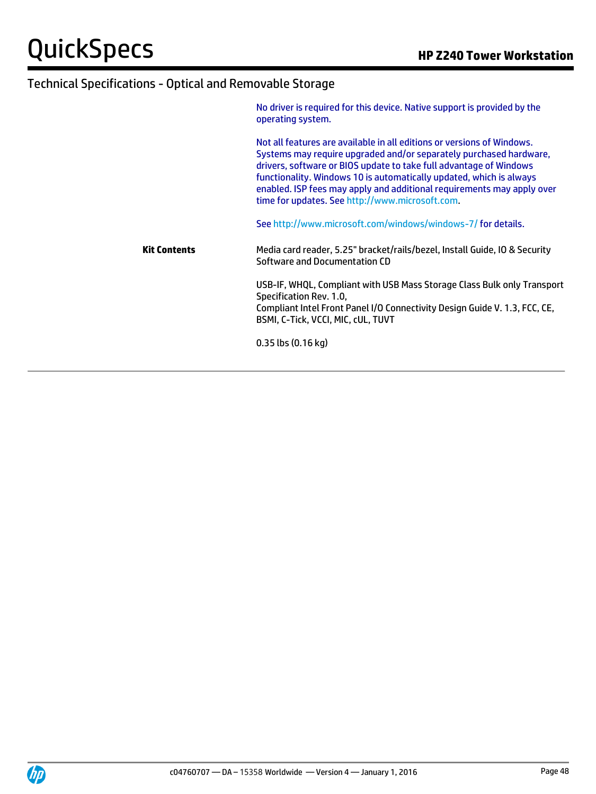|                     | No driver is required for this device. Native support is provided by the<br>operating system.                                                                                                                                                                                                                                                                                                                          |
|---------------------|------------------------------------------------------------------------------------------------------------------------------------------------------------------------------------------------------------------------------------------------------------------------------------------------------------------------------------------------------------------------------------------------------------------------|
|                     | Not all features are available in all editions or versions of Windows.<br>Systems may require upgraded and/or separately purchased hardware,<br>drivers, software or BIOS update to take full advantage of Windows<br>functionality. Windows 10 is automatically updated, which is always<br>enabled. ISP fees may apply and additional requirements may apply over<br>time for updates. See http://www.microsoft.com. |
|                     | See http://www.microsoft.com/windows/windows-7/ for details.                                                                                                                                                                                                                                                                                                                                                           |
| <b>Kit Contents</b> | Media card reader, 5.25" bracket/rails/bezel, Install Guide, IO & Security<br>Software and Documentation CD                                                                                                                                                                                                                                                                                                            |
|                     | USB-IF, WHQL, Compliant with USB Mass Storage Class Bulk only Transport<br>Specification Rev. 1.0,<br>Compliant Intel Front Panel I/O Connectivity Design Guide V. 1.3, FCC, CE,<br>BSMI, C-Tick, VCCI, MIC, cUL, TUVT                                                                                                                                                                                                 |
|                     | $0.35$ lbs $(0.16$ kg)                                                                                                                                                                                                                                                                                                                                                                                                 |

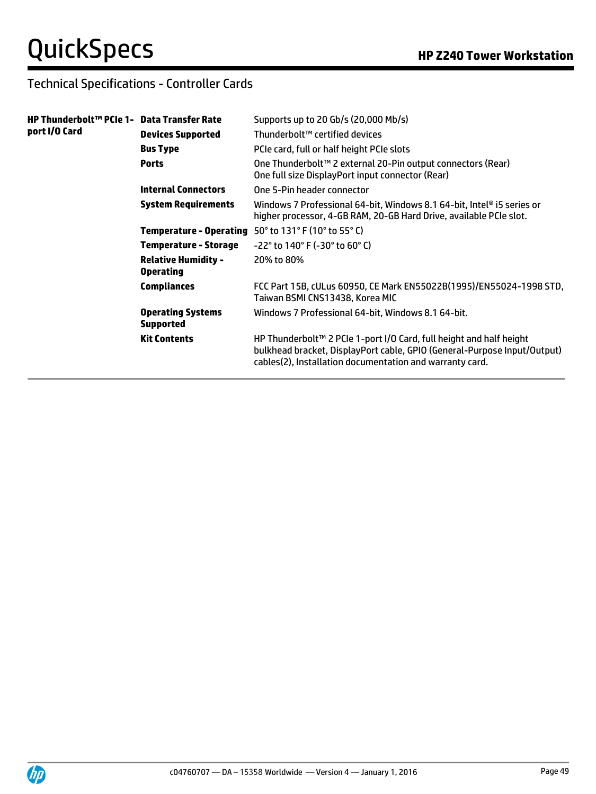## Technical Specifications - Controller Cards

| HP Thunderbolt™ PCIe 1-   Data Transfer Rate<br>port I/O Card |                                                | Supports up to 20 Gb/s (20,000 Mb/s)                                                                                                                                                                        |
|---------------------------------------------------------------|------------------------------------------------|-------------------------------------------------------------------------------------------------------------------------------------------------------------------------------------------------------------|
|                                                               | <b>Devices Supported</b>                       | Thunderbolt™ certified devices                                                                                                                                                                              |
|                                                               | <b>Bus Type</b>                                | PCIe card, full or half height PCIe slots                                                                                                                                                                   |
|                                                               | <b>Ports</b>                                   | One Thunderbolt™ 2 external 20-Pin output connectors (Rear)<br>One full size DisplayPort input connector (Rear)                                                                                             |
|                                                               | <b>Internal Connectors</b>                     | One 5-Pin header connector                                                                                                                                                                                  |
|                                                               | <b>System Requirements</b>                     | Windows 7 Professional 64-bit, Windows 8.1 64-bit, Intel® i5 series or<br>higher processor, 4-GB RAM, 20-GB Hard Drive, available PCIe slot.                                                                |
|                                                               |                                                | <b>Temperature - Operating</b> $50^\circ$ to $131^\circ$ F (10 $^\circ$ to 55 $^\circ$ C)                                                                                                                   |
|                                                               | <b>Temperature - Storage</b>                   | $-22^{\circ}$ to 140° F (-30° to 60° C)                                                                                                                                                                     |
|                                                               | <b>Relative Humidity -</b><br><b>Operating</b> | 20% to 80%                                                                                                                                                                                                  |
|                                                               | <b>Compliances</b>                             | FCC Part 15B, cULus 60950, CE Mark EN55022B(1995)/EN55024-1998 STD,<br>Taiwan BSMI CNS13438, Korea MIC                                                                                                      |
|                                                               | <b>Operating Systems</b><br><b>Supported</b>   | Windows 7 Professional 64-bit, Windows 8.1 64-bit.                                                                                                                                                          |
|                                                               | <b>Kit Contents</b>                            | HP Thunderbolt™ 2 PCIe 1-port I/O Card, full height and half height<br>bulkhead bracket, DisplayPort cable, GPIO (General-Purpose Input/Output)<br>cables(2), Installation documentation and warranty card. |

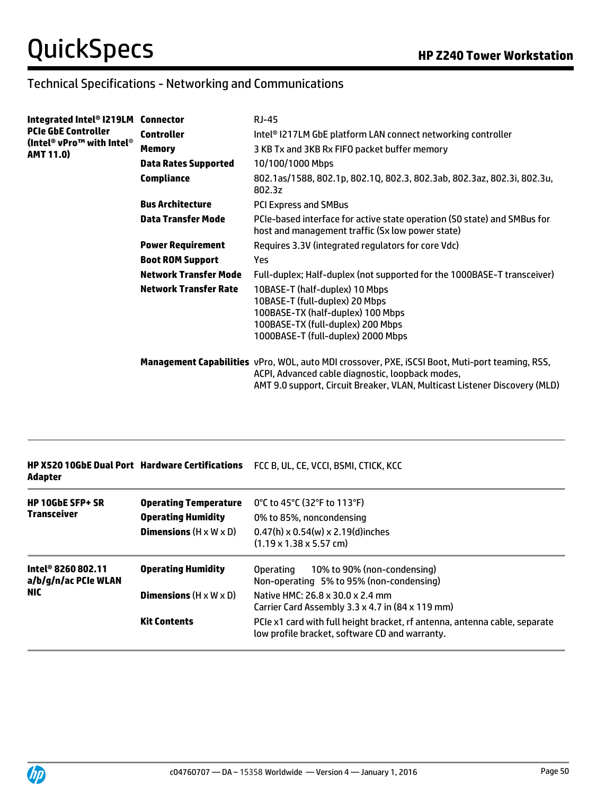### Technical Specifications - Networking and Communications

| Integrated Intel® I219LM Connector            |                              | RJ-45                                                                                                                                                                                                                                    |
|-----------------------------------------------|------------------------------|------------------------------------------------------------------------------------------------------------------------------------------------------------------------------------------------------------------------------------------|
| <b>PCIe GbE Controller</b>                    | <b>Controller</b>            | Intel <sup>®</sup> I217LM GbE platform LAN connect networking controller                                                                                                                                                                 |
| (Intel® vPro™ with Intel®<br><b>AMT 11.0)</b> | Memory                       | 3 KB Tx and 3KB Rx FIFO packet buffer memory                                                                                                                                                                                             |
|                                               | <b>Data Rates Supported</b>  | 10/100/1000 Mbps                                                                                                                                                                                                                         |
|                                               | <b>Compliance</b>            | 802.1as/1588, 802.1p, 802.1Q, 802.3, 802.3ab, 802.3az, 802.3i, 802.3u,<br>802.3z                                                                                                                                                         |
|                                               | <b>Bus Architecture</b>      | <b>PCI Express and SMBus</b>                                                                                                                                                                                                             |
|                                               | <b>Data Transfer Mode</b>    | PCIe-based interface for active state operation (SO state) and SMBus for<br>host and management traffic (Sx low power state)                                                                                                             |
|                                               | <b>Power Requirement</b>     | Requires 3.3V (integrated regulators for core Vdc)                                                                                                                                                                                       |
|                                               | <b>Boot ROM Support</b>      | Yes                                                                                                                                                                                                                                      |
|                                               | Network Transfer Mode        | Full-duplex; Half-duplex (not supported for the 1000BASE-T transceiver)                                                                                                                                                                  |
|                                               | <b>Network Transfer Rate</b> | 10BASE-T (half-duplex) 10 Mbps<br>10BASE-T (full-duplex) 20 Mbps<br>100BASE-TX (half-duplex) 100 Mbps<br>100BASE-TX (full-duplex) 200 Mbps<br>1000BASE-T (full-duplex) 2000 Mbps                                                         |
|                                               |                              | <b>Management Capabilities</b> vPro, WOL, auto MDI crossover, PXE, iSCSI Boot, Muti-port teaming, RSS,<br>ACPI, Advanced cable diagnostic, loopback modes,<br>AMT 9.0 support, Circuit Breaker, VLAN, Multicast Listener Discovery (MLD) |

|         | <b>HP X520 10GbE Dual Port Hardware Certifications FCC B. UL. CE. VCCI. BSMI. CTICK. KCC</b> |
|---------|----------------------------------------------------------------------------------------------|
| Adapter |                                                                                              |

| <b>HP 10GbE SFP+ SR</b><br><b>Transceiver</b>            | <b>Operating Temperature</b><br><b>Operating Humidity</b><br><b>Dimensions</b> $(H \times W \times D)$ | 0°C to 45°C (32°F to 113°F)<br>0% to 85%, noncondensing<br>$0.47(h) \times 0.54(w) \times 2.19(d)$ inches<br>$(1.19 \times 1.38 \times 5.57$ cm) |
|----------------------------------------------------------|--------------------------------------------------------------------------------------------------------|--------------------------------------------------------------------------------------------------------------------------------------------------|
| Intel® 8260 802.11<br>a/b/g/n/ac PCIe WLAN<br><b>NIC</b> | <b>Operating Humidity</b>                                                                              | 10% to 90% (non-condensing)<br>Operating<br>Non-operating 5% to 95% (non-condensing)                                                             |
|                                                          | <b>Dimensions</b> $(H \times W \times D)$                                                              | Native HMC: 26.8 x 30.0 x 2.4 mm<br>Carrier Card Assembly 3.3 x 4.7 in (84 x 119 mm)                                                             |
|                                                          | <b>Kit Contents</b>                                                                                    | PCIe x1 card with full height bracket, rf antenna, antenna cable, separate<br>low profile bracket, software CD and warranty.                     |

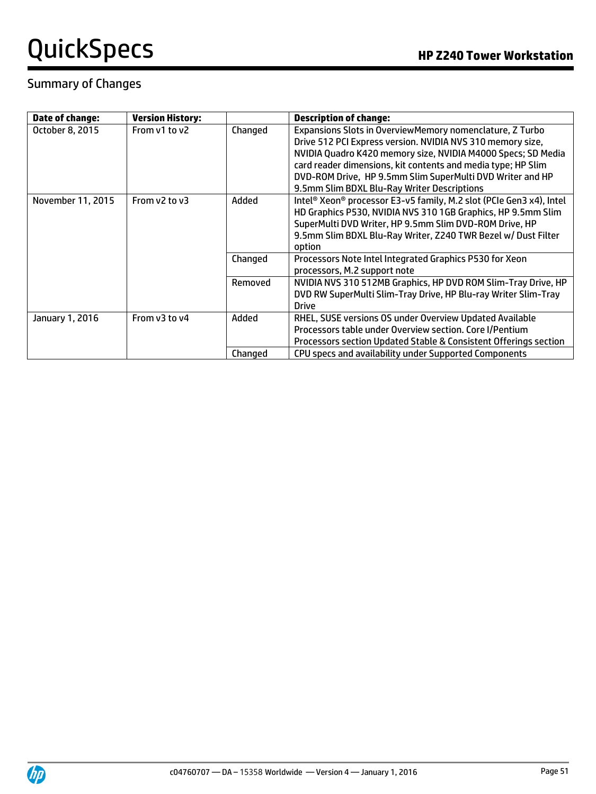### Summary of Changes

| Date of change:   | <b>Version History:</b> |         | <b>Description of change:</b>                                                                                                                                                                                                                                                                                                                                      |
|-------------------|-------------------------|---------|--------------------------------------------------------------------------------------------------------------------------------------------------------------------------------------------------------------------------------------------------------------------------------------------------------------------------------------------------------------------|
| October 8, 2015   | From v1 to y2           | Changed | Expansions Slots in OverviewMemory nomenclature, Z Turbo<br>Drive 512 PCI Express version. NVIDIA NVS 310 memory size,<br>NVIDIA Quadro K420 memory size, NVIDIA M4000 Specs; SD Media<br>card reader dimensions, kit contents and media type; HP Slim<br>DVD-ROM Drive, HP 9.5mm Slim SuperMulti DVD Writer and HP<br>9.5mm Slim BDXL Blu-Ray Writer Descriptions |
| November 11, 2015 | From v2 to v3           | Added   | Intel <sup>®</sup> Xeon® processor E3-v5 family, M.2 slot (PCIe Gen3 x4), Intel<br>HD Graphics P530, NVIDIA NVS 310 1GB Graphics, HP 9.5mm Slim<br>SuperMulti DVD Writer, HP 9.5mm Slim DVD-ROM Drive, HP<br>9.5mm Slim BDXL Blu-Ray Writer, Z240 TWR Bezel w/ Dust Filter<br>option                                                                               |
|                   |                         | Changed | Processors Note Intel Integrated Graphics P530 for Xeon<br>processors, M.2 support note                                                                                                                                                                                                                                                                            |
|                   |                         | Removed | NVIDIA NVS 310 512MB Graphics, HP DVD ROM Slim-Tray Drive, HP<br>DVD RW SuperMulti Slim-Tray Drive, HP Blu-ray Writer Slim-Tray<br>Drive                                                                                                                                                                                                                           |
| January 1, 2016   | From v3 to y4           | Added   | RHEL, SUSE versions OS under Overview Updated Available<br>Processors table under Overview section. Core I/Pentium<br>Processors section Updated Stable & Consistent Offerings section                                                                                                                                                                             |
|                   |                         | Changed | CPU specs and availability under Supported Components                                                                                                                                                                                                                                                                                                              |